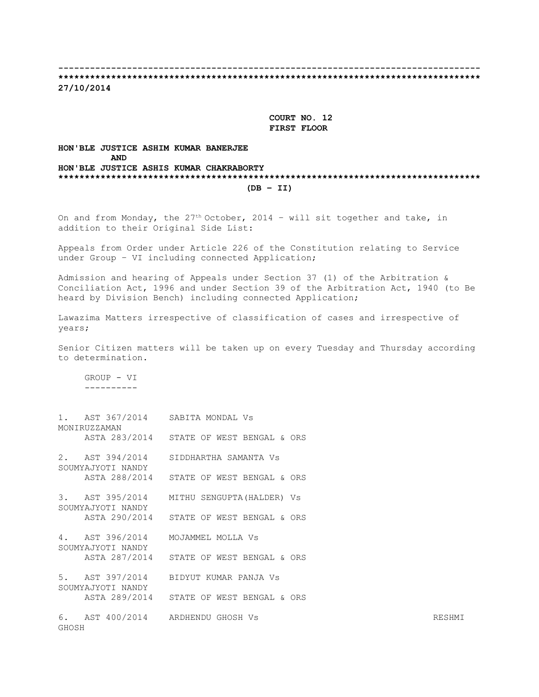**-------------------------------------------------------------------------------- \*\*\*\*\*\*\*\*\*\*\*\*\*\*\*\*\*\*\*\*\*\*\*\*\*\*\*\*\*\*\*\*\*\*\*\*\*\*\*\*\*\*\*\*\*\*\*\*\*\*\*\*\*\*\*\*\*\*\*\*\*\*\*\*\*\*\*\*\*\*\*\*\*\*\*\*\*\*\*\***

**27/10/2014**

 **COURT NO. 12 FIRST FLOOR**

#### **HON'BLE JUSTICE ASHIM KUMAR BANERJEE AND HON'BLE JUSTICE ASHIS KUMAR CHAKRABORTY \*\*\*\*\*\*\*\*\*\*\*\*\*\*\*\*\*\*\*\*\*\*\*\*\*\*\*\*\*\*\*\*\*\*\*\*\*\*\*\*\*\*\*\*\*\*\*\*\*\*\*\*\*\*\*\*\*\*\*\*\*\*\*\*\*\*\*\*\*\*\*\*\*\*\*\*\*\*\*\* (DB – II)**

On and from Monday, the  $27<sup>th</sup>$  October, 2014 - will sit together and take, in addition to their Original Side List:

Appeals from Order under Article 226 of the Constitution relating to Service under Group – VI including connected Application;

Admission and hearing of Appeals under Section 37 (1) of the Arbitration & Conciliation Act, 1996 and under Section 39 of the Arbitration Act, 1940 (to Be heard by Division Bench) including connected Application;

Lawazima Matters irrespective of classification of cases and irrespective of years;

Senior Citizen matters will be taken up on every Tuesday and Thursday according to determination.

 GROUP - VI ----------

|       | MONIRUZZAMAN      | 1. AST 367/2014 SABITA MONDAL Vs           |        |
|-------|-------------------|--------------------------------------------|--------|
|       |                   | ASTA 283/2014 STATE OF WEST BENGAL & ORS   |        |
|       | SOUMYAJYOTI NANDY | 2. AST 394/2014 SIDDHARTHA SAMANTA Vs      |        |
|       |                   | ASTA 288/2014 STATE OF WEST BENGAL & ORS   |        |
|       | SOUMYAJYOTI NANDY | 3. AST 395/2014 MITHU SENGUPTA (HALDER) Vs |        |
|       |                   | ASTA 290/2014 STATE OF WEST BENGAL & ORS   |        |
|       | SOUMYAJYOTI NANDY | 4. AST 396/2014 MOJAMMEL MOLLA Vs          |        |
|       |                   | ASTA 287/2014 STATE OF WEST BENGAL & ORS   |        |
|       | SOUMYAJYOTI NANDY | 5. AST 397/2014 BIDYUT KUMAR PANJA VS      |        |
|       |                   | ASTA 289/2014 STATE OF WEST BENGAL & ORS   |        |
| GHOSH |                   | 6. AST 400/2014 ARDHENDU GHOSH Vs          | RESHMI |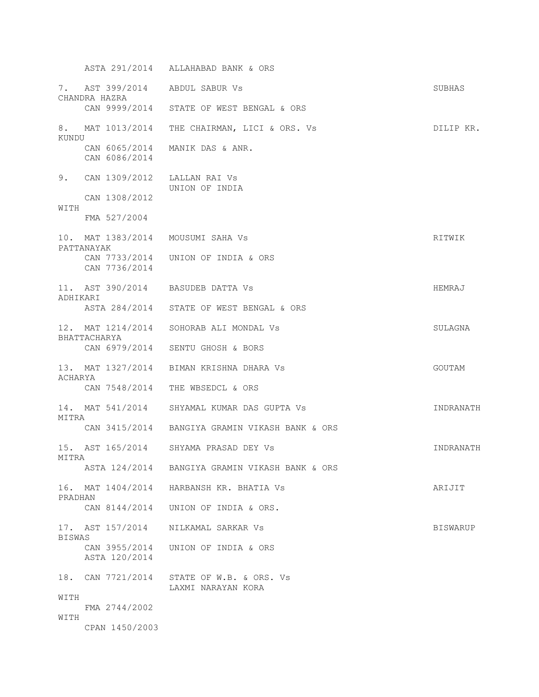ASTA 291/2014 ALLAHABAD BANK & ORS 7. AST 399/2014 ABDUL SABUR Vs SUBHAS CHANDRA HAZRA CAN 9999/2014 STATE OF WEST BENGAL & ORS 8. MAT 1013/2014 THE CHAIRMAN, LICI & ORS. Vs **DILIP KR.** KUNDU CAN 6065/2014 MANIK DAS & ANR. CAN 6086/2014 9. CAN 1309/2012 LALLAN RAI Vs UNION OF INDIA CAN 1308/2012 WITH FMA 527/2004 10. MAT 1383/2014 MOUSUMI SAHA Vs RITWIK PATTANAYAK CAN 7733/2014 UNION OF INDIA & ORS CAN 7736/2014 11. AST 390/2014 BASUDEB DATTA Vs **HEMRAJ** ADHIKARI ASTA 284/2014 STATE OF WEST BENGAL & ORS 12. MAT 1214/2014 SOHORAB ALI MONDAL Vs SULAGNA BHATTACHARYA CAN 6979/2014 SENTU GHOSH & BORS 13. MAT 1327/2014 BIMAN KRISHNA DHARA Vs GOUTAM ACHARYA CAN 7548/2014 THE WBSEDCL & ORS 14. MAT 541/2014 SHYAMAL KUMAR DAS GUPTA Vs INDRANATH MITRA CAN 3415/2014 BANGIYA GRAMIN VIKASH BANK & ORS 15. AST 165/2014 SHYAMA PRASAD DEY Vs INDRANATH MITRA ASTA 124/2014 BANGIYA GRAMIN VIKASH BANK & ORS 16. MAT 1404/2014 HARBANSH KR. BHATIA Vs **ARIJIT** PRADHAN CAN 8144/2014 UNION OF INDIA & ORS. 17. AST 157/2014 MILKAMAL SARKAR Vs Sammen BISWARUP BISWAS CAN 3955/2014 UNION OF INDIA & ORS ASTA 120/2014 18. CAN 7721/2014 STATE OF W.B. & ORS. Vs LAXMI NARAYAN KORA WITH FMA 2744/2002 WITH CPAN 1450/2003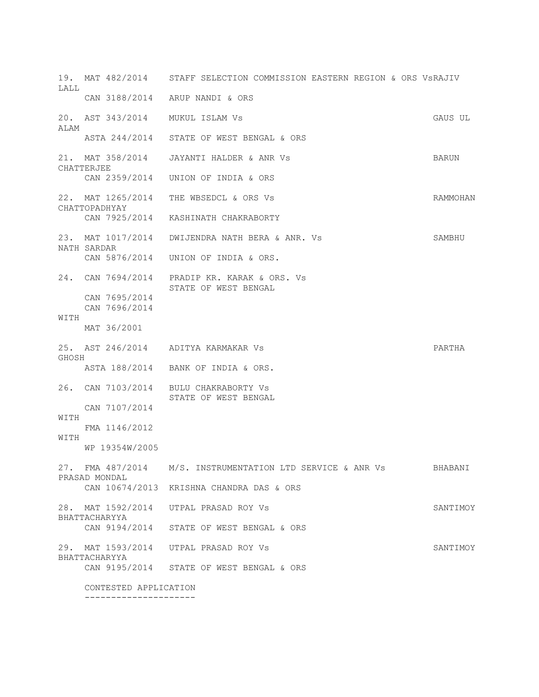19. MAT 482/2014 STAFF SELECTION COMMISSION EASTERN REGION & ORS VsRAJIV  $T.A.T.T.$  CAN 3188/2014 ARUP NANDI & ORS 20. AST 343/2014 MUKUL ISLAM Vs GAUS UL ALAM ASTA 244/2014 STATE OF WEST BENGAL & ORS 21. MAT 358/2014 JAYANTI HALDER & ANR Vs BARUN CHATTERJEE CAN 2359/2014 UNION OF INDIA & ORS 22. MAT 1265/2014 THE WBSEDCL & ORS Vs SAMMOHAN CHATTOPADHYAY CAN 7925/2014 KASHINATH CHAKRABORTY 23. MAT 1017/2014 DWIJENDRA NATH BERA & ANR. Vs SAMBHU NATH SARDAR CAN 5876/2014 UNION OF INDIA & ORS. 24. CAN 7694/2014 PRADIP KR. KARAK & ORS. Vs STATE OF WEST BENGAL CAN 7695/2014 CAN 7696/2014 **WITH**  MAT 36/2001 25. AST 246/2014 ADITYA KARMAKAR Vs PARTHA GHOSH ASTA 188/2014 BANK OF INDIA & ORS. 26. CAN 7103/2014 BULU CHAKRABORTY Vs STATE OF WEST BENGAL CAN 7107/2014 WITH FMA 1146/2012 WITH WP 19354W/2005 27. FMA 487/2014 M/S. INSTRUMENTATION LTD SERVICE & ANR Vs BHABANI PRASAD MONDAL CAN 10674/2013 KRISHNA CHANDRA DAS & ORS 28. MAT 1592/2014 UTPAL PRASAD ROY Vs SANTIMOY BHATTACHARYYA CAN 9194/2014 STATE OF WEST BENGAL & ORS 29. MAT 1593/2014 UTPAL PRASAD ROY Vs SANTIMOY BHATTACHARYYA CAN 9195/2014 STATE OF WEST BENGAL & ORS CONTESTED APPLICATION

---------------------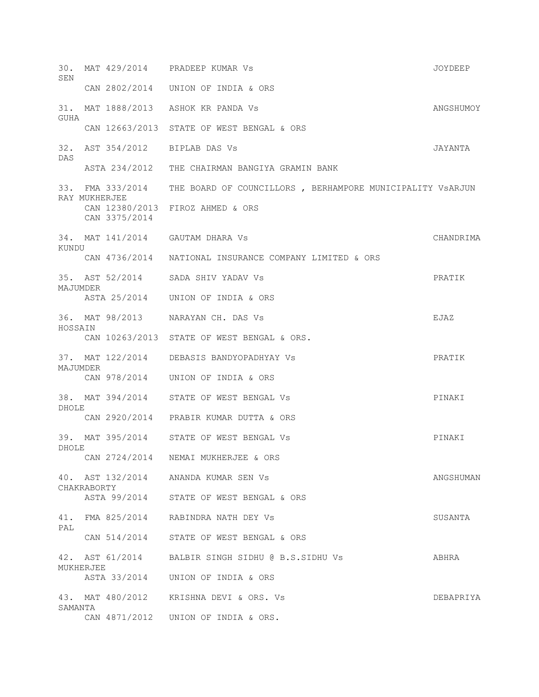30. MAT 429/2014 PRADEEP KUMAR Vs JOYDEEP SEN CAN 2802/2014 UNION OF INDIA & ORS 31. MAT 1888/2013 ASHOK KR PANDA Vs ANGSHUMOY GUHA CAN 12663/2013 STATE OF WEST BENGAL & ORS 32. AST 354/2012 BIPLAB DAS Vs JAYANTA DAS ASTA 234/2012 THE CHAIRMAN BANGIYA GRAMIN BANK 33. FMA 333/2014 THE BOARD OF COUNCILLORS , BERHAMPORE MUNICIPALITY VsARJUN RAY MUKHERJEE CAN 12380/2013 FIROZ AHMED & ORS CAN 3375/2014 34. MAT 141/2014 GAUTAM DHARA Vs CHANDRIMA KUNDU CAN 4736/2014 NATIONAL INSURANCE COMPANY LIMITED & ORS 35. AST 52/2014 SADA SHIV YADAV Vs PRATIK MAJUMDER ASTA 25/2014 UNION OF INDIA & ORS 36. MAT 98/2013 NARAYAN CH. DAS Vs EJAZ HOSSAIN CAN 10263/2013 STATE OF WEST BENGAL & ORS. 37. MAT 122/2014 DEBASIS BANDYOPADHYAY Vs PRATIK MAJUMDER CAN 978/2014 UNION OF INDIA & ORS 38. MAT 394/2014 STATE OF WEST BENGAL Vs PINAKI DHOLE CAN 2920/2014 PRABIR KUMAR DUTTA & ORS 39. MAT 395/2014 STATE OF WEST BENGAL Vs PINAKI DHOLE CAN 2724/2014 NEMAI MUKHERJEE & ORS 40. AST 132/2014 ANANDA KUMAR SEN Vs ANGSHUMAN CHAKRABORTY ASTA 99/2014 STATE OF WEST BENGAL & ORS 41. FMA 825/2014 RABINDRA NATH DEY Vs SUSANTA PAL CAN 514/2014 STATE OF WEST BENGAL & ORS 42. AST 61/2014 BALBIR SINGH SIDHU @ B.S.SIDHU Vs ABHRA MUKHERJEE ASTA 33/2014 UNION OF INDIA & ORS 43. MAT 480/2012 KRISHNA DEVI & ORS. Vs DEBAPRIYA SAMANTA CAN 4871/2012 UNION OF INDIA & ORS.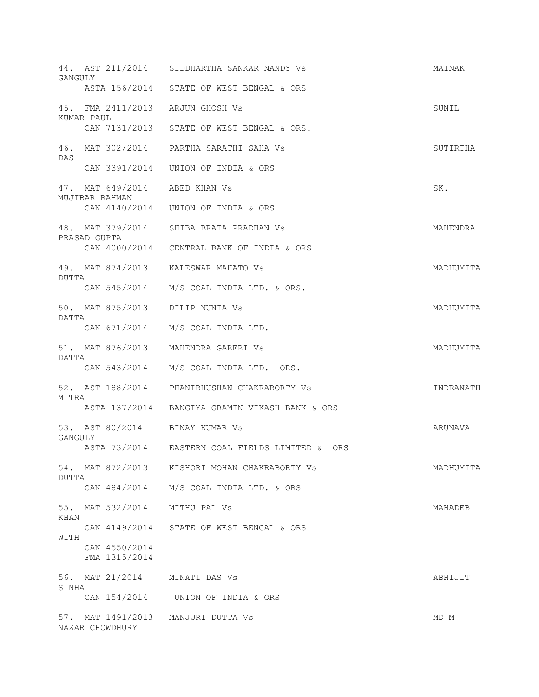| GANGULY     |                                                 | 44. AST 211/2014 SIDDHARTHA SANKAR NANDY Vs    | MAINAK    |
|-------------|-------------------------------------------------|------------------------------------------------|-----------|
|             |                                                 | ASTA 156/2014 STATE OF WEST BENGAL & ORS       |           |
|             | 45. FMA 2411/2013 ARJUN GHOSH Vs                |                                                | SUNIL     |
|             | KUMAR PAUL                                      | CAN 7131/2013 STATE OF WEST BENGAL & ORS.      |           |
| DAS         |                                                 | 46. MAT 302/2014 PARTHA SARATHI SAHA Vs        | SUTIRTHA  |
|             |                                                 | CAN 3391/2014 UNION OF INDIA & ORS             |           |
|             | 47. MAT 649/2014 ABED KHAN Vs<br>MUJIBAR RAHMAN |                                                | SK.       |
|             |                                                 | CAN 4140/2014 UNION OF INDIA & ORS             |           |
|             | PRASAD GUPTA                                    | 48. MAT 379/2014 SHIBA BRATA PRADHAN VS        | MAHENDRA  |
|             |                                                 | CAN 4000/2014 CENTRAL BANK OF INDIA & ORS      |           |
| DUTTA       |                                                 | 49. MAT 874/2013 KALESWAR MAHATO Vs            | MADHUMITA |
|             |                                                 | CAN 545/2014 M/S COAL INDIA LTD. & ORS.        |           |
| DATTA       | 50. MAT 875/2013 DILIP NUNIA Vs                 |                                                | MADHUMITA |
|             |                                                 | CAN 671/2014 M/S COAL INDIA LTD.               |           |
| DATTA       |                                                 | 51. MAT 876/2013 MAHENDRA GARERI VS            | MADHUMITA |
|             |                                                 | CAN 543/2014 M/S COAL INDIA LTD. ORS.          |           |
| MITRA       |                                                 | 52. AST 188/2014 PHANIBHUSHAN CHAKRABORTY Vs   | INDRANATH |
|             |                                                 | ASTA 137/2014 BANGIYA GRAMIN VIKASH BANK & ORS |           |
| GANGULY     | 53. AST 80/2014 BINAY KUMAR Vs                  |                                                | ARUNAVA   |
|             |                                                 | ASTA 73/2014 EASTERN COAL FIELDS LIMITED & ORS |           |
| DUTTA       |                                                 | 54. MAT 872/2013 KISHORI MOHAN CHAKRABORTY Vs  | MADHUMITA |
|             |                                                 | CAN 484/2014 M/S COAL INDIA LTD. & ORS         |           |
| 55.<br>KHAN | MAT 532/2014                                    | MITHU PAL Vs                                   | MAHADEB   |
| WITH        |                                                 | CAN 4149/2014 STATE OF WEST BENGAL & ORS       |           |
|             | CAN 4550/2014<br>FMA 1315/2014                  |                                                |           |
| 56.         | MAT 21/2014 MINATI DAS Vs                       |                                                | ABHIJIT   |
| SINHA       |                                                 | CAN 154/2014 UNION OF INDIA & ORS              |           |
| 57.         | MAT 1491/2013<br>NAZAR CHOWDHURY                | MANJURI DUTTA VS                               | MD M      |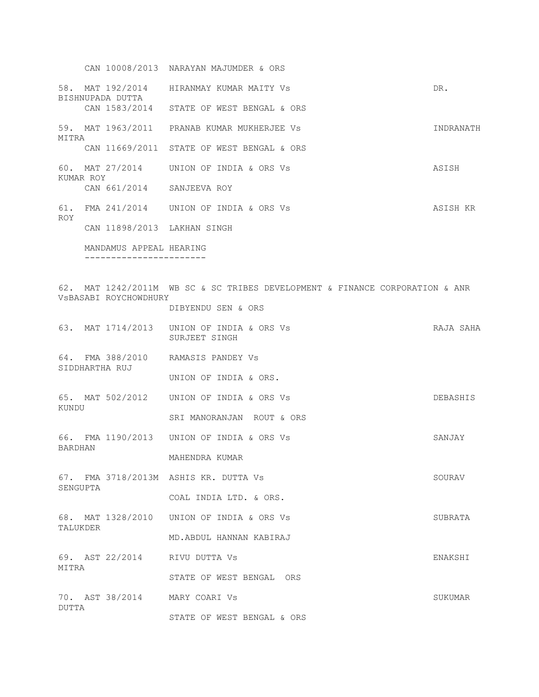CAN 10008/2013 NARAYAN MAJUMDER & ORS 58. MAT 192/2014 HIRANMAY KUMAR MAITY Vs DR. BISHNUPADA DUTTA CAN 1583/2014 STATE OF WEST BENGAL & ORS 59. MAT 1963/2011 PRANAB KUMAR MUKHERJEE Vs INDRANATH MITRA CAN 11669/2011 STATE OF WEST BENGAL & ORS 60. MAT 27/2014 UNION OF INDIA & ORS Vs ASISH KUMAR ROY CAN 661/2014 SANJEEVA ROY 61. FMA 241/2014 UNION OF INDIA & ORS Vs ASISH KR ROY CAN 11898/2013 LAKHAN SINGH MANDAMUS APPEAL HEARING ----------------------- 62. MAT 1242/2011M WB SC & SC TRIBES DEVELOPMENT & FINANCE CORPORATION & ANR VsBASABI ROYCHOWDHURY DIBYENDU SEN & ORS 63. MAT 1714/2013 UNION OF INDIA & ORS Vs RAJA SAHA SURJEET SINGH 64. FMA 388/2010 RAMASIS PANDEY Vs SIDDHARTHA RUJ UNION OF INDIA & ORS. 65. MAT 502/2012 UNION OF INDIA & ORS Vs DEBASHIS KUNDU SRI MANORANJAN ROUT & ORS 66. FMA 1190/2013 UNION OF INDIA & ORS Vs SANJAY BARDHAN MAHENDRA KUMAR 67. FMA 3718/2013M ASHIS KR. DUTTA Vs SOURAV SENGUPTA COAL INDIA LTD. & ORS. 68. MAT 1328/2010 UNION OF INDIA & ORS Vs SUBRATA TALUKDER MD.ABDUL HANNAN KABIRAJ 69. AST 22/2014 RIVU DUTTA Vs ENAKSHI MITRA STATE OF WEST BENGAL ORS 70. AST 38/2014 MARY COARI Vs SUKUMAR DUTTA STATE OF WEST BENGAL & ORS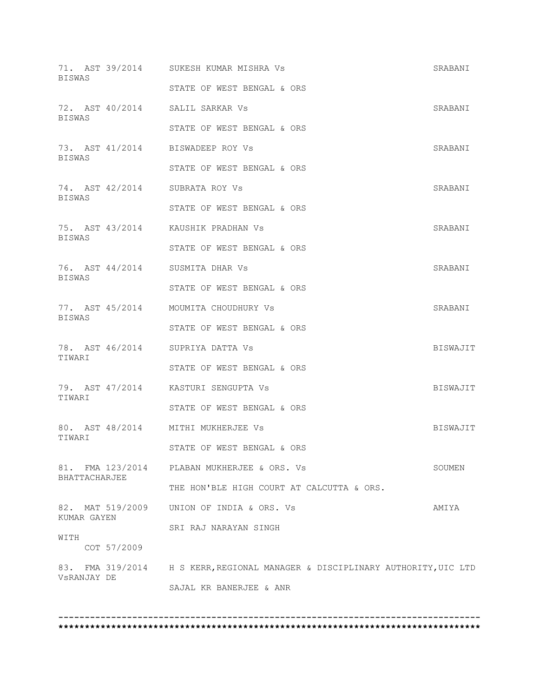| BISWAS        |             | 71. AST 39/2014 SUKESH KUMAR MISHRA Vs                                        | SRABANI  |
|---------------|-------------|-------------------------------------------------------------------------------|----------|
|               |             | STATE OF WEST BENGAL & ORS                                                    |          |
| BISWAS        |             | 72. AST 40/2014 SALIL SARKAR Vs                                               | SRABANI  |
|               |             | STATE OF WEST BENGAL & ORS                                                    |          |
| BISWAS        |             | 73. AST 41/2014 BISWADEEP ROY Vs                                              | SRABANI  |
|               |             | STATE OF WEST BENGAL & ORS                                                    |          |
| BISWAS        |             | 74. AST 42/2014 SUBRATA ROY Vs                                                | SRABANI  |
|               |             | STATE OF WEST BENGAL & ORS                                                    |          |
| BISWAS        |             | 75. AST 43/2014 KAUSHIK PRADHAN Vs                                            | SRABANI  |
|               |             | STATE OF WEST BENGAL & ORS                                                    |          |
| <b>BISWAS</b> |             | 76. AST 44/2014 SUSMITA DHAR Vs                                               | SRABANI  |
|               |             | STATE OF WEST BENGAL & ORS                                                    |          |
| <b>BISWAS</b> |             | 77. AST 45/2014 MOUMITA CHOUDHURY Vs                                          | SRABANI  |
|               |             | STATE OF WEST BENGAL & ORS                                                    |          |
| TIWARI        |             | 78. AST 46/2014 SUPRIYA DATTA Vs                                              | BISWAJIT |
|               |             | STATE OF WEST BENGAL & ORS                                                    |          |
| TIWARI        |             | 79. AST 47/2014 KASTURI SENGUPTA VS                                           | BISWAJIT |
|               |             | STATE OF WEST BENGAL & ORS                                                    |          |
| TIWARI        |             | 80. AST 48/2014 MITHI MUKHERJEE Vs                                            | BISWAJIT |
|               |             | STATE OF WEST BENGAL & ORS                                                    |          |
| BHATTACHARJEE |             | 81. FMA 123/2014 PLABAN MUKHERJEE & ORS. Vs                                   | SOUMEN   |
|               |             | THE HON'BLE HIGH COURT AT CALCUTTA & ORS.                                     |          |
| KUMAR GAYEN   |             | 82. MAT 519/2009 UNION OF INDIA & ORS. Vs                                     | AMIYA    |
|               |             | SRI RAJ NARAYAN SINGH                                                         |          |
| WITH          | COT 57/2009 |                                                                               |          |
|               |             | 83. FMA 319/2014 H S KERR, REGIONAL MANAGER & DISCIPLINARY AUTHORITY, UIC LTD |          |
| VSRANJAY DE   |             | SAJAL KR BANERJEE & ANR                                                       |          |
|               |             |                                                                               |          |
|               |             |                                                                               |          |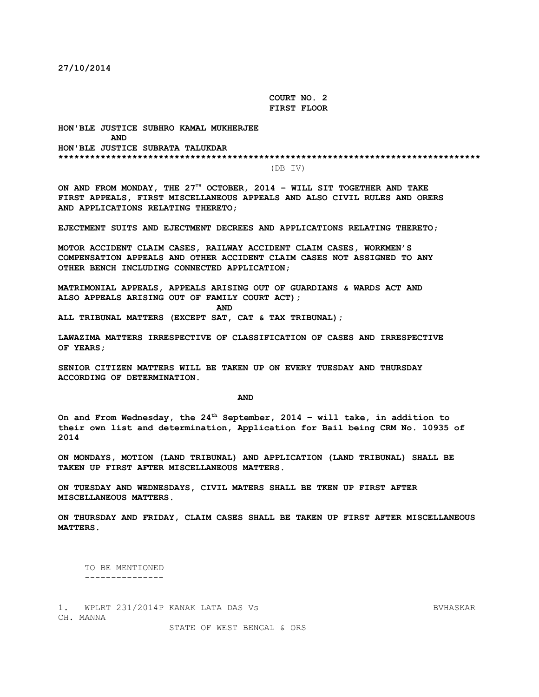**27/10/2014**

 **COURT NO. 2 FIRST FLOOR**

**HON'BLE JUSTICE SUBHRO KAMAL MUKHERJEE AND HON'BLE JUSTICE SUBRATA TALUKDAR \*\*\*\*\*\*\*\*\*\*\*\*\*\*\*\*\*\*\*\*\*\*\*\*\*\*\*\*\*\*\*\*\*\*\*\*\*\*\*\*\*\*\*\*\*\*\*\*\*\*\*\*\*\*\*\*\*\*\*\*\*\*\*\*\*\*\*\*\*\*\*\*\*\*\*\*\*\*\*\***

(DB IV)

**ON AND FROM MONDAY, THE 27TH OCTOBER, 2014 – WILL SIT TOGETHER AND TAKE FIRST APPEALS, FIRST MISCELLANEOUS APPEALS AND ALSO CIVIL RULES AND ORERS AND APPLICATIONS RELATING THERETO;**

**EJECTMENT SUITS AND EJECTMENT DECREES AND APPLICATIONS RELATING THERETO;**

**MOTOR ACCIDENT CLAIM CASES, RAILWAY ACCIDENT CLAIM CASES, WORKMEN'S COMPENSATION APPEALS AND OTHER ACCIDENT CLAIM CASES NOT ASSIGNED TO ANY OTHER BENCH INCLUDING CONNECTED APPLICATION;**

**MATRIMONIAL APPEALS, APPEALS ARISING OUT OF GUARDIANS & WARDS ACT AND ALSO APPEALS ARISING OUT OF FAMILY COURT ACT);**

*AND* 

**ALL TRIBUNAL MATTERS (EXCEPT SAT, CAT & TAX TRIBUNAL);**

**LAWAZIMA MATTERS IRRESPECTIVE OF CLASSIFICATION OF CASES AND IRRESPECTIVE OF YEARS;**

**SENIOR CITIZEN MATTERS WILL BE TAKEN UP ON EVERY TUESDAY AND THURSDAY ACCORDING OF DETERMINATION.**

 **AND**

**On and From Wednesday, the 24th September, 2014 – will take, in addition to their own list and determination, Application for Bail being CRM No. 10935 of 2014**

**ON MONDAYS, MOTION (LAND TRIBUNAL) AND APPLICATION (LAND TRIBUNAL) SHALL BE TAKEN UP FIRST AFTER MISCELLANEOUS MATTERS.**

**ON TUESDAY AND WEDNESDAYS, CIVIL MATERS SHALL BE TKEN UP FIRST AFTER MISCELLANEOUS MATTERS.**

**ON THURSDAY AND FRIDAY, CLAIM CASES SHALL BE TAKEN UP FIRST AFTER MISCELLANEOUS MATTERS.**

 TO BE MENTIONED ---------------

1. WPLRT 231/2014P KANAK LATA DAS Vs BVHASKAR CH. MANNA

STATE OF WEST BENGAL & ORS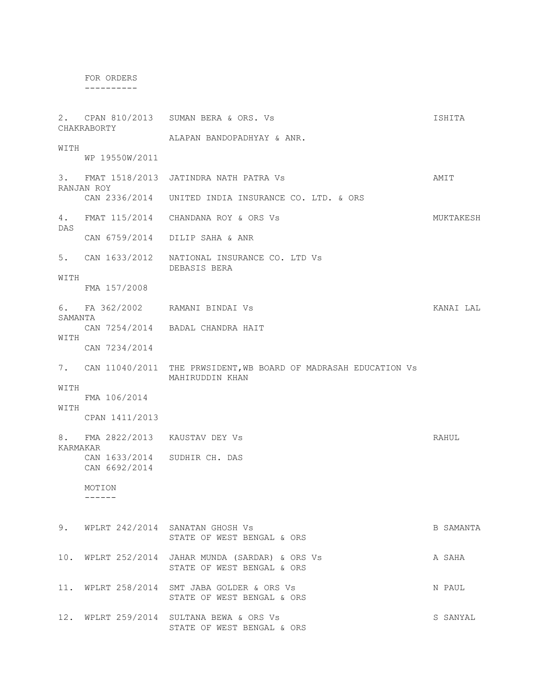FOR ORDERS

----------

2. CPAN 810/2013 SUMAN BERA & ORS. Vs ISHITA CHAKRABORTY ALAPAN BANDOPADHYAY & ANR. **WITH**  WP 19550W/2011 3. FMAT 1518/2013 JATINDRA NATH PATRA Vs AMIT RANJAN ROY CAN 2336/2014 UNITED INDIA INSURANCE CO. LTD. & ORS 4. FMAT 115/2014 CHANDANA ROY & ORS Vs **MUKTAKESH** DAS CAN 6759/2014 DILIP SAHA & ANR 5. CAN 1633/2012 NATIONAL INSURANCE CO. LTD Vs DEBASIS BERA WITH FMA 157/2008 6. FA 362/2002 RAMANI BINDAI Vs **KANAI LAL** SAMANTA CAN 7254/2014 BADAL CHANDRA HAIT WITH CAN 7234/2014 7. CAN 11040/2011 THE PRWSIDENT,WB BOARD OF MADRASAH EDUCATION Vs MAHIRUDDIN KHAN WITH FMA 106/2014 WITH CPAN 1411/2013 8. FMA 2822/2013 KAUSTAV DEY Vs RAHUL KARMAKAR CAN 1633/2014 SUDHIR CH. DAS CAN 6692/2014 MOTION ------ 9. WPLRT 242/2014 SANATAN GHOSH Vs B SAMANTA STATE OF WEST BENGAL & ORS 10. WPLRT 252/2014 JAHAR MUNDA (SARDAR) & ORS Vs A SAHA STATE OF WEST BENGAL & ORS 11. WPLRT 258/2014 SMT JABA GOLDER & ORS Vs N PAUL STATE OF WEST BENGAL & ORS 12. WPLRT 259/2014 SULTANA BEWA & ORS Vs SANYAL STATE OF WEST BENGAL & ORS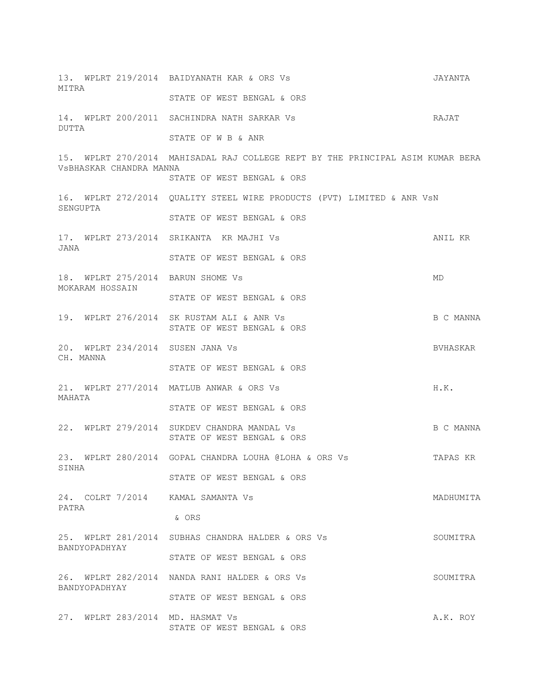| MITRA    |                                               |                                                       | 13. WPLRT 219/2014 BAIDYANATH KAR & ORS Vs                                     | JAYANTA   |
|----------|-----------------------------------------------|-------------------------------------------------------|--------------------------------------------------------------------------------|-----------|
|          |                                               |                                                       | STATE OF WEST BENGAL & ORS                                                     |           |
| DUTTA    |                                               |                                                       | 14. WPLRT 200/2011 SACHINDRA NATH SARKAR Vs                                    | RAJAT     |
|          |                                               |                                                       | STATE OF W B & ANR                                                             |           |
|          |                                               | VSBHASKAR CHANDRA MANNA                               | 15. WPLRT 270/2014 MAHISADAL RAJ COLLEGE REPT BY THE PRINCIPAL ASIM KUMAR BERA |           |
|          |                                               |                                                       | STATE OF WEST BENGAL & ORS                                                     |           |
| SENGUPTA |                                               |                                                       | 16. WPLRT 272/2014 QUALITY STEEL WIRE PRODUCTS (PVT) LIMITED & ANR VSN         |           |
|          |                                               |                                                       | STATE OF WEST BENGAL & ORS                                                     |           |
| JANA     |                                               |                                                       | 17. WPLRT 273/2014 SRIKANTA KR MAJHI Vs                                        | ANIL KR   |
|          |                                               |                                                       | STATE OF WEST BENGAL & ORS                                                     |           |
|          | MOKARAM HOSSAIN                               |                                                       | 18. WPLRT 275/2014 BARUN SHOME Vs                                              | MD        |
|          |                                               |                                                       | STATE OF WEST BENGAL & ORS                                                     |           |
|          |                                               |                                                       | 19. WPLRT 276/2014 SK RUSTAM ALI & ANR Vs<br>STATE OF WEST BENGAL & ORS        | B C MANNA |
|          | 20. WPLRT 234/2014 SUSEN JANA Vs<br>CH. MANNA |                                                       |                                                                                | BVHASKAR  |
|          |                                               | STATE OF WEST BENGAL & ORS                            |                                                                                |           |
|          |                                               | 21. WPLRT 277/2014 MATLUB ANWAR & ORS Vs              | H.K.                                                                           |           |
| MAHATA   |                                               |                                                       | STATE OF WEST BENGAL & ORS                                                     |           |
|          |                                               |                                                       | 22. WPLRT 279/2014 SUKDEV CHANDRA MANDAL Vs<br>STATE OF WEST BENGAL & ORS      | B C MANNA |
| SINHA    |                                               | 23. WPLRT 280/2014 GOPAL CHANDRA LOUHA @LOHA & ORS Vs | TAPAS KR                                                                       |           |
|          |                                               |                                                       | STATE OF WEST BENGAL & ORS                                                     |           |
| PATRA    |                                               |                                                       | 24. COLRT 7/2014 KAMAL SAMANTA Vs                                              | MADHUMITA |
|          |                                               |                                                       | & ORS                                                                          |           |
|          |                                               |                                                       | 25. WPLRT 281/2014 SUBHAS CHANDRA HALDER & ORS Vs                              | SOUMITRA  |
|          | BANDYOPADHYAY                                 |                                                       | STATE OF WEST BENGAL & ORS                                                     |           |
|          |                                               |                                                       | 26. WPLRT 282/2014 NANDA RANI HALDER & ORS Vs                                  | SOUMITRA  |
|          | BANDYOPADHYAY                                 |                                                       | STATE OF WEST BENGAL & ORS                                                     |           |
|          |                                               |                                                       | 27. WPLRT 283/2014 MD. HASMAT Vs<br>STATE OF WEST BENGAL & ORS                 | A.K. ROY  |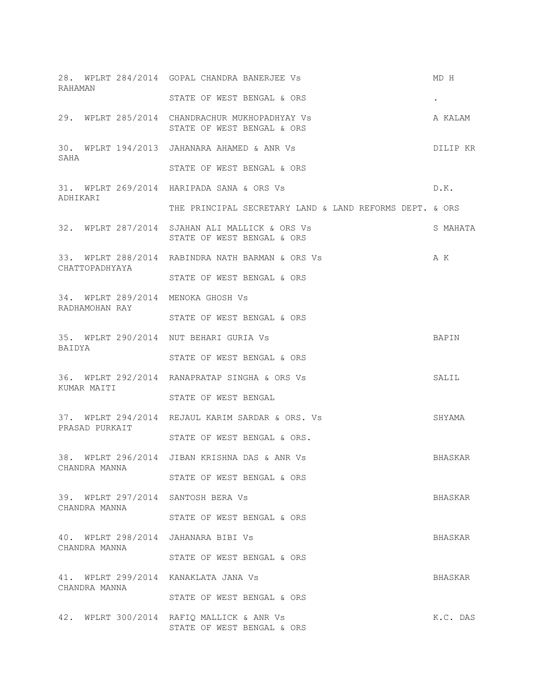28. WPLRT 284/2014 GOPAL CHANDRA BANERJEE Vs MD H RAHAMAN STATE OF WEST BENGAL & ORS  $\qquad \qquad .$ 29. WPLRT 285/2014 CHANDRACHUR MUKHOPADHYAY Vs A KALAM STATE OF WEST BENGAL & ORS 30. WPLRT 194/2013 JAHANARA AHAMED & ANR Vs DILIP KR SAHA STATE OF WEST BENGAL & ORS 31. WPLRT 269/2014 HARIPADA SANA & ORS Vs D.K. ADHIKARI THE PRINCIPAL SECRETARY LAND & LAND REFORMS DEPT. & ORS 32. WPLRT 287/2014 SJAHAN ALI MALLICK & ORS Vs SMAHATA STATE OF WEST BENGAL & ORS 33. WPLRT 288/2014 RABINDRA NATH BARMAN & ORS Vs A K CHATTOPADHYAYA STATE OF WEST BENGAL & ORS 34. WPLRT 289/2014 MENOKA GHOSH Vs RADHAMOHAN RAY STATE OF WEST BENGAL & ORS 35. WPLRT 290/2014 NUT BEHARI GURIA Vs BAPIN BAIDYA STATE OF WEST BENGAL & ORS 36. WPLRT 292/2014 RANAPRATAP SINGHA & ORS Vs SALIL KUMAR MAITI STATE OF WEST BENGAL 37. WPLRT 294/2014 REJAUL KARIM SARDAR & ORS. Vs SHYAMA PRASAD PURKAIT STATE OF WEST BENGAL & ORS. 38. WPLRT 296/2014 JIBAN KRISHNA DAS & ANR Vs BHASKAR CHANDRA MANNA STATE OF WEST BENGAL & ORS 39. WPLRT 297/2014 SANTOSH BERA Vs BHASKAR CHANDRA MANNA STATE OF WEST BENGAL & ORS 40. WPLRT 298/2014 JAHANARA BIBI Vs SHASKAR CHANDRA MANNA STATE OF WEST BENGAL & ORS 41. WPLRT 299/2014 KANAKLATA JANA Vs BHASKAR CHANDRA MANNA STATE OF WEST BENGAL & ORS 42. WPLRT 300/2014 RAFIQ MALLICK & ANR Vs K.C. DAS STATE OF WEST BENGAL & ORS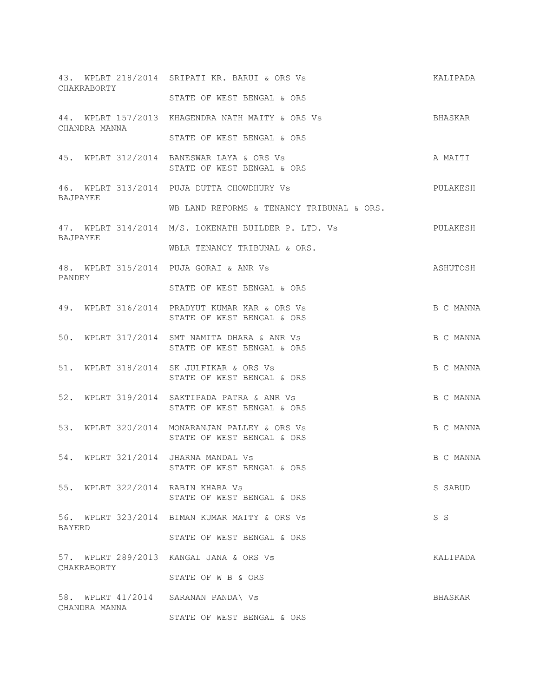| CHAKRABORTY                                          | 43. WPLRT 218/2014 SRIPATI KR. BARUI & ORS Vs                               | KALIPADA  |
|------------------------------------------------------|-----------------------------------------------------------------------------|-----------|
|                                                      | STATE OF WEST BENGAL & ORS                                                  |           |
| CHANDRA MANNA                                        | 44. WPLRT 157/2013 KHAGENDRA NATH MAITY & ORS Vs                            | BHASKAR   |
|                                                      | STATE OF WEST BENGAL & ORS                                                  |           |
|                                                      | 45. WPLRT 312/2014 BANESWAR LAYA & ORS Vs<br>STATE OF WEST BENGAL & ORS     | A MAITI   |
| BAJPAYEE                                             | 46. WPLRT 313/2014 PUJA DUTTA CHOWDHURY Vs                                  | PULAKESH  |
|                                                      | WB LAND REFORMS & TENANCY TRIBUNAL & ORS.                                   |           |
| BAJPAYEE                                             | 47. WPLRT 314/2014 M/S. LOKENATH BUILDER P. LTD. Vs                         | PULAKESH  |
|                                                      | WBLR TENANCY TRIBUNAL & ORS.                                                |           |
| PANDEY                                               | 48. WPLRT 315/2014 PUJA GORAI & ANR Vs                                      | ASHUTOSH  |
|                                                      | STATE OF WEST BENGAL & ORS                                                  |           |
|                                                      | 49. WPLRT 316/2014 PRADYUT KUMAR KAR & ORS Vs<br>STATE OF WEST BENGAL & ORS | B C MANNA |
|                                                      | 50. WPLRT 317/2014 SMT NAMITA DHARA & ANR Vs<br>STATE OF WEST BENGAL & ORS  | B C MANNA |
|                                                      | 51. WPLRT 318/2014 SK JULFIKAR & ORS Vs<br>STATE OF WEST BENGAL & ORS       | B C MANNA |
|                                                      | 52. WPLRT 319/2014 SAKTIPADA PATRA & ANR Vs<br>STATE OF WEST BENGAL & ORS   | B C MANNA |
|                                                      | 53. WPLRT 320/2014 MONARANJAN PALLEY & ORS Vs<br>STATE OF WEST BENGAL & ORS | B C MANNA |
| 54. WPLRT 321/2014 JHARNA MANDAL Vs                  | STATE OF WEST BENGAL & ORS                                                  | B C MANNA |
| 55. WPLRT 322/2014 RABIN KHARA Vs                    | STATE OF WEST BENGAL & ORS                                                  | S SABUD   |
| BAYERD                                               | 56. WPLRT 323/2014 BIMAN KUMAR MAITY & ORS Vs                               | S S       |
|                                                      | STATE OF WEST BENGAL & ORS                                                  |           |
| CHAKRABORTY                                          | 57. WPLRT 289/2013 KANGAL JANA & ORS Vs                                     | KALIPADA  |
|                                                      | STATE OF W B & ORS                                                          |           |
| 58. WPLRT 41/2014 SARANAN PANDA\ Vs<br>CHANDRA MANNA |                                                                             | BHASKAR   |
|                                                      | STATE OF WEST BENGAL & ORS                                                  |           |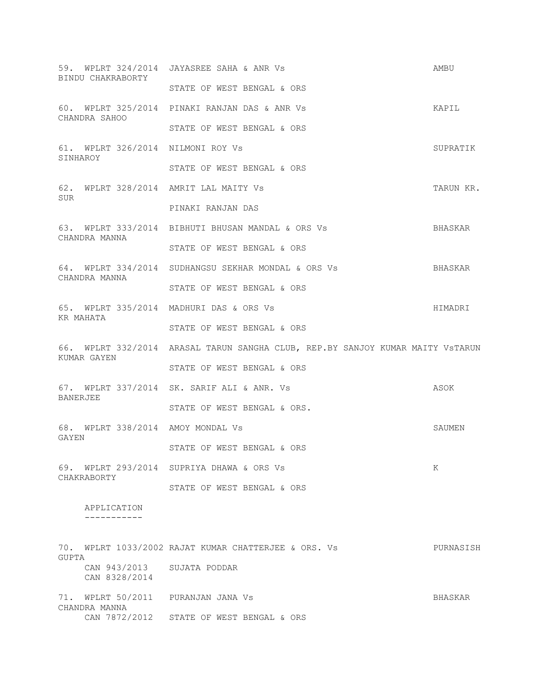|             | BINDU CHAKRABORTY                           | 59. WPLRT 324/2014 JAYASREE SAHA & ANR Vs                                      | AMBU      |
|-------------|---------------------------------------------|--------------------------------------------------------------------------------|-----------|
|             |                                             | STATE OF WEST BENGAL & ORS                                                     |           |
|             | CHANDRA SAHOO                               | 60. WPLRT 325/2014 PINAKI RANJAN DAS & ANR Vs                                  | KAPIL     |
|             |                                             | STATE OF WEST BENGAL & ORS                                                     |           |
| SINHAROY    | 61. WPLRT 326/2014 NILMONI ROY Vs           |                                                                                | SUPRATIK  |
|             |                                             | STATE OF WEST BENGAL & ORS                                                     |           |
| SUR         |                                             | 62. WPLRT 328/2014 AMRIT LAL MAITY Vs                                          | TARUN KR. |
|             |                                             | PINAKI RANJAN DAS                                                              |           |
|             | CHANDRA MANNA                               | 63. WPLRT 333/2014 BIBHUTI BHUSAN MANDAL & ORS Vs                              | BHASKAR   |
|             |                                             | STATE OF WEST BENGAL & ORS                                                     |           |
|             | CHANDRA MANNA                               | 64. WPLRT 334/2014 SUDHANGSU SEKHAR MONDAL & ORS Vs                            | BHASKAR   |
|             |                                             | STATE OF WEST BENGAL & ORS                                                     |           |
| KR MAHATA   |                                             | 65. WPLRT 335/2014 MADHURI DAS & ORS Vs                                        | HIMADRI   |
|             |                                             | STATE OF WEST BENGAL & ORS                                                     |           |
|             | KUMAR GAYEN                                 | 66. WPLRT 332/2014 ARASAL TARUN SANGHA CLUB, REP.BY SANJOY KUMAR MAITY VSTARUN |           |
|             |                                             | STATE OF WEST BENGAL & ORS                                                     |           |
| BANERJEE    |                                             | 67. WPLRT 337/2014 SK. SARIF ALI & ANR. Vs                                     | ASOK      |
|             |                                             | STATE OF WEST BENGAL & ORS.                                                    |           |
| GAYEN       | 68. WPLRT 338/2014 AMOY MONDAL Vs           |                                                                                | SAUMEN    |
|             |                                             | STATE OF WEST BENGAL & ORS                                                     |           |
| CHAKRABORTY |                                             | 69. WPLRT 293/2014 SUPRIYA DHAWA & ORS Vs                                      | K         |
|             |                                             | STATE OF WEST BENGAL & ORS                                                     |           |
|             | APPLICATION<br>---------                    |                                                                                |           |
|             |                                             |                                                                                |           |
| GUPTA       |                                             | 70. WPLRT 1033/2002 RAJAT KUMAR CHATTERJEE & ORS. Vs                           | PURNASISH |
|             | CAN 943/2013 SUJATA PODDAR<br>CAN 8328/2014 |                                                                                |           |
|             | CHANDRA MANNA                               | 71. WPLRT 50/2011 PURANJAN JANA Vs                                             | BHASKAR   |
|             |                                             | CAN 7872/2012 STATE OF WEST BENGAL & ORS                                       |           |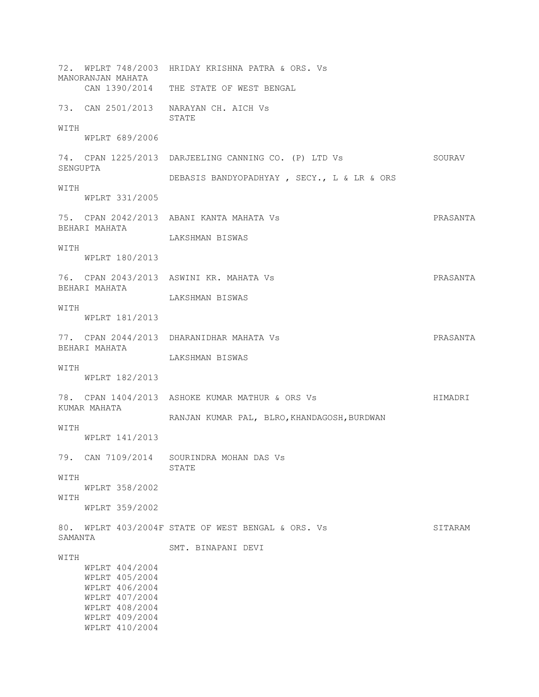72. WPLRT 748/2003 HRIDAY KRISHNA PATRA & ORS. Vs MANORANJAN MAHATA CAN 1390/2014 THE STATE OF WEST BENGAL 73. CAN 2501/2013 NARAYAN CH. AICH Vs STATE WITH WPLRT 689/2006 74. CPAN 1225/2013 DARJEELING CANNING CO. (P) LTD Vs SOURAV SENGUPTA DEBASIS BANDYOPADHYAY , SECY., L & LR & ORS WITH WPLRT 331/2005 75. CPAN 2042/2013 ABANI KANTA MAHATA Vs PRASANTA BEHARI MAHATA LAKSHMAN BISWAS WITH WPLRT 180/2013 76. CPAN 2043/2013 ASWINI KR. MAHATA Vs PRASANTA BEHARI MAHATA LAKSHMAN BISWAS **WITH**  WPLRT 181/2013 77. CPAN 2044/2013 DHARANIDHAR MAHATA Vs PRASANTA BEHARI MAHATA LAKSHMAN BISWAS WITH WPLRT 182/2013 78. CPAN 1404/2013 ASHOKE KUMAR MATHUR & ORS Vs HIMADRI KUMAR MAHATA RANJAN KUMAR PAL, BLRO, KHANDAGOSH, BURDWAN WITH WPLRT 141/2013 79. CAN 7109/2014 SOURINDRA MOHAN DAS Vs STATE WITH WPLRT 358/2002 WITH WPLRT 359/2002 80. WPLRT 403/2004F STATE OF WEST BENGAL & ORS. Vs SITARAM SAMANTA SMT. BINAPANI DEVI WITH WPLRT 404/2004 WPLRT 405/2004 WPLRT 406/2004 WPLRT 407/2004 WPLRT 408/2004 WPLRT 409/2004 WPLRT 410/2004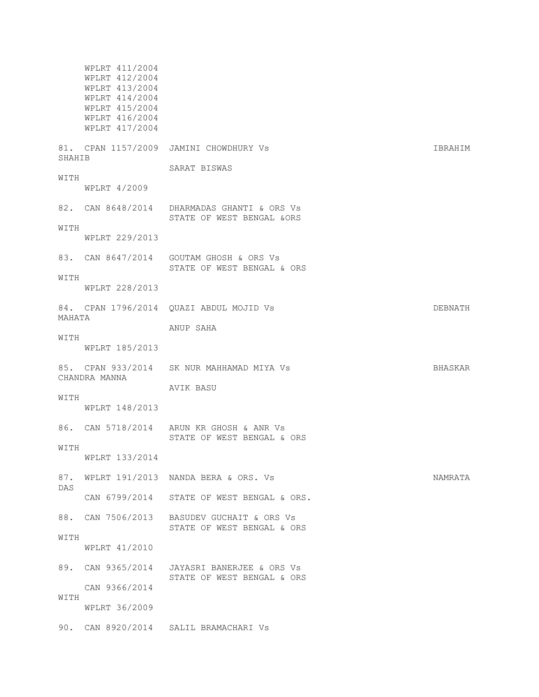WPLRT 411/2004 WPLRT 412/2004 WPLRT 413/2004 WPLRT 414/2004 WPLRT 415/2004 WPLRT 416/2004 WPLRT 417/2004 81. CPAN 1157/2009 JAMINI CHOWDHURY Vs Sandbook of the March 18 Separation of the Separation of the Separation of the Separation of the Separation of the Separation of the Separation of the Separation of the Separation of SHAHIB SARAT BISWAS WITH WPLRT 4/2009 82. CAN 8648/2014 DHARMADAS GHANTI & ORS Vs STATE OF WEST BENGAL &ORS WITH WPLRT 229/2013 83. CAN 8647/2014 GOUTAM GHOSH & ORS Vs STATE OF WEST BENGAL & ORS WITH WPLRT 228/2013 84. CPAN 1796/2014 OUAZI ABDUL MOJID Vs **DEBNATH** MAHATA ANUP SAHA WITH WPLRT 185/2013 85. CPAN 933/2014 SK NUR MAHHAMAD MIYA Vs SHASKAR CHANDRA MANNA AVIK BASU WITH WPLRT 148/2013 86. CAN 5718/2014 ARUN KR GHOSH & ANR Vs STATE OF WEST BENGAL & ORS WITH WPLRT 133/2014 87. WPLRT 191/2013 NANDA BERA & ORS. Vs NAMRATA DAS CAN 6799/2014 STATE OF WEST BENGAL & ORS. 88. CAN 7506/2013 BASUDEV GUCHAIT & ORS Vs STATE OF WEST BENGAL & ORS WITH WPLRT 41/2010 89. CAN 9365/2014 JAYASRI BANERJEE & ORS Vs STATE OF WEST BENGAL & ORS CAN 9366/2014 WITH WPLRT 36/2009 90. CAN 8920/2014 SALIL BRAMACHARI Vs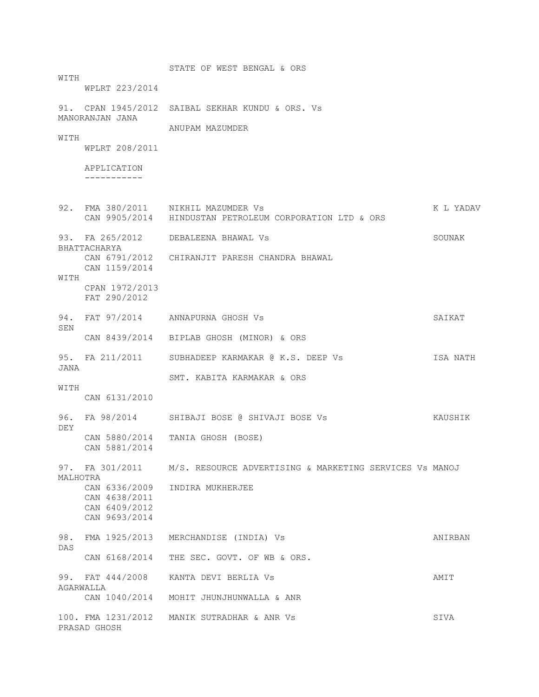STATE OF WEST BENGAL & ORS **WITTH**  WPLRT 223/2014 91. CPAN 1945/2012 SAIBAL SEKHAR KUNDU & ORS. Vs MANORANJAN JANA ANUPAM MAZUMDER **WITH**  WPLRT 208/2011 APPLICATION ----------- 92. FMA 380/2011 NIKHIL MAZUMDER Vs K L YADAV CAN 9905/2014 HINDUSTAN PETROLEUM CORPORATION LTD & ORS 93. FA 265/2012 DEBALEENA BHAWAL Vs SOUNAK BHATTACHARYA CAN 6791/2012 CHIRANJIT PARESH CHANDRA BHAWAL CAN 1159/2014 WITH CPAN 1972/2013 FAT 290/2012 94. FAT 97/2014 ANNAPURNA GHOSH Vs SAIKAT SEN CAN 8439/2014 BIPLAB GHOSH (MINOR) & ORS 95. FA 211/2011 SUBHADEEP KARMAKAR @ K.S. DEEP Vs ISA NATH JANA SMT. KABITA KARMAKAR & ORS WITH CAN 6131/2010 96. FA 98/2014 SHIBAJI BOSE @ SHIVAJI BOSE Vs KAUSHIK DEY CAN 5880/2014 TANIA GHOSH (BOSE) CAN 5881/2014 97. FA 301/2011 M/S. RESOURCE ADVERTISING & MARKETING SERVICES Vs MANOJ MALHOTRA CAN 6336/2009 INDIRA MUKHERJEE CAN 4638/2011 CAN 6409/2012 CAN 9693/2014 98. FMA 1925/2013 MERCHANDISE (INDIA) Vs ANIRBAN DAS CAN 6168/2014 THE SEC. GOVT. OF WB & ORS. 99. FAT 444/2008 KANTA DEVI BERLIA Vs AMIT AGARWALLA CAN 1040/2014 MOHIT JHUNJHUNWALLA & ANR 100. FMA 1231/2012 MANIK SUTRADHAR & ANR Vs SIVA PRASAD GHOSH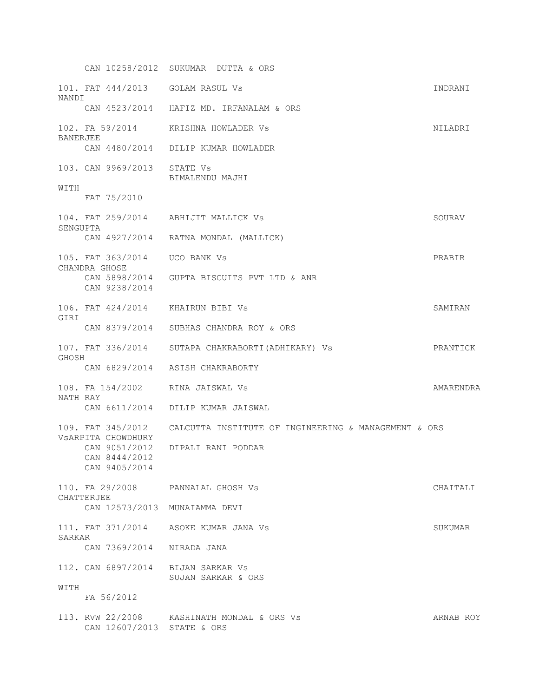CAN 10258/2012 SUKUMAR DUTTA & ORS 101. FAT 444/2013 GOLAM RASUL Vs INDRANI NANDI CAN 4523/2014 HAFIZ MD. IRFANALAM & ORS 102. FA 59/2014 KRISHNA HOWLADER Vs NILADRI BANERJEE CAN 4480/2014 DILIP KUMAR HOWLADER 103. CAN 9969/2013 STATE Vs BIMALENDU MAJHI WITH FAT 75/2010 104. FAT 259/2014 ABHIJIT MALLICK Vs SOURAV SENGUPTA CAN 4927/2014 RATNA MONDAL (MALLICK) 105. FAT 363/2014 UCO BANK Vs PRABIR CHANDRA GHOSE CAN 5898/2014 GUPTA BISCUITS PVT LTD & ANR CAN 9238/2014 106. FAT 424/2014 KHAIRUN BIBI Vs SAMIRAN GIRI CAN 8379/2014 SUBHAS CHANDRA ROY & ORS 107. FAT 336/2014 SUTAPA CHAKRABORTI(ADHIKARY) Vs PRANTICK GHOSH CAN 6829/2014 ASISH CHAKRABORTY 108. FA 154/2002 RINA JAISWAL Vs AMARENDRA NATH RAY CAN 6611/2014 DILIP KUMAR JAISWAL 109. FAT 345/2012 CALCUTTA INSTITUTE OF INGINEERING & MANAGEMENT & ORS VsARPITA CHOWDHURY CAN 9051/2012 DIPALI RANI PODDAR CAN 8444/2012 CAN 9405/2014 110. FA 29/2008 PANNALAL GHOSH Vs CHAITALI CHATTERJEE CAN 12573/2013 MUNAIAMMA DEVI 111. FAT 371/2014 ASOKE KUMAR JANA Vs SUKUMAR SARKAR CAN 7369/2014 NIRADA JANA 112. CAN 6897/2014 BIJAN SARKAR Vs SUJAN SARKAR & ORS WITH FA 56/2012 113. RVW 22/2008 KASHINATH MONDAL & ORS Vs **ARNAB ROY** CAN 12607/2013 STATE & ORS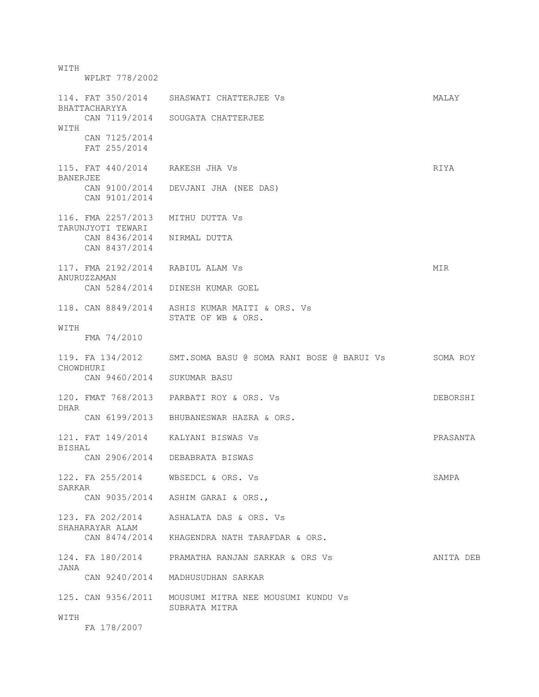WITH WPLRT 778/2002 114. FAT 350/2014 SHASWATI CHATTERJEE Vs **MALAY** BHATTACHARYYA CAN 7119/2014 SOUGATA CHATTERJEE WITH CAN 7125/2014 FAT 255/2014 115. FAT 440/2014 RAKESH JHA Vs RIYA BANERJEE CAN 9100/2014 DEVJANI JHA (NEE DAS) CAN 9101/2014 116. FMA 2257/2013 MITHU DUTTA Vs TARUNJYOTI TEWARI CAN 8436/2014 NIRMAL DUTTA CAN 8437/2014 117. FMA 2192/2014 RABIUL ALAM Vs MIR ANURUZZAMAN CAN 5284/2014 DINESH KUMAR GOEL 118. CAN 8849/2014 ASHIS KUMAR MAITI & ORS. Vs STATE OF WB & ORS. WITH FMA 74/2010 119. FA 134/2012 SMT.SOMA BASU @ SOMA RANI BOSE @ BARUI Vs SOMA ROY CHOWDHURI CAN 9460/2014 SUKUMAR BASU 120. FMAT 768/2013 PARBATI ROY & ORS. Vs DEBORSHI DHAR CAN 6199/2013 BHUBANESWAR HAZRA & ORS. 121. FAT 149/2014 KALYANI BISWAS Vs PRASANTA BISHAL CAN 2906/2014 DEBABRATA BISWAS 122. FA 255/2014 WBSEDCL & ORS. Vs SAMPA SARKAR CAN 9035/2014 ASHIM GARAI & ORS., 123. FA 202/2014 ASHALATA DAS & ORS. Vs SHAHARAYAR ALAM CAN 8474/2014 KHAGENDRA NATH TARAFDAR & ORS. 124. FA 180/2014 PRAMATHA RANJAN SARKAR & ORS Vs ANITA DEB JANA CAN 9240/2014 MADHUSUDHAN SARKAR 125. CAN 9356/2011 MOUSUMI MITRA NEE MOUSUMI KUNDU Vs SUBRATA MITRA WITH FA 178/2007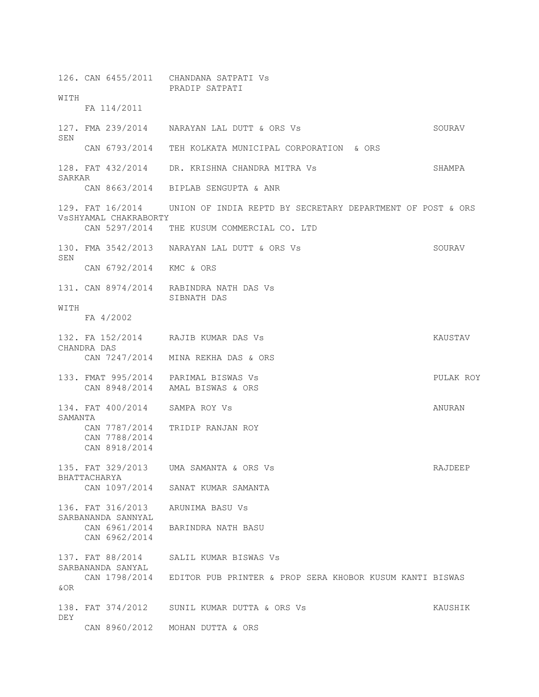126. CAN 6455/2011 CHANDANA SATPATI Vs PRADIP SATPATI WITH FA 114/2011 127. FMA 239/2014 NARAYAN LAL DUTT & ORS Vs SOURAV SEN CAN 6793/2014 TEH KOLKATA MUNICIPAL CORPORATION & ORS 128. FAT 432/2014 DR. KRISHNA CHANDRA MITRA Vs SHAMPA SARKAR CAN 8663/2014 BIPLAB SENGUPTA & ANR 129. FAT 16/2014 UNION OF INDIA REPTD BY SECRETARY DEPARTMENT OF POST & ORS VsSHYAMAL CHAKRABORTY CAN 5297/2014 THE KUSUM COMMERCIAL CO. LTD 130. FMA 3542/2013 NARAYAN LAL DUTT & ORS Vs SOURAV SEN CAN 6792/2014 KMC & ORS 131. CAN 8974/2014 RABINDRA NATH DAS Vs SIBNATH DAS **WITH**  FA 4/2002 132. FA 152/2014 RAJIB KUMAR DAS Vs KAUSTAV CHANDRA DAS CAN 7247/2014 MINA REKHA DAS & ORS 133. FMAT 995/2014 PARIMAL BISWAS Vs PULAK ROY CAN 8948/2014 AMAL BISWAS & ORS 134. FAT 400/2014 SAMPA ROY Vs ANURAN SAMANTA CAN 7787/2014 TRIDIP RANJAN ROY CAN 7788/2014 CAN 8918/2014 135. FAT 329/2013 UMA SAMANTA & ORS Vs Sammer School and the RAJDEEP BHATTACHARYA CAN 1097/2014 SANAT KUMAR SAMANTA 136. FAT 316/2013 ARUNIMA BASU Vs SARBANANDA SANNYAL CAN 6961/2014 BARINDRA NATH BASU CAN 6962/2014 137. FAT 88/2014 SALIL KUMAR BISWAS Vs SARBANANDA SANYAL CAN 1798/2014 EDITOR PUB PRINTER & PROP SERA KHOBOR KUSUM KANTI BISWAS &OR 138. FAT 374/2012 SUNIL KUMAR DUTTA & ORS Vs KAUSHIK DEY CAN 8960/2012 MOHAN DUTTA & ORS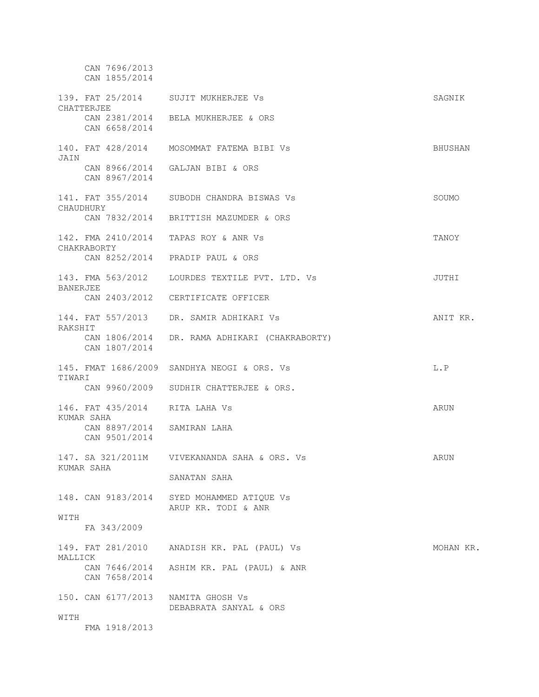CAN 7696/2013 CAN 1855/2014 139. FAT 25/2014 SUJIT MUKHERJEE Vs SAGNIK CHATTERJEE CAN 2381/2014 BELA MUKHERJEE & ORS CAN 6658/2014 140. FAT 428/2014 MOSOMMAT FATEMA BIBI Vs BHUSHAN JAIN CAN 8966/2014 GALJAN BIBI & ORS CAN 8967/2014 141. FAT 355/2014 SUBODH CHANDRA BISWAS Vs SOUMO CHAUDHURY CAN 7832/2014 BRITTISH MAZUMDER & ORS 142. FMA 2410/2014 TAPAS ROY & ANR Vs TANOY CHAKRABORTY CAN 8252/2014 PRADIP PAUL & ORS 143. FMA 563/2012 LOURDES TEXTILE PVT. LTD. Vs JUTHI BANERJEE CAN 2403/2012 CERTIFICATE OFFICER 144. FAT 557/2013 DR. SAMIR ADHIKARI Vs ANIT KR. RAKSHIT CAN 1806/2014 DR. RAMA ADHIKARI (CHAKRABORTY) CAN 1807/2014 145. FMAT 1686/2009 SANDHYA NEOGI & ORS. Vs L.P TIWARI CAN 9960/2009 SUDHIR CHATTERJEE & ORS. 146. FAT 435/2014 RITA LAHA Vs ARUN KUMAR SAHA CAN 8897/2014 SAMIRAN LAHA CAN 9501/2014 147. SA 321/2011M VIVEKANANDA SAHA & ORS. Vs ARUN KUMAR SAHA SANATAN SAHA 148. CAN 9183/2014 SYED MOHAMMED ATIQUE Vs ARUP KR. TODI & ANR WITH FA 343/2009 149. FAT 281/2010 ANADISH KR. PAL (PAUL) Vs MOHAN KR. MALLICK CAN 7646/2014 ASHIM KR. PAL (PAUL) & ANR CAN 7658/2014 150. CAN 6177/2013 NAMITA GHOSH Vs DEBABRATA SANYAL & ORS **WITH** FMA 1918/2013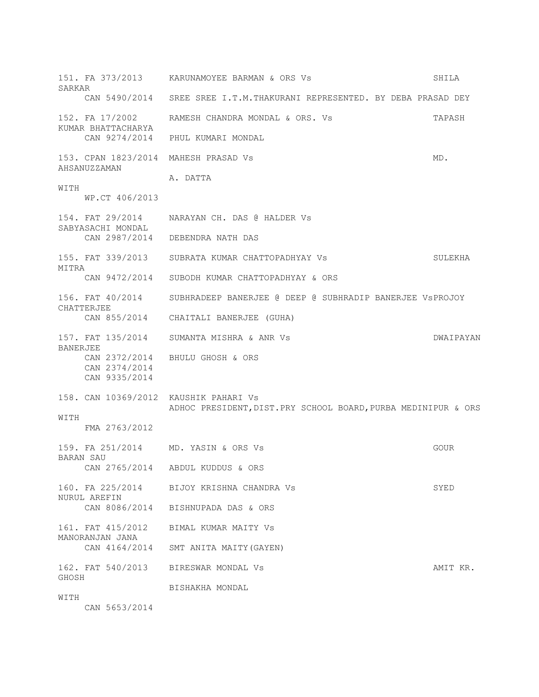151. FA 373/2013 KARUNAMOYEE BARMAN & ORS Vs SHILA SARKAR CAN 5490/2014 SREE SREE I.T.M.THAKURANI REPRESENTED. BY DEBA PRASAD DEY 152. FA 17/2002 RAMESH CHANDRA MONDAL & ORS. Vs TAPASH KUMAR BHATTACHARYA CAN 9274/2014 PHUL KUMARI MONDAL 153. CPAN 1823/2014 MAHESH PRASAD Vs  $MD$ . AHSANUZZAMAN A. DATTA WITH WP.CT 406/2013 154. FAT 29/2014 NARAYAN CH. DAS @ HALDER Vs SABYASACHI MONDAL CAN 2987/2014 DEBENDRA NATH DAS 155. FAT 339/2013 SUBRATA KUMAR CHATTOPADHYAY Vs SULEKHA MITRA CAN 9472/2014 SUBODH KUMAR CHATTOPADHYAY & ORS 156. FAT 40/2014 SUBHRADEEP BANERJEE @ DEEP @ SUBHRADIP BANERJEE VsPROJOY CHATTERJEE CAN 855/2014 CHAITALI BANERJEE (GUHA) 157. FAT 135/2014 SUMANTA MISHRA & ANR Vs DWAIPAYAN BANERJEE CAN 2372/2014 BHULU GHOSH & ORS CAN 2374/2014 CAN 9335/2014 158. CAN 10369/2012 KAUSHIK PAHARI Vs ADHOC PRESIDENT,DIST.PRY SCHOOL BOARD,PURBA MEDINIPUR & ORS WITH FMA 2763/2012 159. FA 251/2014 MD. YASIN & ORS Vs GOUR BARAN SAU CAN 2765/2014 ABDUL KUDDUS & ORS 160. FA 225/2014 BIJOY KRISHNA CHANDRA Vs SYED NURUL AREFIN CAN 8086/2014 BISHNUPADA DAS & ORS 161. FAT 415/2012 BIMAL KUMAR MAITY Vs MANORANJAN JANA CAN 4164/2014 SMT ANITA MAITY(GAYEN) 162. FAT 540/2013 BIRESWAR MONDAL Vs **AMIT KR.** GHOSH BISHAKHA MONDAL WITH

CAN 5653/2014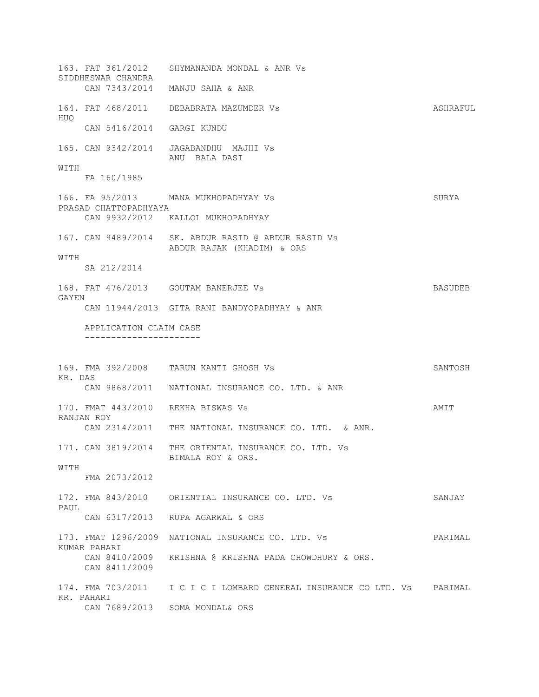163. FAT 361/2012 SHYMANANDA MONDAL & ANR Vs SIDDHESWAR CHANDRA CAN 7343/2014 MANJU SAHA & ANR 164. FAT 468/2011 DEBABRATA MAZUMDER Vs **ASHRAFUL** HUQ CAN 5416/2014 GARGI KUNDU 165. CAN 9342/2014 JAGABANDHU MAJHI Vs ANU BALA DASI WITH FA 160/1985 166. FA 95/2013 MANA MUKHOPADHYAY Vs SURYA PRASAD CHATTOPADHYAYA CAN 9932/2012 KALLOL MUKHOPADHYAY 167. CAN 9489/2014 SK. ABDUR RASID @ ABDUR RASID Vs ABDUR RAJAK (KHADIM) & ORS WITH SA 212/2014 168. FAT 476/2013 GOUTAM BANERJEE Vs BASUDEB GAYEN CAN 11944/2013 GITA RANI BANDYOPADHYAY & ANR APPLICATION CLAIM CASE ---------------------- 169. FMA 392/2008 TARUN KANTI GHOSH Vs SANTOSH KR. DAS CAN 9868/2011 NATIONAL INSURANCE CO. LTD. & ANR 170. FMAT 443/2010 REKHA BISWAS Vs AMIT RANJAN ROY CAN 2314/2011 THE NATIONAL INSURANCE CO. LTD. & ANR. 171. CAN 3819/2014 THE ORIENTAL INSURANCE CO. LTD. Vs BIMALA ROY & ORS. WITH FMA 2073/2012 172. FMA 843/2010 ORIENTIAL INSURANCE CO. LTD. Vs SANJAY PAUL CAN 6317/2013 RUPA AGARWAL & ORS 173. FMAT 1296/2009 NATIONAL INSURANCE CO. LTD. Vs PARIMAL KUMAR PAHARI CAN 8410/2009 KRISHNA @ KRISHNA PADA CHOWDHURY & ORS. CAN 8411/2009 174. FMA 703/2011 I C I C I LOMBARD GENERAL INSURANCE CO LTD. Vs PARIMAL KR. PAHARI CAN 7689/2013 SOMA MONDAL& ORS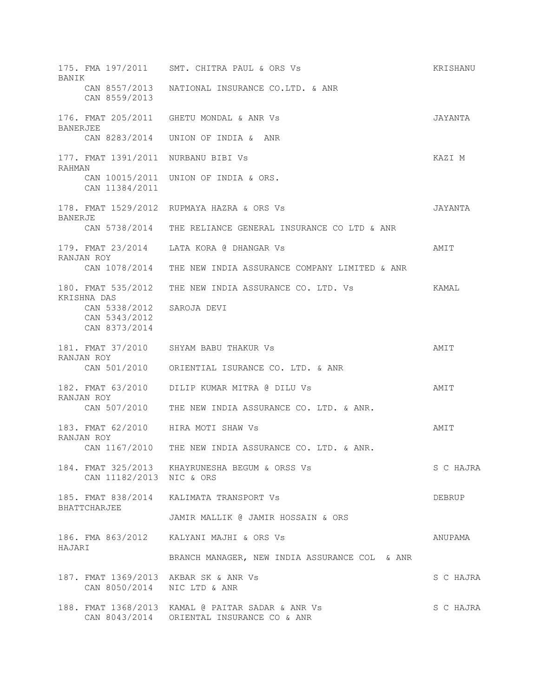| BANIK           |                                                 | 175. FMA 197/2011 SMT. CHITRA PAUL & ORS Vs                                                    | KRISHANU  |
|-----------------|-------------------------------------------------|------------------------------------------------------------------------------------------------|-----------|
|                 | CAN 8557/2013<br>CAN 8559/2013                  | NATIONAL INSURANCE CO.LTD. & ANR                                                               |           |
| <b>BANERJEE</b> |                                                 | 176. FMAT 205/2011 GHETU MONDAL & ANR Vs                                                       | JAYANTA   |
|                 | CAN 8283/2014                                   | UNION OF INDIA & ANR                                                                           |           |
| RAHMAN          |                                                 | 177. FMAT 1391/2011 NURBANU BIBI VS                                                            | KAZI M    |
|                 | CAN 11384/2011                                  | CAN 10015/2011 UNION OF INDIA & ORS.                                                           |           |
| BANERJE         |                                                 | 178. FMAT 1529/2012 RUPMAYA HAZRA & ORS Vs                                                     | JAYANTA   |
|                 |                                                 | CAN 5738/2014 THE RELIANCE GENERAL INSURANCE CO LTD & ANR                                      |           |
|                 | RANJAN ROY                                      | 179. FMAT 23/2014 LATA KORA @ DHANGAR Vs                                                       | AMIT      |
|                 |                                                 | CAN 1078/2014 THE NEW INDIA ASSURANCE COMPANY LIMITED & ANR                                    |           |
|                 | KRISHNA DAS                                     | 180. FMAT 535/2012 THE NEW INDIA ASSURANCE CO. LTD. Vs                                         | KAMAL     |
|                 | CAN 5338/2012<br>CAN 5343/2012<br>CAN 8373/2014 | SAROJA DEVI                                                                                    |           |
|                 |                                                 | 181. FMAT 37/2010 SHYAM BABU THAKUR Vs                                                         | AMIT      |
|                 | RANJAN ROY                                      | CAN 501/2010 ORIENTIAL ISURANCE CO. LTD. & ANR                                                 |           |
|                 | 182. FMAT 63/2010<br>RANJAN ROY                 | DILIP KUMAR MITRA @ DILU Vs                                                                    | AMIT      |
|                 |                                                 | CAN 507/2010 THE NEW INDIA ASSURANCE CO. LTD. & ANR.                                           |           |
|                 | RANJAN ROY                                      | 183. FMAT 62/2010 HIRA MOTI SHAW Vs                                                            | AMIT      |
|                 |                                                 | CAN 1167/2010 THE NEW INDIA ASSURANCE CO. LTD. & ANR.                                          |           |
|                 | CAN 11182/2013 NIC & ORS                        | 184. FMAT 325/2013 KHAYRUNESHA BEGUM & ORSS Vs                                                 | S C HAJRA |
|                 | BHATTCHARJEE                                    | 185. FMAT 838/2014 KALIMATA TRANSPORT Vs                                                       | DEBRUP    |
|                 |                                                 | JAMIR MALLIK @ JAMIR HOSSAIN & ORS                                                             |           |
|                 |                                                 | 186. FMA 863/2012 KALYANI MAJHI & ORS Vs                                                       | ANUPAMA   |
| HAJARI          |                                                 | BRANCH MANAGER, NEW INDIA ASSURANCE COL & ANR                                                  |           |
|                 | CAN 8050/2014 NIC LTD & ANR                     | 187. FMAT 1369/2013 AKBAR SK & ANR Vs                                                          | S C HAJRA |
|                 |                                                 | 188. FMAT 1368/2013 KAMAL @ PAITAR SADAR & ANR Vs<br>CAN 8043/2014 ORIENTAL INSURANCE CO & ANR | S C HAJRA |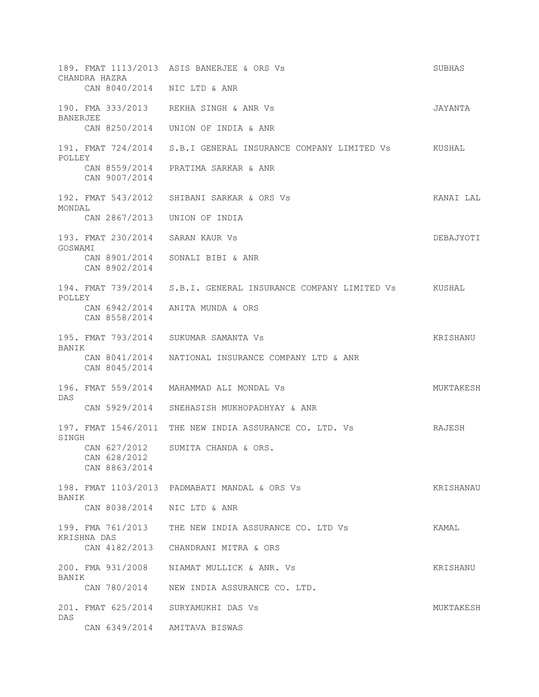189. FMAT 1113/2013 ASIS BANERJEE & ORS Vs SUBHAS CHANDRA HAZRA CAN 8040/2014 NIC LTD & ANR 190. FMA 333/2013 REKHA SINGH & ANR Vs JAYANTA BANERJEE CAN 8250/2014 UNION OF INDIA & ANR 191. FMAT 724/2014 S.B.I GENERAL INSURANCE COMPANY LIMITED Vs KUSHAL POLLEY CAN 8559/2014 PRATIMA SARKAR & ANR CAN 9007/2014 192. FMAT 543/2012 SHIBANI SARKAR & ORS Vs KANAI LAL MONDAL CAN 2867/2013 UNION OF INDIA 193. FMAT 230/2014 SARAN KAUR Vs DEBAJYOTI GOSWAMI CAN 8901/2014 SONALI BIBI & ANR CAN 8902/2014 194. FMAT 739/2014 S.B.I. GENERAL INSURANCE COMPANY LIMITED Vs KUSHAL POLLEY CAN 6942/2014 ANITA MUNDA & ORS CAN 8558/2014 195. FMAT 793/2014 SUKUMAR SAMANTA Vs **KRISHANU** BANIK CAN 8041/2014 NATIONAL INSURANCE COMPANY LTD & ANR CAN 8045/2014 196. FMAT 559/2014 MAHAMMAD ALI MONDAL Vs Sand MUKTAKESH DAS CAN 5929/2014 SNEHASISH MUKHOPADHYAY & ANR 197. FMAT 1546/2011 THE NEW INDIA ASSURANCE CO. LTD. Vs RAJESH SINGH CAN 627/2012 SUMITA CHANDA & ORS. CAN 628/2012 CAN 8863/2014 198. FMAT 1103/2013 PADMABATI MANDAL & ORS Vs KRISHANAU BANIK CAN 8038/2014 NIC LTD & ANR 199. FMA 761/2013 THE NEW INDIA ASSURANCE CO. LTD Vs KAMAL KRISHNA DAS CAN 4182/2013 CHANDRANI MITRA & ORS 200. FMA 931/2008 NIAMAT MULLICK & ANR. Vs KRISHANU BANIK CAN 780/2014 NEW INDIA ASSURANCE CO. LTD. 201. FMAT 625/2014 SURYAMUKHI DAS Vs MUKTAKESH DAS CAN 6349/2014 AMITAVA BISWAS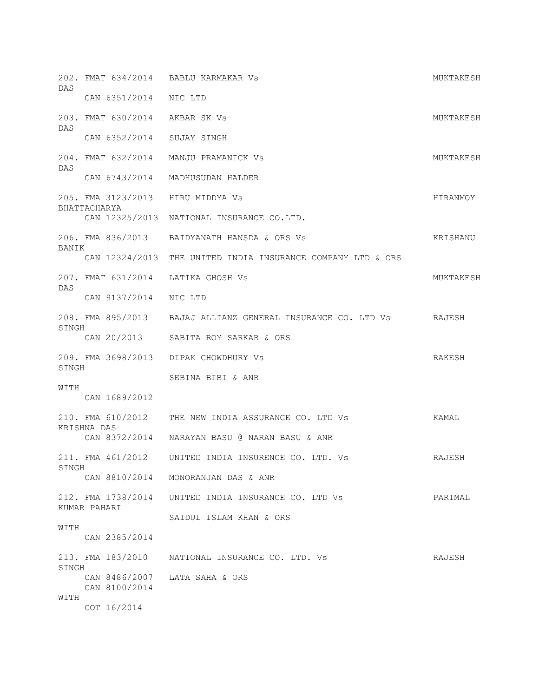| DAS           |                                    | 202. FMAT 634/2014 BABLU KARMAKAR Vs                                | MUKTAKESH |
|---------------|------------------------------------|---------------------------------------------------------------------|-----------|
|               | CAN 6351/2014 NIC LTD              |                                                                     |           |
|               | 203. FMAT 630/2014 AKBAR SK Vs     |                                                                     | MUKTAKESH |
| DAS           | CAN 6352/2014 SUJAY SINGH          |                                                                     |           |
|               |                                    | 204. FMAT 632/2014 MANJU PRAMANICK Vs                               | MUKTAKESH |
| DAS           |                                    | CAN 6743/2014 MADHUSUDAN HALDER                                     |           |
|               | 205. FMA 3123/2013 HIRU MIDDYA Vs  |                                                                     | HIRANMOY  |
|               | BHATTACHARYA                       | CAN 12325/2013 NATIONAL INSURANCE CO.LTD.                           |           |
| BANIK         |                                    | 206. FMA 836/2013 BAIDYANATH HANSDA & ORS Vs                        | KRISHANU  |
|               |                                    | CAN 12324/2013 THE UNITED INDIA INSURANCE COMPANY LTD & ORS         |           |
| DAS           |                                    | 207. FMAT 631/2014 LATIKA GHOSH Vs                                  | MUKTAKESH |
|               | CAN 9137/2014 NIC LTD              |                                                                     |           |
|               |                                    | 208. FMA 895/2013 BAJAJ ALLIANZ GENERAL INSURANCE CO. LTD Vs RAJESH |           |
| SINGH         |                                    | CAN 20/2013 SABITA ROY SARKAR & ORS                                 |           |
|               |                                    | 209. FMA 3698/2013 DIPAK CHOWDHURY Vs                               | RAKESH    |
| SINGH<br>WITH |                                    | SEBINA BIBI & ANR                                                   |           |
|               | CAN 1689/2012                      |                                                                     |           |
|               | KRISHNA DAS                        | 210. FMA 610/2012 THE NEW INDIA ASSURANCE CO. LTD Vs                | KAMAL     |
|               |                                    | CAN 8372/2014 NARAYAN BASU @ NARAN BASU & ANR                       |           |
| SINGH         |                                    | 211. FMA 461/2012 UNITED INDIA INSURENCE CO. LTD. Vs                | RAJESH    |
|               |                                    | CAN 8810/2014 MONORANJAN DAS & ANR                                  |           |
|               | 212. FMA 1738/2014<br>KUMAR PAHARI | UNITED INDIA INSURANCE CO. LTD Vs                                   | PARIMAL   |
|               |                                    | SAIDUL ISLAM KHAN & ORS                                             |           |
| WITH          | CAN 2385/2014                      |                                                                     |           |
|               |                                    | 213. FMA 183/2010 NATIONAL INSURANCE CO. LTD. Vs                    | RAJESH    |
| SINGH         | CAN 8100/2014                      | CAN 8486/2007 LATA SAHA & ORS                                       |           |
| WITH          | COT 16/2014                        |                                                                     |           |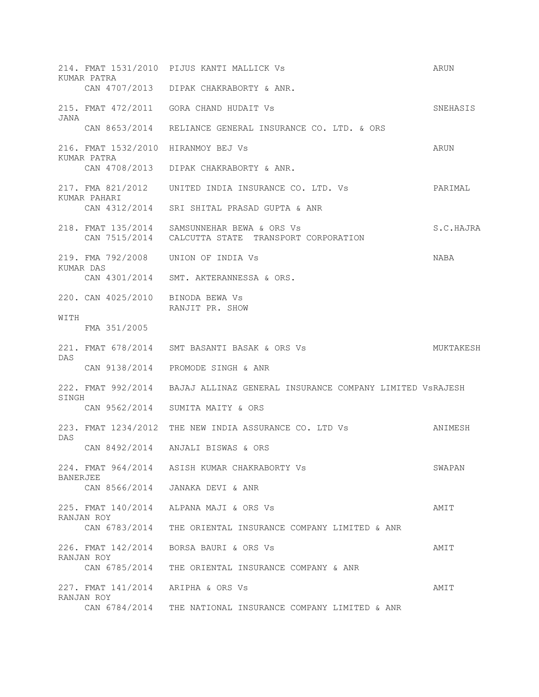|                 | KUMAR PATRA                       | 214. FMAT 1531/2010 PIJUS KANTI MALLICK Vs                                                         | ARUN        |
|-----------------|-----------------------------------|----------------------------------------------------------------------------------------------------|-------------|
|                 |                                   | CAN 4707/2013 DIPAK CHAKRABORTY & ANR.                                                             |             |
| JANA            |                                   | 215. FMAT 472/2011 GORA CHAND HUDAIT Vs                                                            | SNEHASIS    |
|                 |                                   | CAN 8653/2014 RELIANCE GENERAL INSURANCE CO. LTD. & ORS                                            |             |
|                 | KUMAR PATRA                       | 216. FMAT 1532/2010 HIRANMOY BEJ Vs                                                                | ARUN        |
|                 |                                   | CAN 4708/2013 DIPAK CHAKRABORTY & ANR.                                                             |             |
|                 | KUMAR PAHARI                      | 217. FMA 821/2012 UNITED INDIA INSURANCE CO. LTD. Vs                                               | PARIMAL     |
|                 |                                   | CAN 4312/2014 SRI SHITAL PRASAD GUPTA & ANR                                                        |             |
|                 |                                   | 218. FMAT 135/2014 SAMSUNNEHAR BEWA & ORS Vs<br>CAN 7515/2014 CALCUTTA STATE TRANSPORT CORPORATION | S.C.HAJRA   |
|                 |                                   | 219. FMA 792/2008 UNION OF INDIA Vs                                                                | <b>NABA</b> |
|                 | KUMAR DAS                         | CAN 4301/2014 SMT. AKTERANNESSA & ORS.                                                             |             |
|                 | 220. CAN 4025/2010 BINODA BEWA Vs | RANJIT PR. SHOW                                                                                    |             |
| WITH            | FMA 351/2005                      |                                                                                                    |             |
|                 |                                   | 221. FMAT 678/2014 SMT BASANTI BASAK & ORS Vs                                                      | MUKTAKESH   |
| DAS             |                                   | CAN 9138/2014 PROMODE SINGH & ANR                                                                  |             |
| SINGH           |                                   | 222. FMAT 992/2014 BAJAJ ALLINAZ GENERAL INSURANCE COMPANY LIMITED VSRAJESH                        |             |
|                 | CAN 9562/2014                     | SUMITA MAITY & ORS                                                                                 |             |
| DAS             | 223. FMAT 1234/2012               | THE NEW INDIA ASSURANCE CO. LTD Vs                                                                 | ANIMESH     |
|                 |                                   | CAN 8492/2014 ANJALI BISWAS & ORS                                                                  |             |
| <b>BANERJEE</b> |                                   | 224. FMAT 964/2014 ASISH KUMAR CHAKRABORTY Vs                                                      | SWAPAN      |
|                 | CAN 8566/2014                     | JANAKA DEVI & ANR                                                                                  |             |
|                 | RANJAN ROY                        | 225. FMAT 140/2014 ALPANA MAJI & ORS Vs                                                            | AMIT        |
|                 | CAN 6783/2014                     | THE ORIENTAL INSURANCE COMPANY LIMITED & ANR                                                       |             |
|                 | 226. FMAT 142/2014                | BORSA BAURI & ORS Vs                                                                               | AMIT        |
|                 | RANJAN ROY<br>CAN 6785/2014       | THE ORIENTAL INSURANCE COMPANY & ANR                                                               |             |
|                 | 227. FMAT 141/2014                | ARIPHA & ORS Vs                                                                                    | AMIT        |
|                 | RANJAN ROY<br>CAN 6784/2014       | THE NATIONAL INSURANCE COMPANY LIMITED & ANR                                                       |             |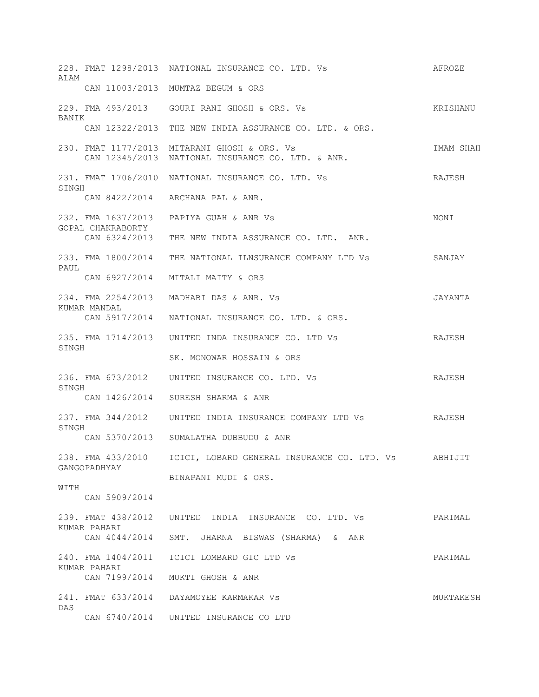| ALAM  |                                         | 228. FMAT 1298/2013 NATIONAL INSURANCE CO. LTD. Vs                                                | AFROZE    |
|-------|-----------------------------------------|---------------------------------------------------------------------------------------------------|-----------|
|       |                                         | CAN 11003/2013 MUMTAZ BEGUM & ORS                                                                 |           |
| BANIK |                                         | 229. FMA 493/2013 GOURI RANI GHOSH & ORS. Vs                                                      | KRISHANU  |
|       |                                         | CAN 12322/2013 THE NEW INDIA ASSURANCE CO. LTD. & ORS.                                            |           |
|       |                                         | 230. FMAT 1177/2013 MITARANI GHOSH & ORS. Vs<br>CAN 12345/2013 NATIONAL INSURANCE CO. LTD. & ANR. | IMAM SHAH |
| SINGH |                                         | 231. FMAT 1706/2010 NATIONAL INSURANCE CO. LTD. Vs                                                | RAJESH    |
|       | CAN 8422/2014                           | ARCHANA PAL & ANR.                                                                                |           |
|       | 232. FMA 1637/2013<br>GOPAL CHAKRABORTY | PAPIYA GUAH & ANR Vs                                                                              | NONI      |
|       |                                         | CAN 6324/2013 THE NEW INDIA ASSURANCE CO. LTD. ANR.                                               |           |
| PAUL  |                                         | 233. FMA 1800/2014 THE NATIONAL ILNSURANCE COMPANY LTD Vs                                         | SANJAY    |
|       | CAN 6927/2014                           | MITALI MAITY & ORS                                                                                |           |
|       | 234. FMA 2254/2013<br>KUMAR MANDAL      | MADHABI DAS & ANR. Vs                                                                             | JAYANTA   |
|       | CAN 5917/2014                           | NATIONAL INSURANCE CO. LTD. & ORS.                                                                |           |
| SINGH |                                         | 235. FMA 1714/2013 UNITED INDA INSURANCE CO. LTD Vs                                               | RAJESH    |
|       |                                         | SK. MONOWAR HOSSAIN & ORS                                                                         |           |
| SINGH |                                         | 236. FMA 673/2012 UNITED INSURANCE CO. LTD. Vs                                                    | RAJESH    |
|       |                                         | CAN 1426/2014 SURESH SHARMA & ANR                                                                 |           |
| SINGH |                                         | 237. FMA 344/2012    UNITED INDIA INSURANCE COMPANY LTD Vs                                        | RAJESH    |
|       |                                         | CAN 5370/2013 SUMALATHA DUBBUDU & ANR                                                             |           |
|       | GANGOPADHYAY                            | 238. FMA 433/2010    ICICI, LOBARD GENERAL INSURANCE CO. LTD. Vs    ABHIJIT                       |           |
| WITH  |                                         | BINAPANI MUDI & ORS.                                                                              |           |
|       | CAN 5909/2014                           |                                                                                                   |           |
|       | KUMAR PAHARI                            | 239. FMAT 438/2012 UNITED INDIA INSURANCE CO. LTD. Vs                                             | PARIMAL   |
|       |                                         | CAN 4044/2014 SMT. JHARNA BISWAS (SHARMA) & ANR                                                   |           |
|       | KUMAR PAHARI                            | 240. FMA 1404/2011 ICICI LOMBARD GIC LTD Vs                                                       | PARIMAL   |
|       |                                         | CAN 7199/2014 MUKTI GHOSH & ANR                                                                   |           |
| DAS   |                                         | 241. FMAT 633/2014 DAYAMOYEE KARMAKAR Vs                                                          | MUKTAKESH |
|       |                                         | CAN 6740/2014 UNITED INSURANCE CO LTD                                                             |           |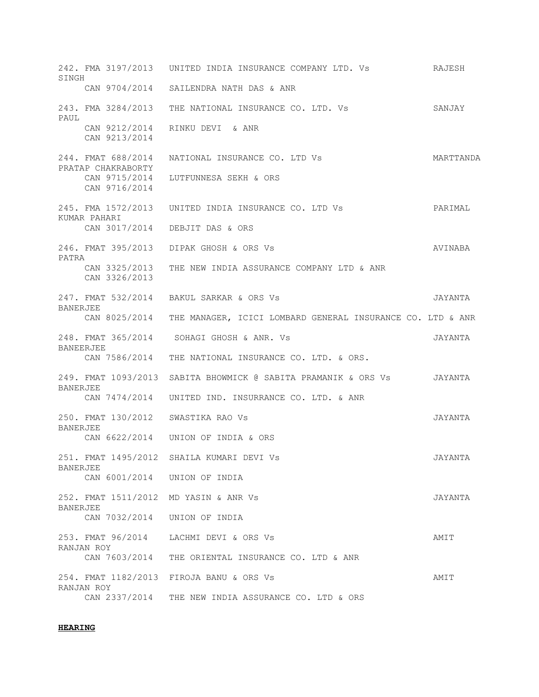242. FMA 3197/2013 UNITED INDIA INSURANCE COMPANY LTD. Vs RAJESH SINGH CAN 9704/2014 SAILENDRA NATH DAS & ANR 243. FMA 3284/2013 THE NATIONAL INSURANCE CO. LTD. Vs SANJAY PAUL CAN 9212/2014 RINKU DEVI & ANR CAN 9213/2014 244. FMAT 688/2014 NATIONAL INSURANCE CO. LTD Vs MARTTANDA PRATAP CHAKRABORTY CAN 9715/2014 LUTFUNNESA SEKH & ORS CAN 9716/2014 245. FMA 1572/2013 UNITED INDIA INSURANCE CO. LTD Vs PARIMAL KUMAR PAHARI CAN 3017/2014 DEBJIT DAS & ORS 246. FMAT 395/2013 DIPAK GHOSH & ORS Vs AVINABA PATRA CAN 3325/2013 THE NEW INDIA ASSURANCE COMPANY LTD & ANR CAN 3326/2013 247. FMAT 532/2014 BAKUL SARKAR & ORS Vs JAYANTA BANERJEE CAN 8025/2014 THE MANAGER, ICICI LOMBARD GENERAL INSURANCE CO. LTD & ANR 248. FMAT 365/2014 SOHAGI GHOSH & ANR. Vs JAYANTA BANEERJEE CAN 7586/2014 THE NATIONAL INSURANCE CO. LTD. & ORS. 249. FMAT 1093/2013 SABITA BHOWMICK @ SABITA PRAMANIK & ORS Vs JAYANTA BANERJEE CAN 7474/2014 UNITED IND. INSURRANCE CO. LTD. & ANR 250. FMAT 130/2012 SWASTIKA RAO Vs JAYANTA BANERJEE CAN 6622/2014 UNION OF INDIA & ORS 251. FMAT 1495/2012 SHAILA KUMARI DEVI Vs JAYANTA BANERJEE CAN 6001/2014 UNION OF INDIA 252. FMAT 1511/2012 MD YASIN & ANR Vs JAYANTA BANERJEE CAN 7032/2014 UNION OF INDIA 253. FMAT 96/2014 LACHMI DEVI & ORS Vs AMIT RANJAN ROY CAN 7603/2014 THE ORIENTAL INSURANCE CO. LTD & ANR 254. FMAT 1182/2013 FIROJA BANU & ORS Vs AMIT RANJAN ROY CAN 2337/2014 THE NEW INDIA ASSURANCE CO. LTD & ORS

#### **HEARING**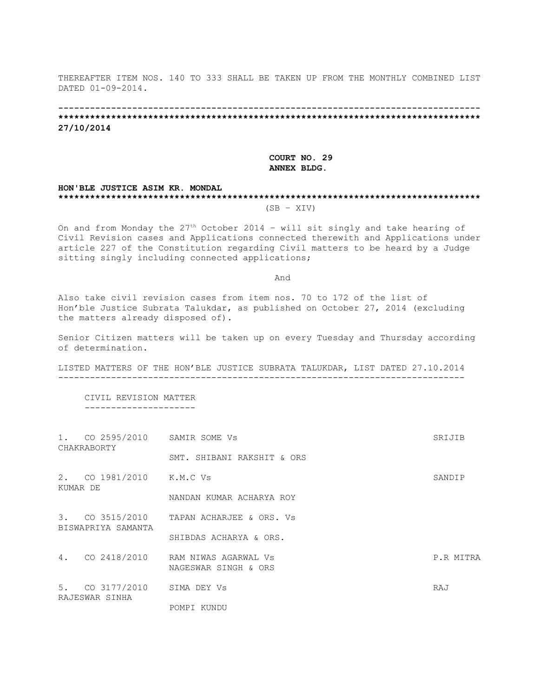THEREAFTER ITEM NOS. 140 TO 333 SHALL BE TAKEN UP FROM THE MONTHLY COMBINED LIST DATED 01-09-2014.

**-------------------------------------------------------------------------------- \*\*\*\*\*\*\*\*\*\*\*\*\*\*\*\*\*\*\*\*\*\*\*\*\*\*\*\*\*\*\*\*\*\*\*\*\*\*\*\*\*\*\*\*\*\*\*\*\*\*\*\*\*\*\*\*\*\*\*\*\*\*\*\*\*\*\*\*\*\*\*\*\*\*\*\*\*\*\*\* 27/10/2014**

#### **COURT NO. 29 ANNEX BLDG.**

#### **HON'BLE JUSTICE ASIM KR. MONDAL \*\*\*\*\*\*\*\*\*\*\*\*\*\*\*\*\*\*\*\*\*\*\*\*\*\*\*\*\*\*\*\*\*\*\*\*\*\*\*\*\*\*\*\*\*\*\*\*\*\*\*\*\*\*\*\*\*\*\*\*\*\*\*\*\*\*\*\*\*\*\*\*\*\*\*\*\*\*\*\***  $(SB - XIV)$

On and from Monday the 27th October 2014 – will sit singly and take hearing of Civil Revision cases and Applications connected therewith and Applications under article 227 of the Constitution regarding Civil matters to be heard by a Judge sitting singly including connected applications;

And

Also take civil revision cases from item nos. 70 to 172 of the list of Hon'ble Justice Subrata Talukdar, as published on October 27, 2014 (excluding the matters already disposed of).

Senior Citizen matters will be taken up on every Tuesday and Thursday according of determination.

LISTED MATTERS OF THE HON'BLE JUSTICE SUBRATA TALUKDAR, LIST DATED 27.10.2014 -----------------------------------------------------------------------------

 CIVIL REVISION MATTER ---------------------

|          | 1. CO 2595/2010 SAMIR SOME VS<br>CHAKRABORTY |                                                              | SRIJIB    |
|----------|----------------------------------------------|--------------------------------------------------------------|-----------|
|          |                                              | SMT. SHIBANI RAKSHIT & ORS                                   |           |
| KUMAR DE | 2. CO 1981/2010 K.M.C Vs                     |                                                              | SANDIP    |
|          |                                              | NANDAN KUMAR ACHARYA ROY                                     |           |
|          | BISWAPRIYA SAMANTA                           | 3. CO 3515/2010 TAPAN ACHARJEE & ORS. Vs                     |           |
|          |                                              | SHIBDAS ACHARYA & ORS.                                       |           |
|          |                                              | 4. CO 2418/2010 RAM NIWAS AGARWAL Vs<br>NAGESWAR SINGH & ORS | P.R MITRA |
|          | 5. CO 3177/2010<br>RAJESWAR SINHA            | SIMA DEY VS                                                  | RAJ       |
|          |                                              | POMPI KUNDU                                                  |           |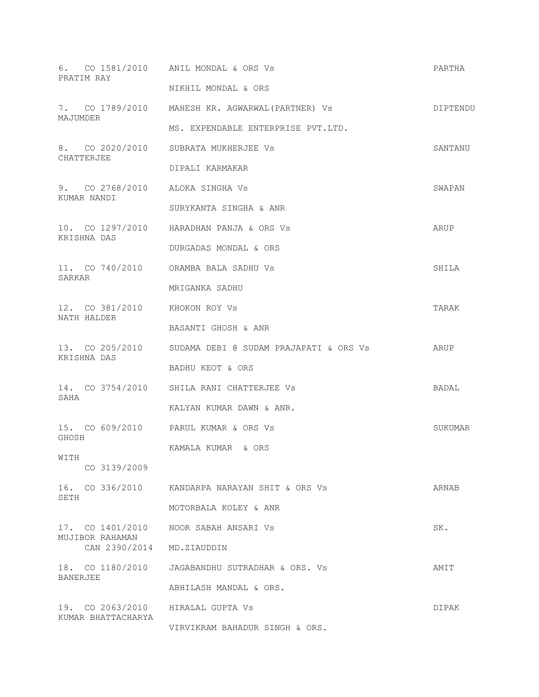|                    | PRATIM RAY                                     | 6. CO 1581/2010 ANIL MONDAL & ORS Vs                   | PARTHA   |
|--------------------|------------------------------------------------|--------------------------------------------------------|----------|
|                    |                                                | NIKHIL MONDAL & ORS                                    |          |
| MAJUMDER           |                                                | 7. CO 1789/2010 MAHESH KR. AGWARWAL (PARTNER) Vs       | DIPTENDU |
|                    |                                                | MS. EXPENDABLE ENTERPRISE PVT.LTD.                     |          |
|                    | CHATTERJEE                                     | 8. CO 2020/2010 SUBRATA MUKHERJEE Vs                   | SANTANU  |
|                    |                                                | DIPALI KARMAKAR                                        |          |
|                    | 9. CO 2768/2010 ALOKA SINGHA Vs<br>KUMAR NANDI |                                                        | SWAPAN   |
|                    |                                                | SURYKANTA SINGHA & ANR                                 |          |
|                    | KRISHNA DAS                                    | 10. CO 1297/2010 HARADHAN PANJA & ORS Vs               | ARUP     |
|                    |                                                | DURGADAS MONDAL & ORS                                  |          |
| SARKAR             |                                                | 11. CO 740/2010 ORAMBA BALA SADHU Vs                   | SHILA    |
|                    |                                                | MRIGANKA SADHU                                         |          |
|                    | 12. CO 381/2010 KHOKON ROY Vs<br>NATH HALDER   |                                                        | TARAK    |
|                    |                                                | BASANTI GHOSH & ANR                                    |          |
|                    | KRISHNA DAS                                    | 13. CO 205/2010 SUDAMA DEBI @ SUDAM PRAJAPATI & ORS Vs | ARUP     |
|                    |                                                | BADHU KEOT & ORS                                       |          |
| SAHA               |                                                | 14. CO 3754/2010 SHILA RANI CHATTERJEE Vs              | BADAL    |
|                    |                                                | KALYAN KUMAR DAWN & ANR.                               |          |
| GHOSH              |                                                | 15. CO 609/2010 PARUL KUMAR & ORS Vs                   | SUKUMAR  |
| WITH               |                                                | KAMALA KUMAR & ORS                                     |          |
|                    | CO 3139/2009                                   |                                                        |          |
| SETH               |                                                | 16. CO 336/2010 KANDARPA NARAYAN SHIT & ORS Vs         | ARNAB    |
|                    |                                                | MOTORBALA KOLEY & ANR                                  |          |
|                    | 17. CO 1401/2010<br>MUJIBOR RAHAMAN            | NOOR SABAH ANSARI VS                                   | SK.      |
|                    | CAN 2390/2014 MD.ZIAUDDIN                      |                                                        |          |
|                    | 18. CO 1180/2010                               | JAGABANDHU SUTRADHAR & ORS. Vs                         | AMIT     |
| BANERJEE           |                                                | ABHILASH MANDAL & ORS.                                 |          |
|                    | 19. CO 2063/2010                               | HIRALAL GUPTA Vs                                       | DIPAK    |
| KUMAR BHATTACHARYA |                                                | VIRVIKRAM BAHADUR SINGH & ORS.                         |          |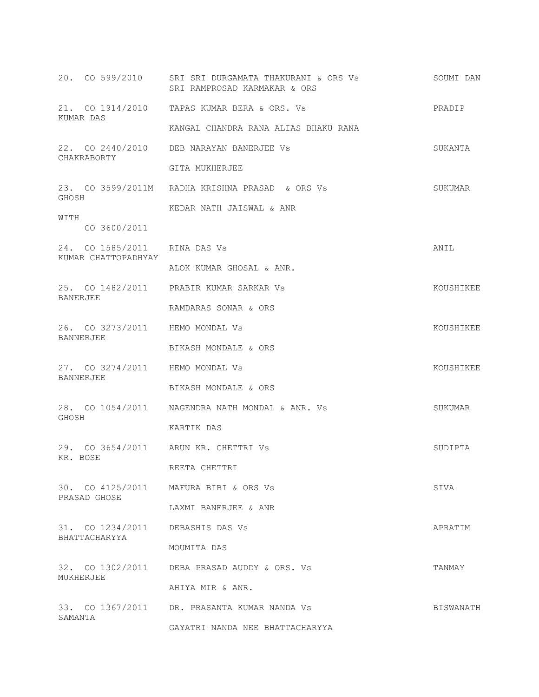|                                                     | 20. CO 599/2010 SRI SRI DURGAMATA THAKURANI & ORS Vs<br>SRI RAMPROSAD KARMAKAR & ORS | SOUMI DAN |
|-----------------------------------------------------|--------------------------------------------------------------------------------------|-----------|
|                                                     | 21. CO 1914/2010 TAPAS KUMAR BERA & ORS. Vs                                          | PRADIP    |
| KUMAR DAS                                           | KANGAL CHANDRA RANA ALIAS BHAKU RANA                                                 |           |
| CHAKRABORTY                                         | 22. CO 2440/2010 DEB NARAYAN BANERJEE Vs                                             | SUKANTA   |
|                                                     | GITA MUKHERJEE                                                                       |           |
| GHOSH                                               | 23. CO 3599/2011M RADHA KRISHNA PRASAD & ORS Vs                                      | SUKUMAR   |
| WITH<br>CO 3600/2011                                | KEDAR NATH JAISWAL & ANR                                                             |           |
| 24. CO 1585/2011 RINA DAS Vs<br>KUMAR CHATTOPADHYAY |                                                                                      | ANIL      |
|                                                     | ALOK KUMAR GHOSAL & ANR.                                                             |           |
| <b>BANERJEE</b>                                     | 25. CO 1482/2011 PRABIR KUMAR SARKAR Vs                                              | KOUSHIKEE |
|                                                     | RAMDARAS SONAR & ORS                                                                 |           |
| 26. CO 3273/2011 HEMO MONDAL Vs<br>BANNERJEE        |                                                                                      | KOUSHIKEE |
|                                                     | BIKASH MONDALE & ORS                                                                 |           |
| 27. CO 3274/2011 HEMO MONDAL Vs<br><b>BANNERJEE</b> |                                                                                      | KOUSHIKEE |
|                                                     | BIKASH MONDALE & ORS                                                                 |           |
| GHOSH                                               | 28. CO 1054/2011 NAGENDRA NATH MONDAL & ANR. Vs                                      | SUKUMAR   |
|                                                     | KARTIK DAS                                                                           |           |
| KR. BOSE                                            | 29. CO 3654/2011 ARUN KR. CHETTRI Vs                                                 | SUDIPTA   |
|                                                     | REETA CHETTRI                                                                        |           |
| PRASAD GHOSE                                        | 30. CO 4125/2011 MAFURA BIBI & ORS Vs                                                | SIVA      |
|                                                     | LAXMI BANERJEE & ANR                                                                 |           |
| 31. CO 1234/2011<br>BHATTACHARYYA                   | DEBASHIS DAS Vs                                                                      | APRATIM   |
|                                                     | MOUMITA DAS                                                                          |           |
| MUKHERJEE                                           | 32. CO 1302/2011 DEBA PRASAD AUDDY & ORS. Vs                                         | TANMAY    |
|                                                     | AHIYA MIR & ANR.                                                                     |           |
| SAMANTA                                             | 33. CO 1367/2011 DR. PRASANTA KUMAR NANDA Vs                                         | BISWANATH |
|                                                     | GAYATRI NANDA NEE BHATTACHARYYA                                                      |           |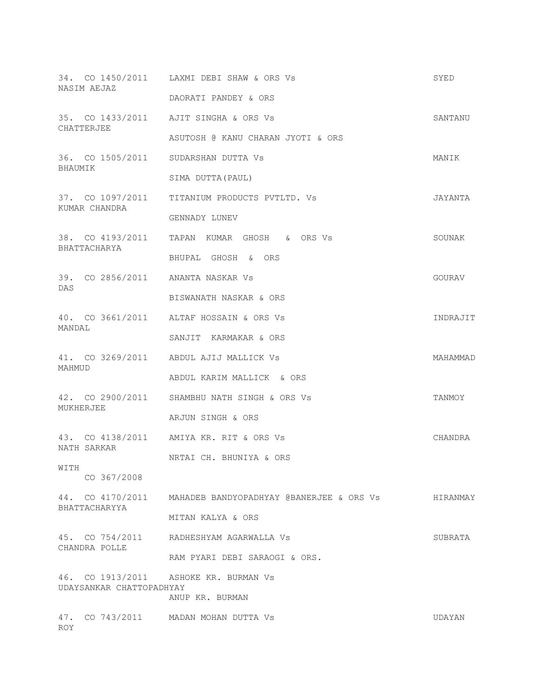|           | NASIM AEJAZ              | 34. CO 1450/2011 LAXMI DEBI SHAW & ORS Vs                 | SYED     |
|-----------|--------------------------|-----------------------------------------------------------|----------|
|           |                          | DAORATI PANDEY & ORS                                      |          |
|           | CHATTERJEE               | 35. CO 1433/2011 AJIT SINGHA & ORS Vs                     | SANTANU  |
|           |                          | ASUTOSH @ KANU CHARAN JYOTI & ORS                         |          |
| BHAUMIK   |                          | 36. CO 1505/2011 SUDARSHAN DUTTA Vs                       | MANIK    |
|           |                          | SIMA DUTTA (PAUL)                                         |          |
|           | KUMAR CHANDRA            | 37. CO 1097/2011 TITANIUM PRODUCTS PVTLTD. Vs             | JAYANTA  |
|           |                          | GENNADY LUNEV                                             |          |
|           |                          | 38. CO 4193/2011 TAPAN KUMAR GHOSH & ORS Vs               | SOUNAK   |
|           | BHATTACHARYA             | BHUPAL GHOSH & ORS                                        |          |
|           |                          | 39. CO 2856/2011 ANANTA NASKAR Vs                         | GOURAV   |
| DAS       |                          | BISWANATH NASKAR & ORS                                    |          |
|           |                          | 40. CO 3661/2011 ALTAF HOSSAIN & ORS Vs                   | INDRAJIT |
| MANDAL    |                          | SANJIT KARMAKAR & ORS                                     |          |
|           |                          | 41. CO 3269/2011 ABDUL AJIJ MALLICK Vs                    | MAHAMMAD |
| MAHMUD    |                          | ABDUL KARIM MALLICK & ORS                                 |          |
| MUKHERJEE |                          | 42. CO 2900/2011 SHAMBHU NATH SINGH & ORS Vs              | TANMOY   |
|           |                          | ARJUN SINGH & ORS                                         |          |
|           |                          | 43. CO 4138/2011 AMIYA KR. RIT & ORS Vs                   | CHANDRA  |
|           | NATH SARKAR              | NRTAI CH. BHUNIYA & ORS                                   |          |
| WITH      | CO 367/2008              |                                                           |          |
|           |                          | 44. CO 4170/2011 MAHADEB BANDYOPADHYAY @BANERJEE & ORS Vs | HIRANMAY |
|           | BHATTACHARYYA            | MITAN KALYA & ORS                                         |          |
|           | CHANDRA POLLE            | 45. CO 754/2011 RADHESHYAM AGARWALLA Vs                   | SUBRATA  |
|           |                          | RAM PYARI DEBI SARAOGI & ORS.                             |          |
|           |                          | 46. CO 1913/2011 ASHOKE KR. BURMAN Vs                     |          |
|           | UDAYSANKAR CHATTOPADHYAY | ANUP KR. BURMAN                                           |          |
| ROY.      |                          | 47. CO 743/2011 MADAN MOHAN DUTTA Vs                      | UDAYAN   |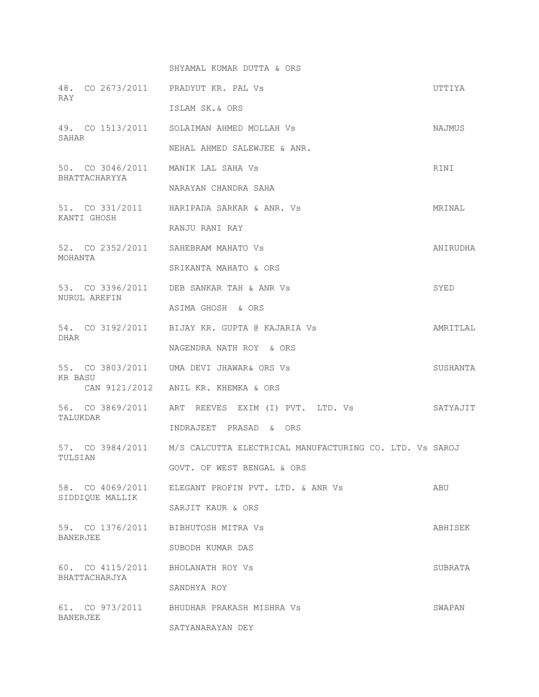SHYAMAL KUMAR DUTTA & ORS

| RAY            |                 | 48. CO 2673/2011 PRADYUT KR. PAL Vs                                      | UTTIYA   |
|----------------|-----------------|--------------------------------------------------------------------------|----------|
|                |                 | ISLAM SK.& ORS                                                           |          |
| SAHAR          |                 | 49. CO 1513/2011 SOLAIMAN AHMED MOLLAH Vs                                | NAJMUS   |
|                |                 | NEHAL AHMED SALEWJEE & ANR.                                              |          |
|                | BHATTACHARYYA   | 50. CO 3046/2011 MANIK LAL SAHA Vs                                       | RINI     |
|                |                 | NARAYAN CHANDRA SAHA                                                     |          |
| KANTI GHOSH    |                 | 51. CO 331/2011 HARIPADA SARKAR & ANR. Vs                                | MRINAL   |
|                |                 | RANJU RANI RAY                                                           |          |
| MOHANTA        |                 | 52. CO 2352/2011 SAHEBRAM MAHATO Vs                                      | ANIRUDHA |
|                |                 | SRIKANTA MAHATO & ORS                                                    |          |
|                | NURUL AREFIN    | 53. CO 3396/2011 DEB SANKAR TAH & ANR Vs                                 | SYED     |
|                |                 | ASIMA GHOSH & ORS                                                        |          |
| DHAR           |                 | 54. CO 3192/2011 BIJAY KR. GUPTA @ KAJARIA Vs                            | AMRITLAL |
|                |                 | NAGENDRA NATH ROY & ORS                                                  |          |
| <b>KR BASU</b> |                 | 55. CO 3803/2011 UMA DEVI JHAWAR& ORS Vs                                 | SUSHANTA |
|                |                 | CAN 9121/2012 ANIL KR. KHEMKA & ORS                                      |          |
| TALUKDAR       |                 | 56. CO 3869/2011 ART REEVES EXIM (I) PVT. LTD. Vs                        | SATYAJIT |
|                |                 | INDRAJEET PRASAD & ORS                                                   |          |
| TULSIAN        |                 | 57. CO 3984/2011 M/S CALCUTTA ELECTRICAL MANUFACTURING CO. LTD. Vs SAROJ |          |
|                |                 | GOVT. OF WEST BENGAL & ORS                                               |          |
|                | SIDDIQUE MALLIK | 58. CO 4069/2011 ELEGANT PROFIN PVT. LTD. & ANR Vs                       | ABU      |
|                |                 | SARJIT KAUR & ORS                                                        |          |
| BANERJEE       |                 | 59. CO 1376/2011 BIBHUTOSH MITRA Vs                                      | ABHISEK  |
|                |                 | SUBODH KUMAR DAS                                                         |          |
|                | BHATTACHARJYA   | 60. CO 4115/2011 BHOLANATH ROY Vs                                        | SUBRATA  |
|                |                 | SANDHYA ROY                                                              |          |
|                |                 | 61. CO 973/2011 BHUDHAR PRAKASH MISHRA Vs                                | SWAPAN   |
| BANERJEE       |                 | SATYANARAYAN DEY                                                         |          |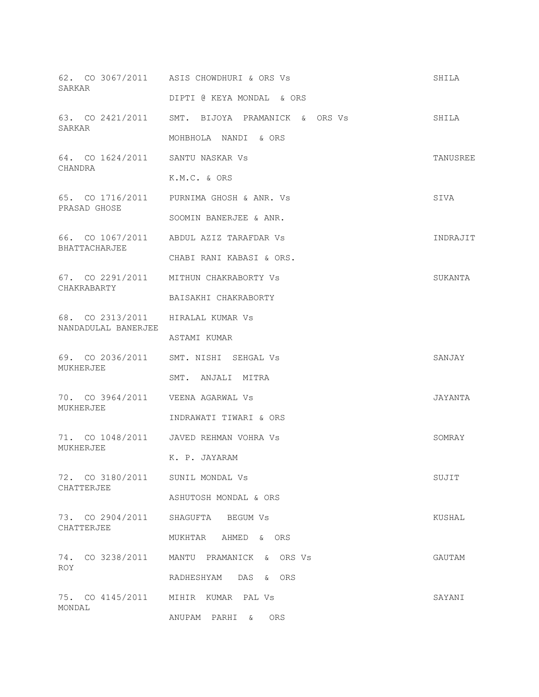| SARKAR                                                   | 62. CO 3067/2011 ASIS CHOWDHURI & ORS Vs        | SHILA    |
|----------------------------------------------------------|-------------------------------------------------|----------|
|                                                          | DIPTI @ KEYA MONDAL & ORS                       |          |
| SARKAR                                                   | 63. CO 2421/2011 SMT. BIJOYA PRAMANICK & ORS Vs | SHILA    |
|                                                          | MOHBHOLA NANDI & ORS                            |          |
| 64. CO 1624/2011 SANTU NASKAR Vs<br>CHANDRA              |                                                 | TANUSREE |
|                                                          | K.M.C. & ORS                                    |          |
| PRASAD GHOSE                                             | 65. CO 1716/2011 PURNIMA GHOSH & ANR. Vs        | SIVA     |
|                                                          | SOOMIN BANERJEE & ANR.                          |          |
| BHATTACHARJEE                                            | 66. CO 1067/2011 ABDUL AZIZ TARAFDAR Vs         | INDRAJIT |
|                                                          | CHABI RANI KABASI & ORS.                        |          |
| CHAKRABARTY                                              | 67. CO 2291/2011 MITHUN CHAKRABORTY Vs          | SUKANTA  |
|                                                          | BAISAKHI CHAKRABORTY                            |          |
| 68. CO 2313/2011 HIRALAL KUMAR Vs<br>NANDADULAL BANERJEE |                                                 |          |
|                                                          | ASTAMI KUMAR                                    |          |
|                                                          |                                                 |          |
|                                                          | 69. CO 2036/2011 SMT. NISHI SEHGAL Vs           | SANJAY   |
| MUKHERJEE                                                | SMT. ANJALI MITRA                               |          |
| 70. CO 3964/2011    VEENA AGARWAL Vs                     |                                                 | JAYANTA  |
| MUKHERJEE                                                | INDRAWATI TIWARI & ORS                          |          |
|                                                          | 71. CO 1048/2011 JAVED REHMAN VOHRA Vs          | SOMRAY   |
| MUKHERJEE                                                | K. P. JAYARAM                                   |          |
| 72. CO 3180/2011 SUNIL MONDAL Vs                         |                                                 | SUJIT    |
| CHATTERJEE                                               | ASHUTOSH MONDAL & ORS                           |          |
| 73. CO 2904/2011                                         | SHAGUFTA BEGUM Vs                               | KUSHAL   |
| CHATTERJEE                                               | MUKHTAR AHMED & ORS                             |          |
| 74. CO 3238/2011                                         | MANTU PRAMANICK & ORS Vs                        | GAUTAM   |
| ROY                                                      | RADHESHYAM DAS &<br><b>ORS</b>                  |          |
| MONDAL                                                   | 75. CO 4145/2011 MIHIR KUMAR PAL Vs             | SAYANI   |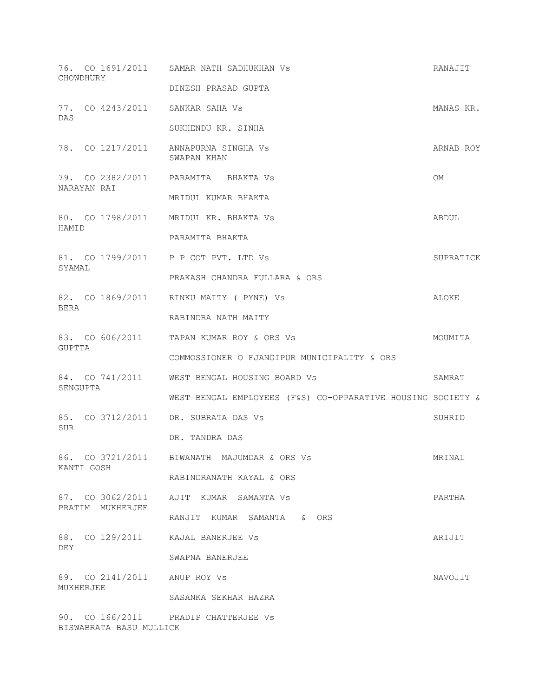| CHOWDHURY   |                              | 76. CO 1691/2011 SAMAR NATH SADHUKHAN Vs                    | RANAJIT   |
|-------------|------------------------------|-------------------------------------------------------------|-----------|
|             |                              | DINESH PRASAD GUPTA                                         |           |
| DAS         |                              | 77. CO 4243/2011 SANKAR SAHA Vs                             | MANAS KR. |
|             |                              | SUKHENDU KR. SINHA                                          |           |
|             |                              | 78. CO 1217/2011 ANNAPURNA SINGHA Vs<br>SWAPAN KHAN         | ARNAB ROY |
| NARAYAN RAI |                              | 79. CO 2382/2011 PARAMITA BHAKTA Vs                         | <b>OM</b> |
|             |                              | MRIDUL KUMAR BHAKTA                                         |           |
| HAMID       |                              | 80. CO 1798/2011 MRIDUL KR. BHAKTA Vs                       | ABDUL     |
|             |                              | PARAMITA BHAKTA                                             |           |
| SYAMAL      |                              | 81. CO 1799/2011 P P COT PVT. LTD Vs                        | SUPRATICK |
|             |                              | PRAKASH CHANDRA FULLARA & ORS                               |           |
|             |                              | 82. CO 1869/2011 RINKU MAITY ( PYNE) Vs                     | ALOKE     |
| BERA        |                              | RABINDRA NATH MAITY                                         |           |
|             |                              | 83. CO 606/2011 TAPAN KUMAR ROY & ORS Vs                    | MOUMITA   |
| GUPTTA      |                              | COMMOSSIONER O FJANGIPUR MUNICIPALITY & ORS                 |           |
|             |                              | 84. CO 741/2011 WEST BENGAL HOUSING BOARD Vs                | SAMRAT    |
| SENGUPTA    |                              | WEST BENGAL EMPLOYEES (F&S) CO-OPPARATIVE HOUSING SOCIETY & |           |
|             |                              | 85. CO 3712/2011 DR. SUBRATA DAS Vs                         | SUHRID    |
| SUR         |                              | DR. TANDRA DAS                                              |           |
|             |                              | 86. CO 3721/2011 BIWANATH MAJUMDAR & ORS Vs                 | MRINAL    |
| KANTI GOSH  |                              | RABINDRANATH KAYAL & ORS                                    |           |
|             |                              | 87. CO 3062/2011 AJIT KUMAR SAMANTA Vs                      | PARTHA    |
|             | PRATIM MUKHERJEE             | RANJIT KUMAR SAMANTA & ORS                                  |           |
|             |                              | 88. CO 129/2011 KAJAL BANERJEE Vs                           | ARIJIT    |
| DEY         |                              | SWAPNA BANERJEE                                             |           |
|             | 89. CO 2141/2011 ANUP ROY Vs |                                                             | NAVOJIT   |
| MUKHERJEE   |                              | SASANKA SEKHAR HAZRA                                        |           |
|             | BISWABRATA BASU MULLICK      | 90. CO 166/2011 PRADIP CHATTERJEE Vs                        |           |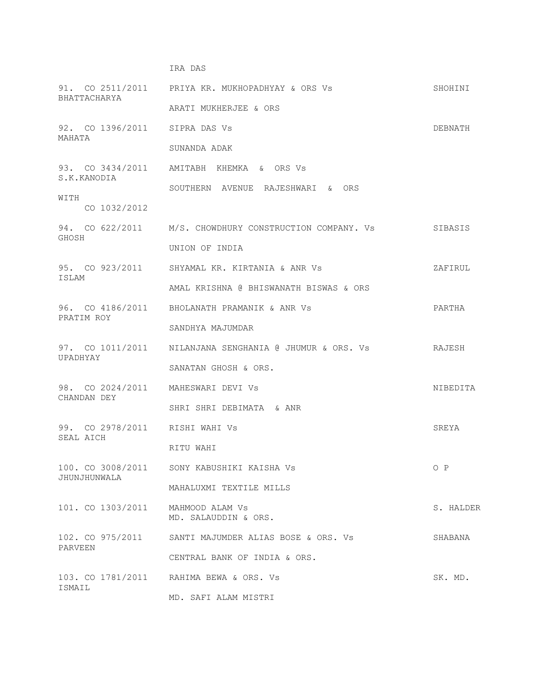# IRA DAS

| BHATTACHARYA                                      | 91. CO 2511/2011 PRIYA KR. MUKHOPADHYAY & ORS Vs                | SHOHINI   |
|---------------------------------------------------|-----------------------------------------------------------------|-----------|
|                                                   | ARATI MUKHERJEE & ORS                                           |           |
| 92. CO 1396/2011 SIPRA DAS Vs<br>MAHATA           |                                                                 | DEBNATH   |
|                                                   | SUNANDA ADAK                                                    |           |
| S.K.KANODIA                                       | 93. CO 3434/2011 AMITABH KHEMKA & ORS Vs                        |           |
| WITH                                              | SOUTHERN AVENUE RAJESHWARI & ORS                                |           |
| CO 1032/2012                                      |                                                                 |           |
| GHOSH                                             | 94. CO 622/2011 M/S. CHOWDHURY CONSTRUCTION COMPANY. Vs SIBASIS |           |
|                                                   | UNION OF INDIA                                                  |           |
| ISLAM                                             | 95. CO 923/2011 SHYAMAL KR. KIRTANIA & ANR Vs                   | ZAFIRUL   |
|                                                   | AMAL KRISHNA @ BHISWANATH BISWAS & ORS                          |           |
| PRATIM ROY                                        | 96. CO 4186/2011 BHOLANATH PRAMANIK & ANR Vs                    | PARTHA    |
|                                                   | SANDHYA MAJUMDAR                                                |           |
| UPADHYAY                                          | 97. CO 1011/2011 MILANJANA SENGHANIA @ JHUMUR & ORS. Vs         | RAJESH    |
|                                                   | SANATAN GHOSH & ORS.                                            |           |
| 98. CO 2024/2011 MAHESWARI DEVI Vs<br>CHANDAN DEY |                                                                 | NIBEDITA  |
|                                                   | SHRI SHRI DEBIMATA & ANR                                        |           |
| 99. CO 2978/2011 RISHI WAHI Vs<br>SEAL AICH       |                                                                 | SREYA     |
|                                                   | RITU WAHI                                                       |           |
| JHUNJHUNWALA                                      | 100. CO 3008/2011 SONY KABUSHIKI KAISHA Vs                      | O P       |
|                                                   | MAHALUXMI TEXTILE MILLS                                         |           |
| 101. CO 1303/2011                                 | MAHMOOD ALAM Vs<br>MD. SALAUDDIN & ORS.                         | S. HALDER |
| 102. CO 975/2011<br>PARVEEN                       | SANTI MAJUMDER ALIAS BOSE & ORS. Vs                             | SHABANA   |
|                                                   | CENTRAL BANK OF INDIA & ORS.                                    |           |
| ISMAIL                                            | 103. CO 1781/2011 RAHIMA BEWA & ORS. Vs                         | SK. MD.   |
|                                                   | MD. SAFI ALAM MISTRI                                            |           |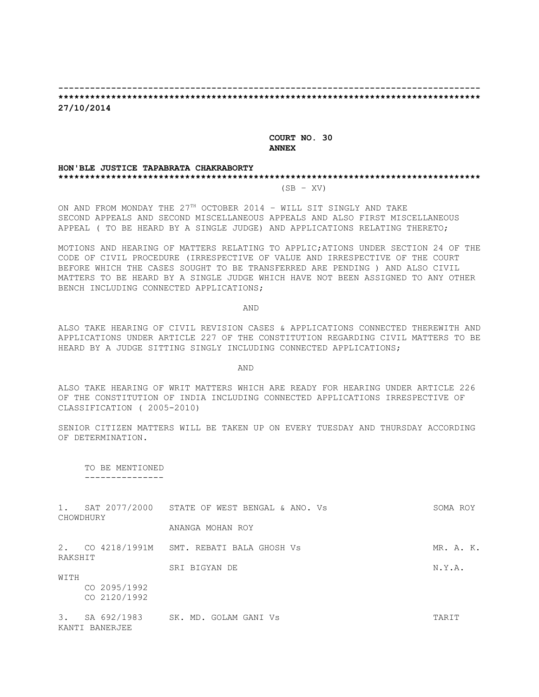# **-------------------------------------------------------------------------------- \*\*\*\*\*\*\*\*\*\*\*\*\*\*\*\*\*\*\*\*\*\*\*\*\*\*\*\*\*\*\*\*\*\*\*\*\*\*\*\*\*\*\*\*\*\*\*\*\*\*\*\*\*\*\*\*\*\*\*\*\*\*\*\*\*\*\*\*\*\*\*\*\*\*\*\*\*\*\*\***

**27/10/2014**

### **COURT NO. 30 ANNEX**

#### **HON'BLE JUSTICE TAPABRATA CHAKRABORTY \*\*\*\*\*\*\*\*\*\*\*\*\*\*\*\*\*\*\*\*\*\*\*\*\*\*\*\*\*\*\*\*\*\*\*\*\*\*\*\*\*\*\*\*\*\*\*\*\*\*\*\*\*\*\*\*\*\*\*\*\*\*\*\*\*\*\*\*\*\*\*\*\*\*\*\*\*\*\*\***  $(SB - XV)$

ON AND FROM MONDAY THE 27TH OCTOBER 2014 - WILL SIT SINGLY AND TAKE SECOND APPEALS AND SECOND MISCELLANEOUS APPEALS AND ALSO FIRST MISCELLANEOUS APPEAL ( TO BE HEARD BY A SINGLE JUDGE) AND APPLICATIONS RELATING THERETO;

MOTIONS AND HEARING OF MATTERS RELATING TO APPLIC;ATIONS UNDER SECTION 24 OF THE CODE OF CIVIL PROCEDURE (IRRESPECTIVE OF VALUE AND IRRESPECTIVE OF THE COURT BEFORE WHICH THE CASES SOUGHT TO BE TRANSFERRED ARE PENDING ) AND ALSO CIVIL MATTERS TO BE HEARD BY A SINGLE JUDGE WHICH HAVE NOT BEEN ASSIGNED TO ANY OTHER BENCH INCLUDING CONNECTED APPLICATIONS;

AND

ALSO TAKE HEARING OF CIVIL REVISION CASES & APPLICATIONS CONNECTED THEREWITH AND APPLICATIONS UNDER ARTICLE 227 OF THE CONSTITUTION REGARDING CIVIL MATTERS TO BE HEARD BY A JUDGE SITTING SINGLY INCLUDING CONNECTED APPLICATIONS;

AND

ALSO TAKE HEARING OF WRIT MATTERS WHICH ARE READY FOR HEARING UNDER ARTICLE 226 OF THE CONSTITUTION OF INDIA INCLUDING CONNECTED APPLICATIONS IRRESPECTIVE OF CLASSIFICATION ( 2005-2010)

SENIOR CITIZEN MATTERS WILL BE TAKEN UP ON EVERY TUESDAY AND THURSDAY ACCORDING OF DETERMINATION.

 TO BE MENTIONED ---------------

| 1.      | CHOWDHURY    | SAT 2077/2000 STATE OF WEST BENGAL & ANO. Vs | SOMA ROY  |
|---------|--------------|----------------------------------------------|-----------|
|         |              | ANANGA MOHAN ROY                             |           |
| RAKSHIT |              | 2. CO 4218/1991M SMT. REBATI BALA GHOSH Vs   | MR. A. K. |
|         |              | SRI BIGYAN DE                                | N.Y.A.    |
| WITH    |              |                                              |           |
|         | CO 2095/1992 |                                              |           |
|         | CO 2120/1992 |                                              |           |
| 3.      | SA 692/1983  | SK. MD. GOLAM GANI Vs                        | TARIT     |

KANTI BANERJEE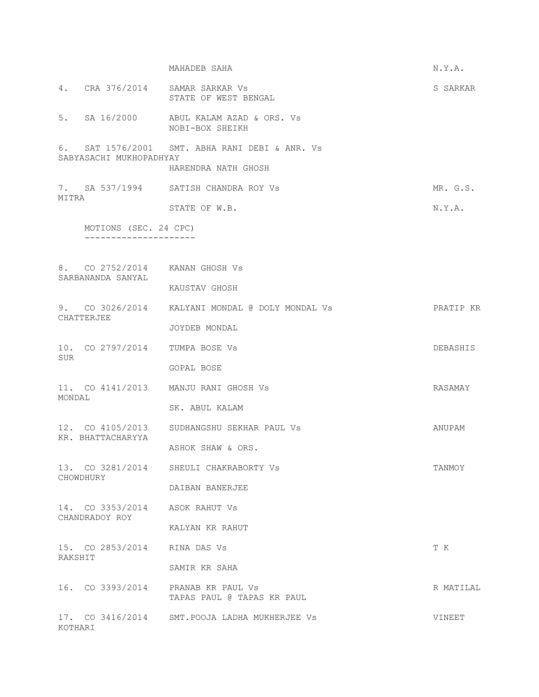|         |                                                  | MAHADEB SAHA                                                          | N.Y.A.    |
|---------|--------------------------------------------------|-----------------------------------------------------------------------|-----------|
|         |                                                  | 4. CRA 376/2014 SAMAR SARKAR Vs<br>STATE OF WEST BENGAL               | S SARKAR  |
|         |                                                  | 5. SA 16/2000 ABUL KALAM AZAD & ORS. Vs<br>NOBI-BOX SHEIKH            |           |
|         | SABYASACHI MUKHOPADHYAY                          | 6. SAT 1576/2001 SMT. ABHA RANI DEBI & ANR. Vs<br>HARENDRA NATH GHOSH |           |
|         |                                                  | 7. SA 537/1994 SATISH CHANDRA ROY Vs                                  | MR. G.S.  |
| MITRA   |                                                  |                                                                       |           |
|         |                                                  | STATE OF W.B.                                                         | N.Y.A.    |
|         | MOTIONS (SEC. 24 CPC)                            |                                                                       |           |
|         |                                                  |                                                                       |           |
|         | 8. CO 2752/2014 KANAN GHOSH Vs                   |                                                                       |           |
|         | SARBANANDA SANYAL                                | KAUSTAV GHOSH                                                         |           |
|         |                                                  | 9. CO 3026/2014 KALYANI MONDAL @ DOLY MONDAL Vs                       | PRATIP KR |
|         | CHATTERJEE                                       | JOYDEB MONDAL                                                         |           |
| SUR     | 10. CO 2797/2014 TUMPA BOSE Vs                   |                                                                       | DEBASHIS  |
|         |                                                  | GOPAL BOSE                                                            |           |
| MONDAL  |                                                  | 11. CO 4141/2013 MANJU RANI GHOSH Vs                                  | RASAMAY   |
|         |                                                  | SK. ABUL KALAM                                                        |           |
|         | KR. BHATTACHARYYA                                | 12. CO 4105/2013 SUDHANGSHU SEKHAR PAUL Vs                            | ANUPAM    |
|         |                                                  | ASHOK SHAW & ORS.                                                     |           |
|         | CHOWDHURY                                        | 13. CO 3281/2014 SHEULI CHAKRABORTY Vs                                | TANMOY    |
|         |                                                  | DAIBAN BANERJEE                                                       |           |
|         | 14. CO 3353/2014 ASOK RAHUT Vs<br>CHANDRADOY ROY |                                                                       |           |
|         |                                                  | KALYAN KR RAHUT                                                       |           |
| RAKSHIT | 15. CO 2853/2014 RINA DAS Vs                     |                                                                       | T K       |
|         |                                                  | SAMIR KR SAHA                                                         |           |
|         |                                                  | 16. CO 3393/2014 PRANAB KR PAUL Vs<br>TAPAS PAUL @ TAPAS KR PAUL      | R MATILAL |
| KOTHARI |                                                  | 17. CO 3416/2014 SMT. POOJA LADHA MUKHERJEE VS                        | VINEET    |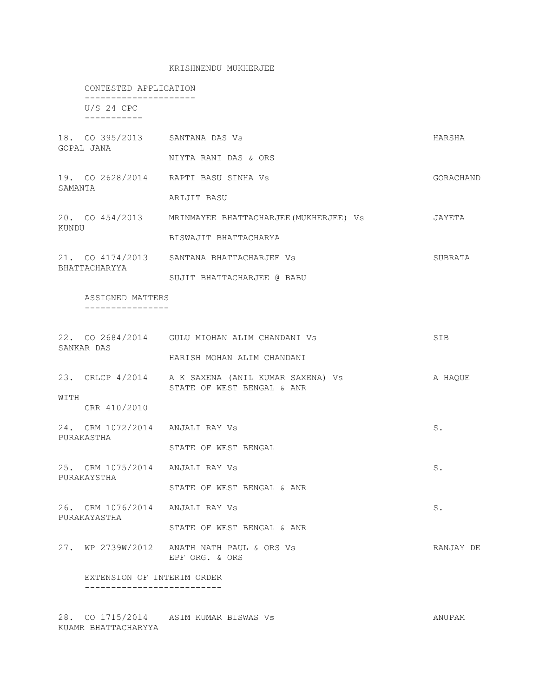### KRISHNENDU MUKHERJEE

|         |                                                 | CONTESTED APPLICATION                                                            |           |  |
|---------|-------------------------------------------------|----------------------------------------------------------------------------------|-----------|--|
|         | $U/S$ 24 CPC<br>----------                      |                                                                                  |           |  |
|         | GOPAL JANA                                      | 18. CO 395/2013 SANTANA DAS Vs<br>NIYTA RANI DAS & ORS                           | HARSHA    |  |
| SAMANTA |                                                 | 19. CO 2628/2014 RAPTI BASU SINHA Vs<br>ARIJIT BASU                              | GORACHAND |  |
| KUNDU   |                                                 | 20. CO 454/2013 MRINMAYEE BHATTACHARJEE (MUKHERJEE) Vs<br>BISWAJIT BHATTACHARYA  | JAYETA    |  |
|         | BHATTACHARYYA                                   | 21. CO 4174/2013 SANTANA BHATTACHARJEE Vs<br>SUJIT BHATTACHARJEE @ BABU          | SUBRATA   |  |
|         | ASSIGNED MATTERS                                |                                                                                  |           |  |
|         | SANKAR DAS                                      | 22. CO 2684/2014 GULU MIOHAN ALIM CHANDANI Vs<br>HARISH MOHAN ALIM CHANDANI      | SIB       |  |
| WITH    | CRR 410/2010                                    | 23. CRLCP 4/2014 A K SAXENA (ANIL KUMAR SAXENA) Vs<br>STATE OF WEST BENGAL & ANR | A HAQUE   |  |
|         | 24. CRM 1072/2014 ANJALI RAY Vs<br>PURAKASTHA   | STATE OF WEST BENGAL                                                             | S.        |  |
|         | 25. CRM 1075/2014 ANJALI RAY Vs<br>PURAKAYSTHA  | STATE OF WEST BENGAL & ANR                                                       | S.        |  |
|         | 26. CRM 1076/2014 ANJALI RAY Vs<br>PURAKAYASTHA | STATE OF WEST BENGAL & ANR                                                       | $S$ .     |  |
|         |                                                 | 27. WP 2739W/2012 ANATH NATH PAUL & ORS Vs<br>EPF ORG. & ORS                     | RANJAY DE |  |
|         | EXTENSION OF INTERIM ORDER                      |                                                                                  |           |  |

28. CO 1715/2014 ASIM KUMAR BISWAS Vs ANUPAM KUAMR BHATTACHARYYA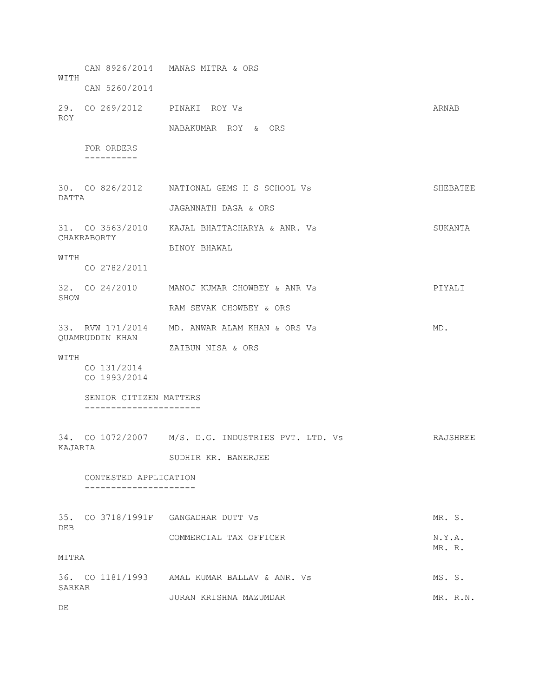CAN 8926/2014 MANAS MITRA & ORS WITH CAN 5260/2014 29. CO 269/2012 PINAKI ROY Vs ARNAB ROY NABAKUMAR ROY & ORS FOR ORDERS ---------- 30. CO 826/2012 NATIONAL GEMS H S SCHOOL Vs SHEBATEE DATTA JAGANNATH DAGA & ORS 31. CO 3563/2010 KAJAL BHATTACHARYA & ANR. Vs SUKANTA CHAKRABORTY BINOY BHAWAL WITH CO 2782/2011 32. CO 24/2010 MANOJ KUMAR CHOWBEY & ANR Vs PIYALI SHOW RAM SEVAK CHOWBEY & ORS 33. RVW 171/2014 MD. ANWAR ALAM KHAN & ORS Vs MD. QUAMRUDDIN KHAN ZAIBUN NISA & ORS WITH CO 131/2014 CO 1993/2014 SENIOR CITIZEN MATTERS ---------------------- 34. CO 1072/2007 M/S. D.G. INDUSTRIES PVT. LTD. Vs RAJSHREE KAJARIA SUDHIR KR. BANERJEE CONTESTED APPLICATION --------------------- 35. CO 3718/1991F GANGADHAR DUTT Vs MR. S. DEB COMMERCIAL TAX OFFICER N.Y.A. MR. R. MITRA 36. CO 1181/1993 AMAL KUMAR BALLAV & ANR. Vs MS. S. SARKAR JURAN KRISHNA MAZUMDAR MR. R.N. DE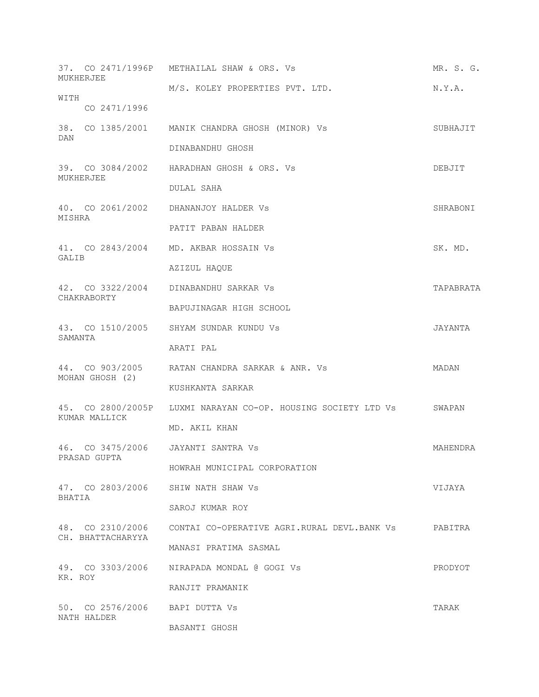| MUKHERJEE                                     | 37. CO 2471/1996P METHAILAL SHAW & ORS. Vs                           | MR. S. G. |
|-----------------------------------------------|----------------------------------------------------------------------|-----------|
|                                               | M/S. KOLEY PROPERTIES PVT. LTD.                                      | N.Y.A.    |
| WITH<br>CO 2471/1996                          |                                                                      |           |
| DAN                                           | 38. CO 1385/2001 MANIK CHANDRA GHOSH (MINOR) Vs                      | SUBHAJIT  |
|                                               | DINABANDHU GHOSH                                                     |           |
| MUKHERJEE                                     | 39. CO 3084/2002 HARADHAN GHOSH & ORS. Vs                            | DEBJIT    |
|                                               | DULAL SAHA                                                           |           |
| MISHRA                                        | 40. CO 2061/2002 DHANANJOY HALDER Vs                                 | SHRABONI  |
|                                               | PATIT PABAN HALDER                                                   |           |
| GALIB                                         | 41. CO 2843/2004 MD. AKBAR HOSSAIN Vs                                | SK. MD.   |
|                                               | AZIZUL HAQUE                                                         |           |
| CHAKRABORTY                                   | 42. CO 3322/2004 DINABANDHU SARKAR Vs                                | TAPABRATA |
|                                               | BAPUJINAGAR HIGH SCHOOL                                              |           |
| SAMANTA                                       | 43. CO 1510/2005 SHYAM SUNDAR KUNDU Vs                               | JAYANTA   |
|                                               | ARATI PAL                                                            |           |
| MOHAN GHOSH (2)                               | 44. CO 903/2005 RATAN CHANDRA SARKAR & ANR. Vs                       | MADAN     |
|                                               | KUSHKANTA SARKAR                                                     |           |
| KUMAR MALLICK                                 | 45. CO 2800/2005P LUXMI NARAYAN CO-OP. HOUSING SOCIETY LTD Vs SWAPAN |           |
|                                               | MD. AKIL KHAN                                                        |           |
| PRASAD GUPTA                                  | 46. CO 3475/2006 JAYANTI SANTRA VS                                   | MAHENDRA  |
|                                               | HOWRAH MUNICIPAL CORPORATION                                         |           |
| BHATIA                                        | 47. CO 2803/2006 SHIW NATH SHAW Vs                                   | VIJAYA    |
|                                               | SAROJ KUMAR ROY                                                      |           |
| CH. BHATTACHARYYA                             | 48. CO 2310/2006 CONTAI CO-OPERATIVE AGRI.RURAL DEVL.BANK Vs PABITRA |           |
|                                               | MANASI PRATIMA SASMAL                                                |           |
| KR. ROY                                       | 49. CO 3303/2006 NIRAPADA MONDAL @ GOGI Vs                           | PRODYOT   |
|                                               | RANJIT PRAMANIK                                                      |           |
| 50. CO 2576/2006 BAPI DUTTA Vs<br>NATH HALDER |                                                                      | TARAK     |
|                                               | BASANTI GHOSH                                                        |           |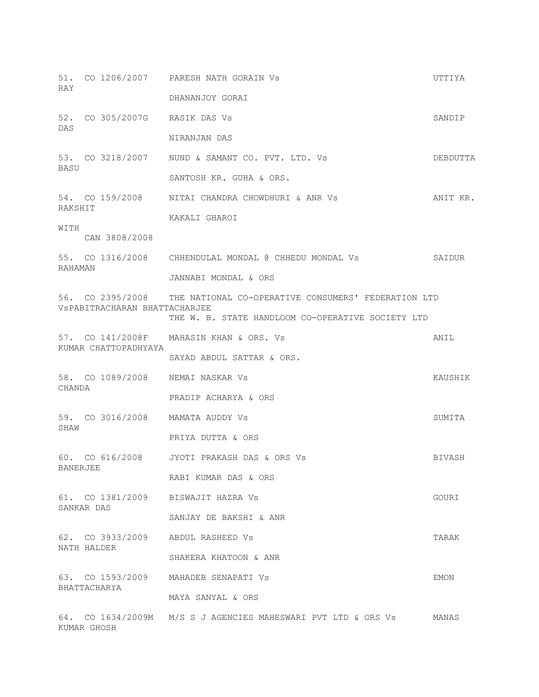| RAY         |                      |                               | 51. CO 1206/2007 PARESH NATH GORAIN Vs                               | UTTIYA   |
|-------------|----------------------|-------------------------------|----------------------------------------------------------------------|----------|
|             |                      |                               | DHANANJOY GORAI                                                      |          |
| DAS         |                      | 52. CO 305/2007G RASIK DAS Vs |                                                                      | SANDIP   |
|             |                      |                               | NIRANJAN DAS                                                         |          |
| <b>BASU</b> |                      |                               | 53. CO 3218/2007 NUND & SAMANT CO. PVT. LTD. Vs                      | DEBDUTTA |
|             |                      |                               | SANTOSH KR. GUHA & ORS.                                              |          |
| RAKSHIT     |                      |                               | 54. CO 159/2008 NITAI CHANDRA CHOWDHURI & ANR Vs                     | ANIT KR. |
|             |                      |                               | KAKALI GHAROI                                                        |          |
| WITH        |                      | CAN 3808/2008                 |                                                                      |          |
| RAHAMAN     |                      |                               | 55. CO 1316/2008 CHHENDULAL MONDAL @ CHHEDU MONDAL Vs                | SAIDUR   |
|             |                      |                               | JANNABI MONDAL & ORS                                                 |          |
|             |                      | VSPABITRACHARAN BHATTACHARJEE | 56. CO 2395/2008 THE NATIONAL CO-OPERATIVE CONSUMERS' FEDERATION LTD |          |
|             |                      |                               | THE W. B. STATE HANDLOOM CO-OPERATIVE SOCIETY LTD                    |          |
|             |                      |                               | 57. CO 141/2008F MAHASIN KHAN & ORS. Vs                              | ANIL     |
|             | KUMAR CHATTOPADHYAYA | SAYAD ABDUL SATTAR & ORS.     |                                                                      |          |
| CHANDA      |                      |                               | 58. CO 1089/2008 NEMAI NASKAR Vs                                     | KAUSHIK  |
|             |                      |                               | PRADIP ACHARYA & ORS                                                 |          |
|             |                      |                               | 59. CO 3016/2008 MAMATA AUDDY Vs                                     | SUMITA   |
| SHAW        |                      | PRIYA DUTTA & ORS             |                                                                      |          |
|             |                      |                               | 60. CO 616/2008 JYOTI PRAKASH DAS & ORS Vs                           | BIVASH   |
| BANERJEE    |                      |                               | RABI KUMAR DAS & ORS                                                 |          |
|             |                      |                               | 61. CO 1381/2009 BISWAJIT HAZRA Vs                                   | GOURI    |
|             | SANKAR DAS           |                               | SANJAY DE BAKSHI & ANR                                               |          |
| NATH HALDER |                      |                               | 62. CO 3933/2009 ABDUL RASHEED Vs                                    | TARAK    |
|             |                      |                               | SHAKERA KHATOON & ANR                                                |          |
|             |                      |                               | 63. CO 1593/2009 MAHADEB SENAPATI Vs                                 | EMON     |
|             |                      | BHATTACHARYA                  | MAYA SANYAL & ORS                                                    |          |
| KUMAR GHOSH |                      |                               | 64. CO 1634/2009M M/S S J AGENCIES MAHESWARI PVT LTD & ORS Vs        | MANAS    |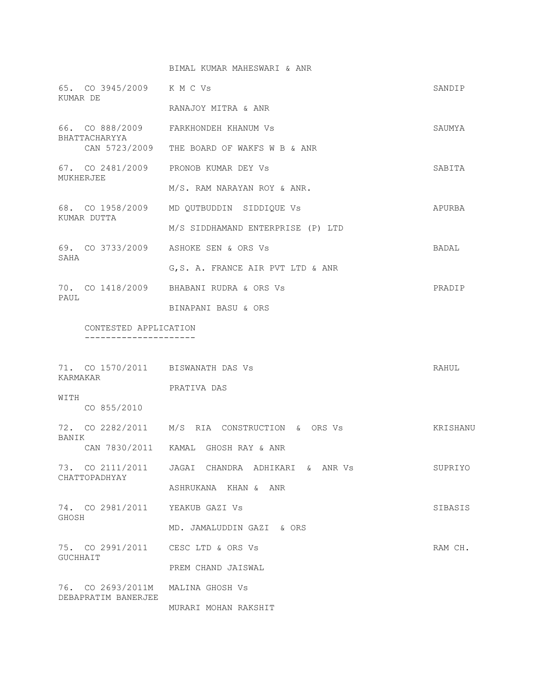|                                                          | BIMAL KUMAR MAHESWARI & ANR                    |              |
|----------------------------------------------------------|------------------------------------------------|--------------|
| 65. CO 3945/2009 K M C Vs<br>KUMAR DE                    |                                                | SANDIP       |
|                                                          | RANAJOY MITRA & ANR                            |              |
| BHATTACHARYYA                                            | 66. CO 888/2009 FARKHONDEH KHANUM Vs           | SAUMYA       |
|                                                          | CAN 5723/2009 THE BOARD OF WAKFS W B & ANR     |              |
| MUKHERJEE                                                | 67. CO 2481/2009 PRONOB KUMAR DEY Vs           | SABITA       |
|                                                          | M/S. RAM NARAYAN ROY & ANR.                    |              |
| KUMAR DUTTA                                              | 68. CO 1958/2009 MD QUTBUDDIN SIDDIQUE Vs      | APURBA       |
|                                                          | M/S SIDDHAMAND ENTERPRISE (P) LTD              |              |
| SAHA                                                     | 69. CO 3733/2009 ASHOKE SEN & ORS Vs           | <b>BADAL</b> |
|                                                          | G.S. A. FRANCE AIR PVT LTD & ANR               |              |
| PAUL                                                     | 70. CO 1418/2009 BHABANI RUDRA & ORS Vs        | PRADIP       |
|                                                          | BINAPANI BASU & ORS                            |              |
| CONTESTED APPLICATION<br>-------------------             |                                                |              |
|                                                          |                                                |              |
| 71. CO 1570/2011 BISWANATH DAS Vs<br>KARMAKAR            |                                                | RAHUL        |
| WITH                                                     | PRATIVA DAS                                    |              |
| CO 855/2010                                              |                                                |              |
| <b>BANTK</b>                                             | 72. CO 2282/2011 M/S RIA CONSTRUCTION & ORS Vs | KRISHANU     |
|                                                          | CAN 7830/2011 KAMAL GHOSH RAY & ANR            |              |
| 73. CO 2111/2011<br>CHATTOPADHYAY                        | JAGAI CHANDRA ADHIKARI & ANR Vs                | SUPRIYO      |
|                                                          | ASHRUKANA KHAN & ANR                           |              |
| 74. CO 2981/2011 YEAKUB GAZI Vs<br>GHOSH                 |                                                | SIBASIS      |
|                                                          | MD. JAMALUDDIN GAZI & ORS                      |              |
| 75. CO 2991/2011 CESC LTD & ORS Vs<br><b>GUCHHAIT</b>    |                                                | RAM CH.      |
|                                                          | PREM CHAND JAISWAL                             |              |
| 76. CO 2693/2011M MALINA GHOSH Vs<br>DEBAPRATIM BANERJEE |                                                |              |
|                                                          | MURARI MOHAN RAKSHIT                           |              |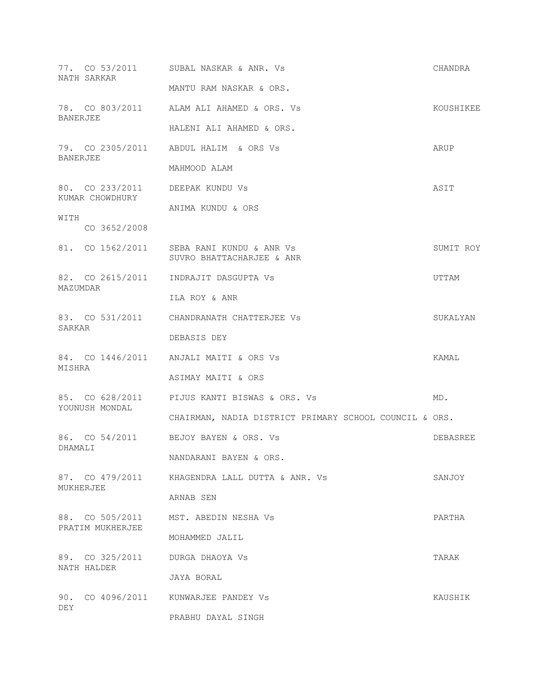|                 | NATH SARKAR                         | 77. CO 53/2011 SUBAL NASKAR & ANR. Vs                                  | CHANDRA   |
|-----------------|-------------------------------------|------------------------------------------------------------------------|-----------|
|                 |                                     | MANTU RAM NASKAR & ORS.                                                |           |
| BANERJEE        |                                     | 78. CO 803/2011 ALAM ALI AHAMED & ORS. Vs                              | KOUSHIKEE |
|                 |                                     | HALENI ALI AHAMED & ORS.                                               |           |
| <b>BANERJEE</b> |                                     | 79. CO 2305/2011 ABDUL HALIM & ORS Vs                                  | ARUP      |
|                 |                                     | MAHMOOD ALAM                                                           |           |
|                 | KUMAR CHOWDHURY                     | 80. CO 233/2011 DEEPAK KUNDU Vs                                        | ASIT      |
|                 |                                     | ANIMA KUNDU & ORS                                                      |           |
| WITH            | CO 3652/2008                        |                                                                        |           |
|                 |                                     | 81. CO 1562/2011 SEBA RANI KUNDU & ANR Vs<br>SUVRO BHATTACHARJEE & ANR | SUMIT ROY |
| MAZUMDAR        |                                     | 82. CO 2615/2011 INDRAJIT DASGUPTA Vs                                  | UTTAM     |
|                 |                                     | ILA ROY & ANR                                                          |           |
| SARKAR          |                                     | 83. CO 531/2011 CHANDRANATH CHATTERJEE Vs                              | SUKALYAN  |
|                 |                                     | DEBASIS DEY                                                            |           |
| MISHRA          |                                     | 84. CO 1446/2011 ANJALI MAITI & ORS Vs                                 | KAMAL     |
|                 |                                     | ASIMAY MAITI & ORS                                                     |           |
|                 | YOUNUSH MONDAL                      | 85. CO 628/2011 PIJUS KANTI BISWAS & ORS. Vs                           | MD.       |
|                 |                                     | CHAIRMAN, NADIA DISTRICT PRIMARY SCHOOL COUNCIL & ORS.                 |           |
| DHAMALI         |                                     | 86. CO 54/2011 BEJOY BAYEN & ORS. Vs                                   | DEBASREE  |
|                 |                                     | NANDARANI BAYEN & ORS.                                                 |           |
| MUKHERJEE       | 87. CO 479/2011                     | KHAGENDRA LALL DUTTA & ANR. Vs                                         | SANJOY    |
|                 |                                     | ARNAB SEN                                                              |           |
|                 | 88. CO 505/2011<br>PRATIM MUKHERJEE | MST. ABEDIN NESHA Vs                                                   | PARTHA    |
|                 |                                     | MOHAMMED JALIL                                                         |           |
|                 | 89. CO 325/2011<br>NATH HALDER      | DURGA DHAOYA VS                                                        | TARAK     |
|                 |                                     | JAYA BORAL                                                             |           |
| DEY             |                                     | 90. CO 4096/2011 KUNWARJEE PANDEY Vs                                   | KAUSHIK   |
|                 |                                     | PRABHU DAYAL SINGH                                                     |           |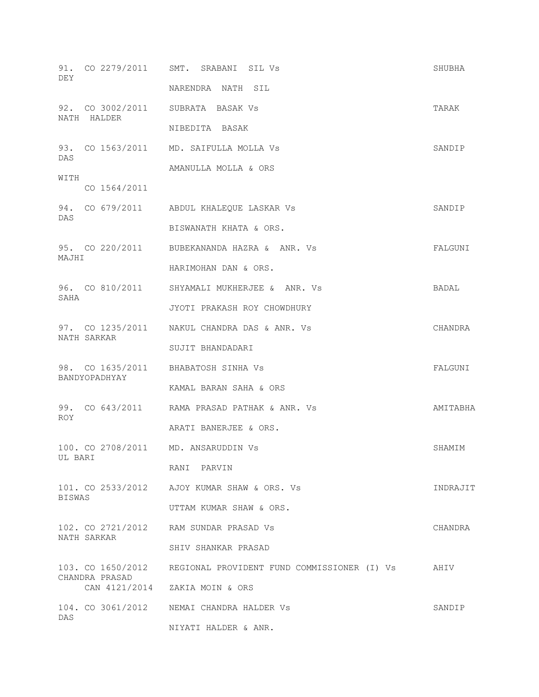| DEY           |                | 91. CO 2279/2011 SMT. SRABANI SIL Vs                          | SHUBHA   |
|---------------|----------------|---------------------------------------------------------------|----------|
|               |                | NARENDRA NATH SIL                                             |          |
|               | NATH HALDER    | 92. CO 3002/2011 SUBRATA BASAK Vs                             | TARAK    |
|               |                | NIBEDITA BASAK                                                |          |
| DAS           |                | 93. CO 1563/2011 MD. SAIFULLA MOLLA Vs                        | SANDIP   |
| WITH          |                | AMANULLA MOLLA & ORS                                          |          |
|               | CO 1564/2011   |                                                               |          |
| DAS           |                | 94. CO 679/2011 ABDUL KHALEQUE LASKAR Vs                      | SANDIP   |
|               |                | BISWANATH KHATA & ORS.                                        |          |
| MAJHI         |                | 95. CO 220/2011 BUBEKANANDA HAZRA & ANR. Vs                   | FALGUNI  |
|               |                | HARIMOHAN DAN & ORS.                                          |          |
|               |                | 96. CO 810/2011 SHYAMALI MUKHERJEE & ANR. Vs                  | BADAL    |
| SAHA          |                | JYOTI PRAKASH ROY CHOWDHURY                                   |          |
|               | NATH SARKAR    | 97. CO 1235/2011 NAKUL CHANDRA DAS & ANR. Vs                  | CHANDRA  |
|               |                | SUJIT BHANDADARI                                              |          |
|               | BANDYOPADHYAY  | 98. CO 1635/2011 BHABATOSH SINHA Vs                           | FALGUNI  |
|               |                | KAMAL BARAN SAHA & ORS                                        |          |
| ROY.          |                | 99. CO 643/2011 RAMA PRASAD PATHAK & ANR. Vs                  | AMITABHA |
|               |                | ARATI BANERJEE & ORS.                                         |          |
|               | UL BARI        | 100. CO 2708/2011 MD. ANSARUDDIN Vs                           | SHAMIM   |
|               |                | RANI PARVIN                                                   |          |
| <b>BISWAS</b> |                | 101. CO 2533/2012 AJOY KUMAR SHAW & ORS. Vs                   | INDRAJIT |
|               |                | UTTAM KUMAR SHAW & ORS.                                       |          |
|               | NATH SARKAR    | 102. CO 2721/2012 RAM SUNDAR PRASAD Vs                        | CHANDRA  |
|               |                | SHIV SHANKAR PRASAD                                           |          |
|               | CHANDRA PRASAD | 103. CO 1650/2012 REGIONAL PROVIDENT FUND COMMISSIONER (I) Vs | AHIV     |
|               |                | CAN 4121/2014 ZAKIA MOIN & ORS                                |          |
| DAS           |                | 104. CO 3061/2012 NEMAI CHANDRA HALDER Vs                     | SANDIP   |
|               |                | NIYATI HALDER & ANR.                                          |          |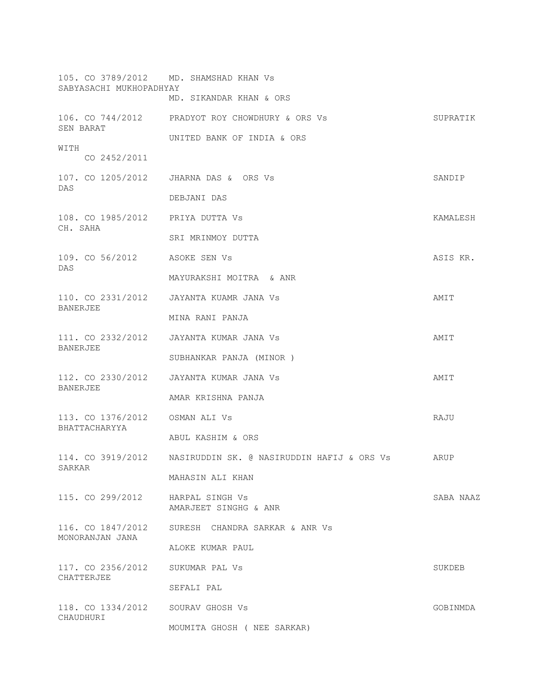| SABYASACHI MUKHOPADHYAY                        | 105. CO 3789/2012 MD. SHAMSHAD KHAN Vs                            |           |
|------------------------------------------------|-------------------------------------------------------------------|-----------|
|                                                | MD. SIKANDAR KHAN & ORS                                           |           |
| SEN BARAT                                      | 106. CO 744/2012 PRADYOT ROY CHOWDHURY & ORS Vs                   | SUPRATIK  |
| WITH                                           | UNITED BANK OF INDIA & ORS                                        |           |
| CO 2452/2011                                   |                                                                   |           |
| 107. CO 1205/2012<br>DAS                       | JHARNA DAS & ORS Vs                                               | SANDIP    |
|                                                | DEBJANI DAS                                                       |           |
| 108. CO 1985/2012 PRIYA DUTTA VS<br>CH. SAHA   |                                                                   | KAMALESH  |
|                                                | SRI MRINMOY DUTTA                                                 |           |
| 109. CO 56/2012 ASOKE SEN Vs<br>DAS            |                                                                   | ASIS KR.  |
|                                                | MAYURAKSHI MOITRA & ANR                                           |           |
| BANERJEE                                       | 110. CO 2331/2012 JAYANTA KUAMR JANA VS                           | AMIT      |
|                                                | MINA RANI PANJA                                                   |           |
| <b>BANERJEE</b>                                | 111. CO 2332/2012 JAYANTA KUMAR JANA Vs                           | AMIT      |
|                                                | SUBHANKAR PANJA (MINOR)                                           |           |
| <b>BANERJEE</b>                                | 112. CO 2330/2012 JAYANTA KUMAR JANA Vs                           | AMIT      |
|                                                | AMAR KRISHNA PANJA                                                |           |
| BHATTACHARYYA                                  |                                                                   | RAJU      |
|                                                | ABUL KASHIM & ORS                                                 |           |
|                                                | 114. CO 3919/2012 MASIRUDDIN SK. @ NASIRUDDIN HAFIJ & ORS Vs ARUP |           |
| SARKAR                                         | MAHASIN ALI KHAN                                                  |           |
| 115. CO 299/2012 HARPAL SINGH Vs               | AMARJEET SINGHG & ANR                                             | SABA NAAZ |
| MONORANJAN JANA                                | 116. CO 1847/2012 SURESH CHANDRA SARKAR & ANR Vs                  |           |
|                                                | ALOKE KUMAR PAUL                                                  |           |
| 117. CO 2356/2012 SUKUMAR PAL Vs<br>CHATTERJEE |                                                                   | SUKDEB    |
|                                                | SEFALI PAL                                                        |           |
| 118. CO 1334/2012 SOURAV GHOSH Vs<br>CHAUDHURI |                                                                   | GOBINMDA  |
|                                                | MOUMITA GHOSH ( NEE SARKAR)                                       |           |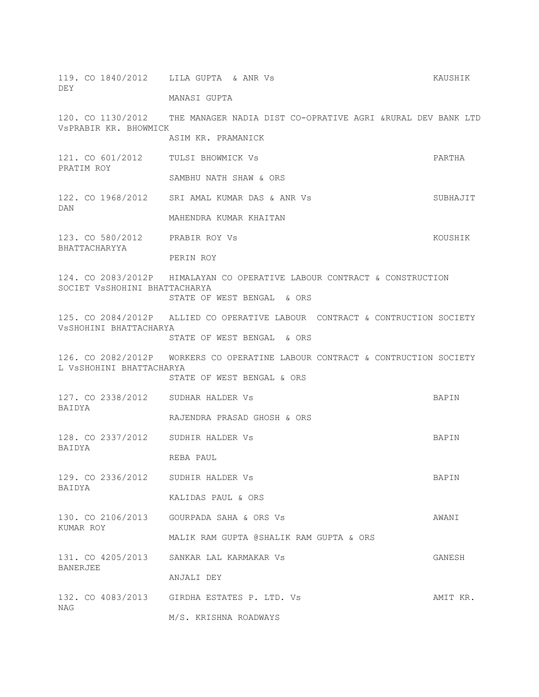119. CO 1840/2012 LILA GUPTA & ANR Vs KAUSHIK DEY MANASI GUPTA

120. CO 1130/2012 THE MANAGER NADIA DIST CO-OPRATIVE AGRI &RURAL DEV BANK LTD VsPRABIR KR. BHOWMICK ASIM KR. PRAMANICK

121. CO 601/2012 TULSI BHOWMICK Vs PARTHA PRATIM ROY SAMBHU NATH SHAW & ORS

- 122. CO 1968/2012 SRI AMAL KUMAR DAS & ANR Vs SUBHAJIT DAN MAHENDRA KUMAR KHAITAN
- 123. CO 580/2012 PRABIR ROY Vs KOUSHIK BHATTACHARYYA

PERIN ROY

124. CO 2083/2012P HIMALAYAN CO OPERATIVE LABOUR CONTRACT & CONSTRUCTION SOCIET VsSHOHINI BHATTACHARYA STATE OF WEST BENGAL & ORS

125. CO 2084/2012P ALLIED CO OPERATIVE LABOUR CONTRACT & CONTRUCTION SOCIETY VsSHOHINI BHATTACHARYA

STATE OF WEST BENGAL & ORS

126. CO 2082/2012P WORKERS CO OPERATINE LABOUR CONTRACT & CONTRUCTION SOCIETY L VsSHOHINI BHATTACHARYA

STATE OF WEST BENGAL & ORS

- 127. CO 2338/2012 SUDHAR HALDER Vs BAPIN BAIDYA
	- RAJENDRA PRASAD GHOSH & ORS
- 128. CO 2337/2012 SUDHIR HALDER Vs BAPIN BAIDYA

REBA PAUL

- 129. CO 2336/2012 SUDHIR HALDER Vs BAPIN BAIDYA KALIDAS PAUL & ORS
- 130. CO 2106/2013 GOURPADA SAHA & ORS Vs AWANI KUMAR ROY
	- MALIK RAM GUPTA @SHALIK RAM GUPTA & ORS

131. CO 4205/2013 SANKAR LAL KARMAKAR Vs GANESH BANERJEE ANJALI DEY

132. CO 4083/2013 GIRDHA ESTATES P. LTD. Vs AMIT KR. NAG M/S. KRISHNA ROADWAYS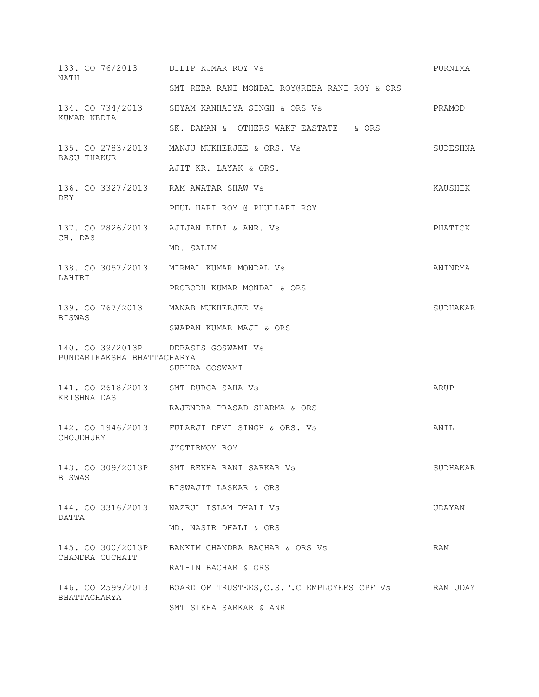| 133. CO 76/2013 DILIP KUMAR ROY Vs<br>NATH         |                                                               | PURNIMA  |
|----------------------------------------------------|---------------------------------------------------------------|----------|
|                                                    | SMT REBA RANI MONDAL ROY@REBA RANI ROY & ORS                  |          |
| KUMAR KEDIA                                        | 134. CO 734/2013 SHYAM KANHAIYA SINGH & ORS Vs                | PRAMOD   |
|                                                    | SK. DAMAN & OTHERS WAKF EASTATE & ORS                         |          |
| <b>BASU THAKUR</b>                                 | 135. CO 2783/2013 MANJU MUKHERJEE & ORS. Vs                   | SUDESHNA |
|                                                    | AJIT KR. LAYAK & ORS.                                         |          |
|                                                    | 136. CO 3327/2013 RAM AWATAR SHAW Vs                          | KAUSHIK  |
| DEY                                                | PHUL HARI ROY @ PHULLARI ROY                                  |          |
| CH. DAS                                            | 137. CO 2826/2013 AJIJAN BIBI & ANR. Vs                       | PHATICK  |
|                                                    | MD. SALIM                                                     |          |
|                                                    | 138. CO 3057/2013 MIRMAL KUMAR MONDAL Vs                      | ANINDYA  |
| LAHIRI                                             | PROBODH KUMAR MONDAL & ORS                                    |          |
| 139. CO 767/2013 MANAB MUKHERJEE Vs                |                                                               | SUDHAKAR |
| <b>BISWAS</b>                                      | SWAPAN KUMAR MAJI & ORS                                       |          |
|                                                    | 140. CO 39/2013P DEBASIS GOSWAMI Vs                           |          |
| PUNDARIKAKSHA BHATTACHARYA                         | SUBHRA GOSWAMI                                                |          |
| 141. CO 2618/2013 SMT DURGA SAHA Vs<br>KRISHNA DAS |                                                               | ARUP     |
|                                                    | RAJENDRA PRASAD SHARMA & ORS                                  |          |
|                                                    | 142. CO 1946/2013 FULARJI DEVI SINGH & ORS. Vs                | ANIL     |
| CHOUDHURY                                          | JYOTIRMOY ROY                                                 |          |
|                                                    | 143. CO 309/2013P SMT REKHA RANI SARKAR Vs                    | SUDHAKAR |
| <b>BISWAS</b>                                      | BISWAJIT LASKAR & ORS                                         |          |
| DATTA                                              | 144. CO 3316/2013 NAZRUL ISLAM DHALI VS                       | UDAYAN   |
|                                                    | MD. NASIR DHALI & ORS                                         |          |
|                                                    | 145. CO 300/2013P BANKIM CHANDRA BACHAR & ORS Vs              | RAM      |
| CHANDRA GUCHAIT                                    | RATHIN BACHAR & ORS                                           |          |
|                                                    | 146. CO 2599/2013 BOARD OF TRUSTEES, C.S.T.C EMPLOYEES CPF Vs | RAM UDAY |
| BHATTACHARYA                                       | SMT SIKHA SARKAR & ANR                                        |          |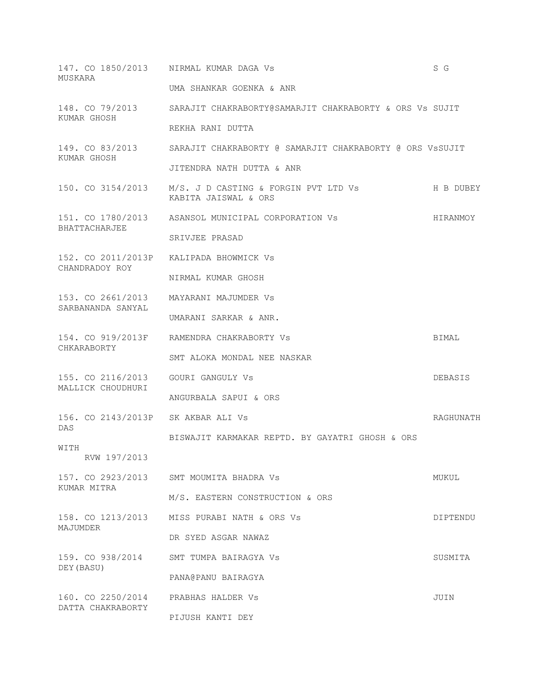| MUSKARA                                                 | 147. CO 1850/2013 NIRMAL KUMAR DAGA Vs                                         | S G       |
|---------------------------------------------------------|--------------------------------------------------------------------------------|-----------|
|                                                         | UMA SHANKAR GOENKA & ANR                                                       |           |
| KUMAR GHOSH                                             | 148. CO 79/2013 SARAJIT CHAKRABORTY@SAMARJIT CHAKRABORTY & ORS Vs SUJIT        |           |
|                                                         | REKHA RANI DUTTA                                                               |           |
| 149. CO 83/2013<br>KUMAR GHOSH                          | SARAJIT CHAKRABORTY @ SAMARJIT CHAKRABORTY @ ORS VSSUJIT                       |           |
|                                                         | JITENDRA NATH DUTTA & ANR                                                      |           |
|                                                         | 150. CO 3154/2013 M/S. J D CASTING & FORGIN PVT LTD Vs<br>KABITA JAISWAL & ORS | H B DUBEY |
| <b>BHATTACHARJEE</b>                                    | 151. CO 1780/2013 ASANSOL MUNICIPAL CORPORATION Vs                             | HIRANMOY  |
|                                                         | SRIVJEE PRASAD                                                                 |           |
| CHANDRADOY ROY                                          | 152. CO 2011/2013P KALIPADA BHOWMICK Vs                                        |           |
|                                                         | NIRMAL KUMAR GHOSH                                                             |           |
| SARBANANDA SANYAL                                       | 153. CO 2661/2013 MAYARANI MAJUMDER Vs                                         |           |
|                                                         | UMARANI SARKAR & ANR.                                                          |           |
| CHKARABORTY                                             | 154. CO 919/2013F RAMENDRA CHAKRABORTY Vs                                      | BIMAL     |
|                                                         | SMT ALOKA MONDAL NEE NASKAR                                                    |           |
| 155. CO 2116/2013 GOURI GANGULY Vs<br>MALLICK CHOUDHURI |                                                                                | DEBASIS   |
|                                                         | ANGURBALA SAPUI & ORS                                                          |           |
| 156. CO 2143/2013P SK AKBAR ALI Vs<br>DAS               |                                                                                | RAGHUNATH |
| WITH                                                    | BISWAJIT KARMAKAR REPTD. BY GAYATRI GHOSH & ORS                                |           |
| RVW 197/2013                                            |                                                                                |           |
| KUMAR MITRA                                             | 157. CO 2923/2013 SMT MOUMITA BHADRA Vs                                        | MUKUL     |
|                                                         | M/S. EASTERN CONSTRUCTION & ORS                                                |           |
| MAJUMDER                                                | 158. CO 1213/2013 MISS PURABI NATH & ORS Vs                                    | DIPTENDU  |
|                                                         | DR SYED ASGAR NAWAZ                                                            |           |
| 159. CO 938/2014<br>DEY (BASU)                          | SMT TUMPA BAIRAGYA VS                                                          | SUSMITA   |
|                                                         | PANA@PANU BAIRAGYA                                                             |           |
| 160. CO 2250/2014<br>DATTA CHAKRABORTY                  | PRABHAS HALDER Vs                                                              | JUIN      |
|                                                         | PIJUSH KANTI DEY                                                               |           |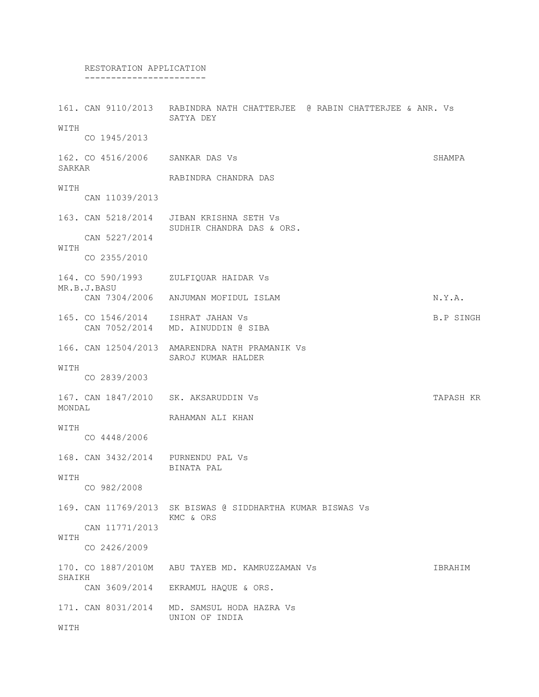# RESTORATION APPLICATION

-----------------------

161. CAN 9110/2013 RABINDRA NATH CHATTERJEE @ RABIN CHATTERJEE & ANR. Vs SATYA DEY WITH CO 1945/2013 162. CO 4516/2006 SANKAR DAS Vs SHAMPA SARKAR RABINDRA CHANDRA DAS WITH CAN 11039/2013 163. CAN 5218/2014 JIBAN KRISHNA SETH Vs SUDHIR CHANDRA DAS & ORS. CAN 5227/2014 WITH CO 2355/2010 164. CO 590/1993 ZULFIQUAR HAIDAR Vs MR.B.J.BASU CAN 7304/2006 ANJUMAN MOFIDUL ISLAM NORTHAN N.Y.A. 165. CO 1546/2014 ISHRAT JAHAN Vs B.P SINGH CAN 7052/2014 MD. AINUDDIN @ SIBA 166. CAN 12504/2013 AMARENDRA NATH PRAMANIK Vs SAROJ KUMAR HALDER WITH CO 2839/2003 167. CAN 1847/2010 SK. AKSARUDDIN Vs TAPASH KR MONDAL RAHAMAN ALI KHAN WITH CO 4448/2006 168. CAN 3432/2014 PURNENDU PAL Vs BINATA PAL WITH CO 982/2008 169. CAN 11769/2013 SK BISWAS @ SIDDHARTHA KUMAR BISWAS Vs KMC & ORS CAN 11771/2013 WITH CO 2426/2009 170. CO 1887/2010M ABU TAYEB MD. KAMRUZZAMAN Vs IBRAHIM SHAIKH CAN 3609/2014 EKRAMUL HAQUE & ORS. 171. CAN 8031/2014 MD. SAMSUL HODA HAZRA Vs UNION OF INDIA WITH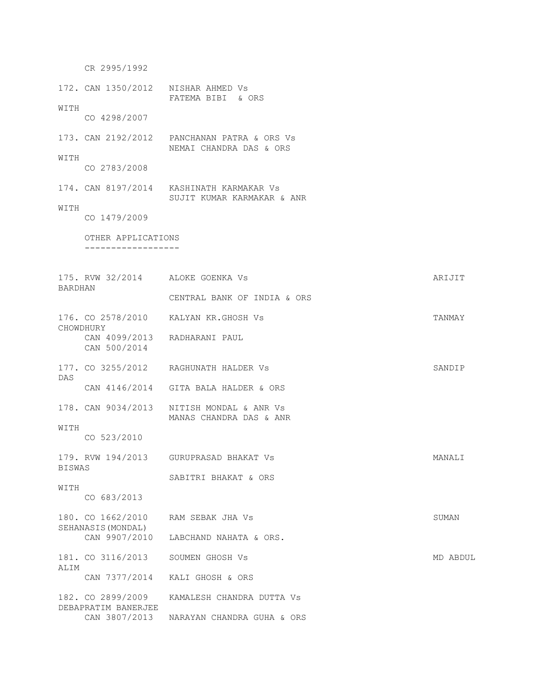CR 2995/1992 172. CAN 1350/2012 NISHAR AHMED Vs FATEMA BIBI & ORS WITH CO 4298/2007 173. CAN 2192/2012 PANCHANAN PATRA & ORS Vs NEMAI CHANDRA DAS & ORS WITH CO 2783/2008 174. CAN 8197/2014 KASHINATH KARMAKAR Vs SUJIT KUMAR KARMAKAR & ANR WITH CO 1479/2009 OTHER APPLICATIONS ------------------ 175. RVW 32/2014 ALOKE GOENKA Vs ARIJIT BARDHAN CENTRAL BANK OF INDIA & ORS 176. CO 2578/2010 KALYAN KR.GHOSH Vs TANMAY CHOWDHURY CAN 4099/2013 RADHARANI PAUL CAN 500/2014 177. CO 3255/2012 RAGHUNATH HALDER Vs SANDIP DAS CAN 4146/2014 GITA BALA HALDER & ORS 178. CAN 9034/2013 NITISH MONDAL & ANR Vs MANAS CHANDRA DAS & ANR WITH CO 523/2010 179. RVW 194/2013 GURUPRASAD BHAKAT Vs MANALI BISWAS SABITRI BHAKAT & ORS WITH CO 683/2013 180. CO 1662/2010 RAM SEBAK JHA Vs SUMAN SEHANASIS(MONDAL) CAN 9907/2010 LABCHAND NAHATA & ORS. 181. CO 3116/2013 SOUMEN GHOSH Vs MD ABDUL ALIM CAN 7377/2014 KALI GHOSH & ORS 182. CO 2899/2009 KAMALESH CHANDRA DUTTA Vs DEBAPRATIM BANERJEE CAN 3807/2013 NARAYAN CHANDRA GUHA & ORS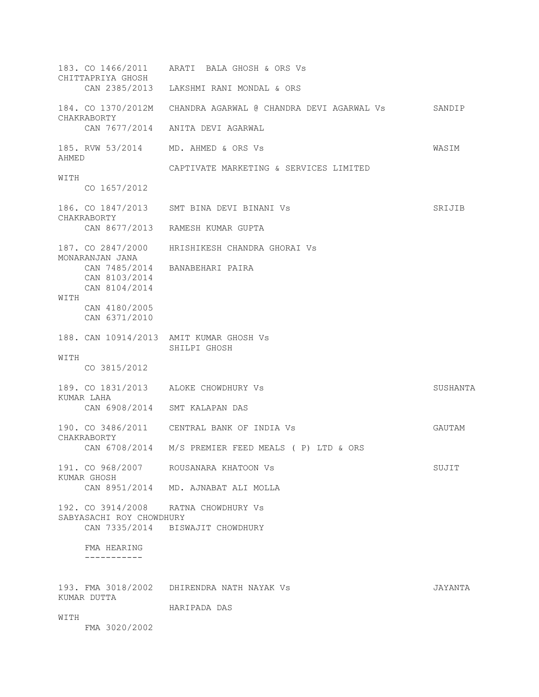183. CO 1466/2011 ARATI BALA GHOSH & ORS Vs CHITTAPRIYA GHOSH CAN 2385/2013 LAKSHMI RANI MONDAL & ORS 184. CO 1370/2012M CHANDRA AGARWAL @ CHANDRA DEVI AGARWAL Vs SANDIP CHAKRABORTY CAN 7677/2014 ANITA DEVI AGARWAL 185. RVW 53/2014 MD. AHMED & ORS Vs WASIM AHMED CAPTIVATE MARKETING & SERVICES LIMITED WITH CO 1657/2012 186. CO 1847/2013 SMT BINA DEVI BINANI Vs SRIJIB CHAKRABORTY CAN 8677/2013 RAMESH KUMAR GUPTA 187. CO 2847/2000 HRISHIKESH CHANDRA GHORAI Vs MONARANJAN JANA CAN 7485/2014 BANABEHARI PAIRA CAN 8103/2014 CAN 8104/2014 WITH CAN 4180/2005 CAN 6371/2010 188. CAN 10914/2013 AMIT KUMAR GHOSH Vs SHILPI GHOSH WITH CO 3815/2012 189. CO 1831/2013 ALOKE CHOWDHURY Vs SUSHANTA KUMAR LAHA CAN 6908/2014 SMT KALAPAN DAS 190. CO 3486/2011 CENTRAL BANK OF INDIA Vs GAUTAM CHAKRABORTY CAN 6708/2014 M/S PREMIER FEED MEALS ( P) LTD & ORS 191. CO 968/2007 ROUSANARA KHATOON Vs SUJIT KUMAR GHOSH CAN 8951/2014 MD. AJNABAT ALI MOLLA 192. CO 3914/2008 RATNA CHOWDHURY Vs SABYASACHI ROY CHOWDHURY CAN 7335/2014 BISWAJIT CHOWDHURY FMA HEARING ----------- 193. FMA 3018/2002 DHIRENDRA NATH NAYAK Vs JAYANTA KUMAR DUTTA HARIPADA DAS **WITH** FMA 3020/2002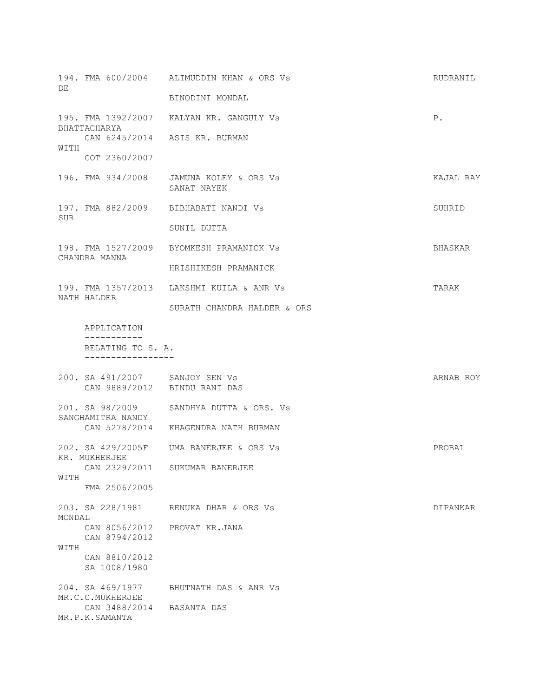| DE     |                                             | 194. FMA 600/2004 ALIMUDDIN KHAN & ORS Vs              | RUDRANIL  |
|--------|---------------------------------------------|--------------------------------------------------------|-----------|
|        |                                             | BINODINI MONDAL                                        |           |
|        | BHATTACHARYA                                | 195. FMA 1392/2007 KALYAN KR. GANGULY Vs               | Ρ.        |
| WITH   |                                             | CAN 6245/2014 ASIS KR. BURMAN                          |           |
|        | COT 2360/2007                               |                                                        |           |
|        |                                             | 196. FMA 934/2008 JAMUNA KOLEY & ORS Vs<br>SANAT NAYEK | KAJAL RAY |
| SUR    |                                             | 197. FMA 882/2009 BIBHABATI NANDI VS                   | SUHRID    |
|        |                                             | SUNIL DUTTA                                            |           |
|        | CHANDRA MANNA                               | 198. FMA 1527/2009 BYOMKESH PRAMANICK Vs               | BHASKAR   |
|        |                                             | HRISHIKESH PRAMANICK                                   |           |
|        | NATH HALDER                                 | 199. FMA 1357/2013 LAKSHMI KUILA & ANR Vs              | TARAK     |
|        |                                             | SURATH CHANDRA HALDER & ORS                            |           |
|        | APPLICATION<br>-----------                  |                                                        |           |
|        | RELATING TO S. A.                           |                                                        |           |
|        | 200. SA 491/2007 SANJOY SEN VS              |                                                        | ARNAB ROY |
|        | CAN 9889/2012 BINDU RANI DAS                |                                                        |           |
|        |                                             | 201. SA 98/2009 SANDHYA DUTTA & ORS. Vs                |           |
|        | SANGHAMITRA NANDY                           | CAN 5278/2014 KHAGENDRA NATH BURMAN                    |           |
|        | KR. MUKHERJEE                               | 202. SA 429/2005F UMA BANERJEE & ORS Vs                | PROBAL    |
| WITH   | CAN 2329/2011                               | SUKUMAR BANERJEE                                       |           |
|        | FMA 2506/2005                               |                                                        |           |
| MONDAL | 203. SA 228/1981                            | RENUKA DHAR & ORS Vs                                   | DIPANKAR  |
| WITH   | CAN 8056/2012<br>CAN 8794/2012              | PROVAT KR.JANA                                         |           |
|        | CAN 8810/2012<br>SA 1008/1980               |                                                        |           |
|        | 204. SA 469/1977<br>MR.C.C.MUKHERJEE        | BHUTNATH DAS & ANR Vs                                  |           |
|        | CAN 3488/2014 BASANTA DAS<br>MR.P.K.SAMANTA |                                                        |           |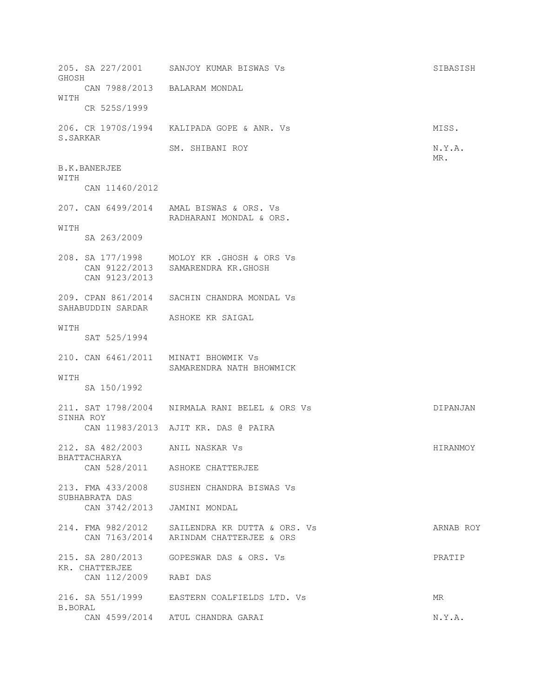205. SA 227/2001 SANJOY KUMAR BISWAS Vs SIBASISH GHOSH CAN 7988/2013 BALARAM MONDAL WITH CR 525S/1999 206. CR 1970S/1994 KALIPADA GOPE & ANR. Vs MISS. S.SARKAR SM. SHIBANI ROY N.Y.A. MR. B.K.BANERJEE WITH CAN 11460/2012 207. CAN 6499/2014 AMAL BISWAS & ORS. Vs RADHARANI MONDAL & ORS. WITH SA 263/2009 208. SA 177/1998 MOLOY KR .GHOSH & ORS Vs CAN 9122/2013 SAMARENDRA KR.GHOSH CAN 9123/2013 209. CPAN 861/2014 SACHIN CHANDRA MONDAL Vs SAHABUDDIN SARDAR ASHOKE KR SAIGAL WITH SAT 525/1994 210. CAN 6461/2011 MINATI BHOWMIK Vs SAMARENDRA NATH BHOWMICK WITH SA 150/1992 211. SAT 1798/2004 NIRMALA RANI BELEL & ORS Vs DIPANJAN SINHA ROY CAN 11983/2013 AJIT KR. DAS @ PAIRA 212. SA 482/2003 ANIL NASKAR Vs Sandwick Control of Hiranmoy BHATTACHARYA CAN 528/2011 ASHOKE CHATTERJEE 213. FMA 433/2008 SUSHEN CHANDRA BISWAS Vs SUBHABRATA DAS CAN 3742/2013 JAMINI MONDAL 214. FMA 982/2012 SAILENDRA KR DUTTA & ORS. Vs ARNAB ROY CAN 7163/2014 ARINDAM CHATTERJEE & ORS 215. SA 280/2013 GOPESWAR DAS & ORS. Vs PRATIP KR. CHATTERJEE CAN 112/2009 RABI DAS 216. SA 551/1999 EASTERN COALFIELDS LTD. Vs MR B. BORAL CAN 4599/2014 ATUL CHANDRA GARAI N.Y.A.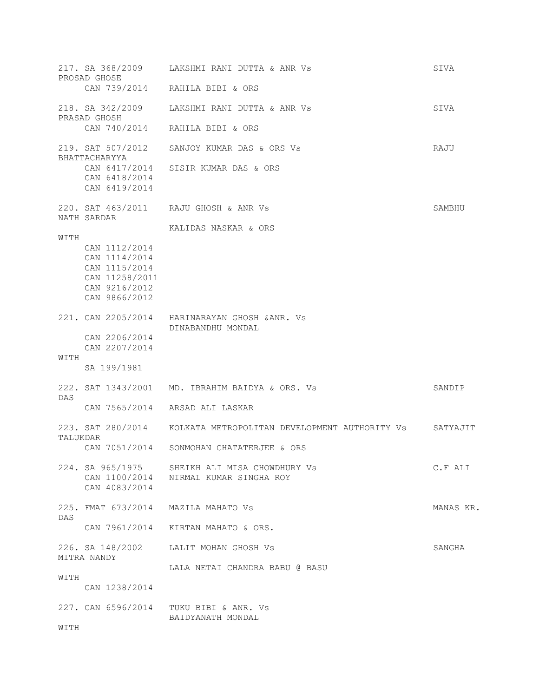|          | 217. SA 368/2009<br>PROSAD GHOSE<br>CAN 739/2014                                                    | LAKSHMI RANI DUTTA & ANR VS<br>RAHILA BIBI & ORS                                       | SIVA      |
|----------|-----------------------------------------------------------------------------------------------------|----------------------------------------------------------------------------------------|-----------|
|          | 218. SA 342/2009                                                                                    | LAKSHMI RANI DUTTA & ANR VS                                                            | SIVA      |
|          | PRASAD GHOSH<br>CAN 740/2014                                                                        | RAHILA BIBI & ORS                                                                      |           |
|          | 219. SAT 507/2012                                                                                   | SANJOY KUMAR DAS & ORS Vs                                                              | RAJU      |
|          | BHATTACHARYYA<br>CAN 6417/2014<br>CAN 6418/2014<br>CAN 6419/2014                                    | SISIR KUMAR DAS & ORS                                                                  |           |
|          | NATH SARDAR                                                                                         | 220. SAT 463/2011 RAJU GHOSH & ANR Vs                                                  | SAMBHU    |
|          |                                                                                                     | KALIDAS NASKAR & ORS                                                                   |           |
| WITH     | CAN 1112/2014<br>CAN 1114/2014<br>CAN 1115/2014<br>CAN 11258/2011<br>CAN 9216/2012<br>CAN 9866/2012 |                                                                                        |           |
|          |                                                                                                     | 221. CAN 2205/2014 HARINARAYAN GHOSH & ANR. Vs<br>DINABANDHU MONDAL                    |           |
|          | CAN 2206/2014<br>CAN 2207/2014                                                                      |                                                                                        |           |
| WITH     | SA 199/1981                                                                                         |                                                                                        |           |
| DAS      |                                                                                                     | 222. SAT 1343/2001 MD. IBRAHIM BAIDYA & ORS. Vs                                        | SANDIP    |
|          | CAN 7565/2014                                                                                       | ARSAD ALI LASKAR                                                                       |           |
| TALUKDAR | 223. SAT 280/2014                                                                                   | KOLKATA METROPOLITAN DEVELOPMENT AUTHORITY Vs                                          | SATYAJIT  |
|          | CAN 7051/2014                                                                                       | SONMOHAN CHATATERJEE & ORS                                                             |           |
|          | CAN 4083/2014                                                                                       | 224. SA 965/1975 SHEIKH ALI MISA CHOWDHURY Vs<br>CAN 1100/2014 NIRMAL KUMAR SINGHA ROY | C.F ALI   |
| DAS      |                                                                                                     | 225. FMAT 673/2014 MAZILA MAHATO Vs                                                    | MANAS KR. |
|          |                                                                                                     | CAN 7961/2014 KIRTAN MAHATO & ORS.                                                     |           |
|          | MITRA NANDY                                                                                         | 226. SA 148/2002 LALIT MOHAN GHOSH Vs                                                  | SANGHA    |
|          |                                                                                                     | LALA NETAI CHANDRA BABU @ BASU                                                         |           |
| WITH     | CAN 1238/2014                                                                                       |                                                                                        |           |
|          |                                                                                                     | 227. CAN 6596/2014 TUKU BIBI & ANR. Vs<br>BAIDYANATH MONDAL                            |           |
| WITH     |                                                                                                     |                                                                                        |           |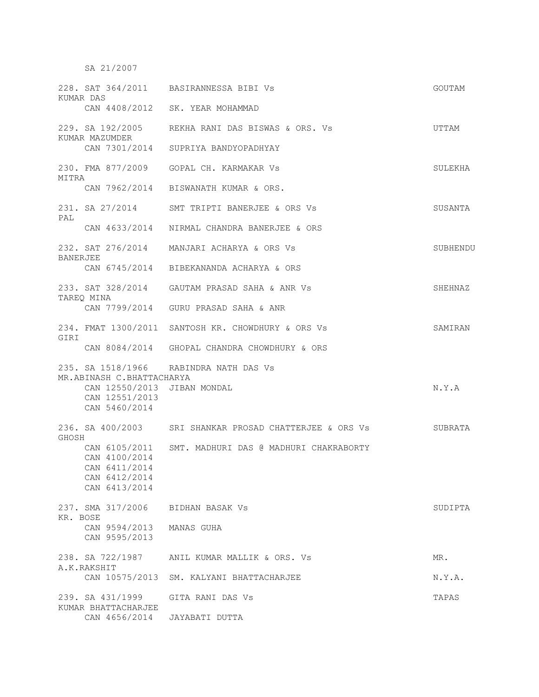SA 21/2007

|                 | KUMAR DAS                               | 228. SAT 364/2011 BASIRANNESSA BIBI Vs                  | GOUTAM   |
|-----------------|-----------------------------------------|---------------------------------------------------------|----------|
|                 |                                         | CAN 4408/2012 SK. YEAR MOHAMMAD                         |          |
|                 | KUMAR MAZUMDER                          | 229. SA 192/2005     REKHA RANI DAS BISWAS & ORS. Vs    | UTTAM    |
|                 |                                         | CAN 7301/2014 SUPRIYA BANDYOPADHYAY                     |          |
| MITRA           |                                         | 230. FMA 877/2009 GOPAL CH. KARMAKAR Vs                 | SULEKHA  |
|                 |                                         | CAN 7962/2014 BISWANATH KUMAR & ORS.                    |          |
| PAL             |                                         | 231. SA 27/2014 SMT TRIPTI BANERJEE & ORS Vs            | SUSANTA  |
|                 |                                         | CAN 4633/2014 NIRMAL CHANDRA BANERJEE & ORS             |          |
| <b>BANERJEE</b> |                                         | 232. SAT 276/2014 MANJARI ACHARYA & ORS Vs              | SUBHENDU |
|                 |                                         | CAN 6745/2014 BIBEKANANDA ACHARYA & ORS                 |          |
|                 | TAREQ MINA                              | 233. SAT 328/2014 GAUTAM PRASAD SAHA & ANR Vs           | SHEHNAZ  |
|                 |                                         | CAN 7799/2014 GURU PRASAD SAHA & ANR                    |          |
| GIRI            |                                         | 234. FMAT 1300/2011 SANTOSH KR. CHOWDHURY & ORS Vs      | SAMIRAN  |
|                 |                                         | CAN 8084/2014 GHOPAL CHANDRA CHOWDHURY & ORS            |          |
|                 | MR.ABINASH C.BHATTACHARYA               | 235. SA 1518/1966 RABINDRA NATH DAS Vs                  |          |
|                 | CAN 12550/2013 JIBAN MONDAL             |                                                         | N.Y.A    |
|                 | CAN 12551/2013<br>CAN 5460/2014         |                                                         |          |
| GHOSH           |                                         | 236. SA 400/2003 SRI SHANKAR PROSAD CHATTERJEE & ORS Vs | SUBRATA  |
|                 | CAN 6105/2011                           | SMT. MADHURI DAS @ MADHURI CHAKRABORTY                  |          |
|                 | CAN 4100/2014<br>CAN 6411/2014          |                                                         |          |
|                 | CAN 6412/2014<br>CAN 6413/2014          |                                                         |          |
|                 | 237. SMA 317/2006                       | BIDHAN BASAK Vs                                         | SUDIPTA  |
| KR. BOSE        | CAN 9594/2013                           | MANAS GUHA                                              |          |
|                 | CAN 9595/2013                           |                                                         |          |
|                 | 238. SA 722/1987<br>A.K.RAKSHIT         | ANIL KUMAR MALLIK & ORS. Vs                             | MR.      |
|                 | CAN 10575/2013                          | SM. KALYANI BHATTACHARJEE                               | N.Y.A.   |
|                 | 239. SA 431/1999<br>KUMAR BHATTACHARJEE | GITA RANI DAS Vs                                        | TAPAS    |
|                 | CAN 4656/2014                           | JAYABATI DUTTA                                          |          |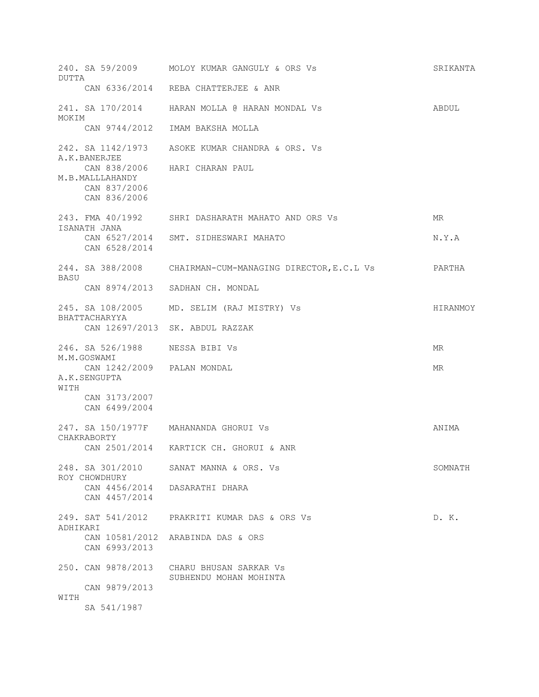| DUTTA    |                                                           | 240. SA 59/2009 MOLOY KUMAR GANGULY & ORS Vs              | SRIKANTA |
|----------|-----------------------------------------------------------|-----------------------------------------------------------|----------|
|          |                                                           | CAN 6336/2014 REBA CHATTERJEE & ANR                       |          |
| MOKIM    |                                                           | 241. SA 170/2014 HARAN MOLLA @ HARAN MONDAL Vs            | ABDUL    |
|          | CAN 9744/2012                                             | IMAM BAKSHA MOLLA                                         |          |
|          | 242. SA 1142/1973<br>A.K.BANERJEE                         | ASOKE KUMAR CHANDRA & ORS. Vs                             |          |
|          | M.B.MALLLAHANDY<br>CAN 837/2006<br>CAN 836/2006           | CAN 838/2006 HARI CHARAN PAUL                             |          |
|          |                                                           | 243. FMA 40/1992 SHRI DASHARATH MAHATO AND ORS Vs         | MR       |
|          | ISANATH JANA                                              | CAN 6527/2014 SMT. SIDHESWARI MAHATO                      | N.Y.A    |
|          | CAN 6528/2014                                             |                                                           |          |
| BASU     |                                                           | 244. SA 388/2008 CHAIRMAN-CUM-MANAGING DIRECTOR, E.C.L Vs | PARTHA   |
|          | CAN 8974/2013                                             | SADHAN CH. MONDAL                                         |          |
|          | 245. SA 108/2005<br>BHATTACHARYYA                         | MD. SELIM (RAJ MISTRY) Vs                                 | HIRANMOY |
|          |                                                           | CAN 12697/2013 SK. ABDUL RAZZAK                           |          |
|          | 246. SA 526/1988 NESSA BIBI VS                            |                                                           | MR       |
|          |                                                           |                                                           |          |
|          | M.M.GOSWAMI<br>CAN 1242/2009 PALAN MONDAL<br>A.K.SENGUPTA |                                                           | MR.      |
| WITH     | CAN 3173/2007                                             |                                                           |          |
|          | CAN 6499/2004                                             |                                                           |          |
|          | CHAKRABORTY                                               | 247. SA 150/1977F MAHANANDA GHORUI VS                     | ANIMA    |
|          |                                                           | CAN 2501/2014 KARTICK CH. GHORUI & ANR                    |          |
|          | 248. SA 301/2010                                          | SANAT MANNA & ORS. Vs                                     | SOMNATH  |
|          | ROY CHOWDHURY<br>CAN 4456/2014<br>CAN 4457/2014           | DASARATHI DHARA                                           |          |
|          | 249. SAT 541/2012                                         | PRAKRITI KUMAR DAS & ORS Vs                               | D. K.    |
| ADHIKARI | CAN 10581/2012<br>CAN 6993/2013                           | ARABINDA DAS & ORS                                        |          |
|          | 250. CAN 9878/2013                                        | CHARU BHUSAN SARKAR VS                                    |          |
| WITH     | CAN 9879/2013                                             | SUBHENDU MOHAN MOHINTA                                    |          |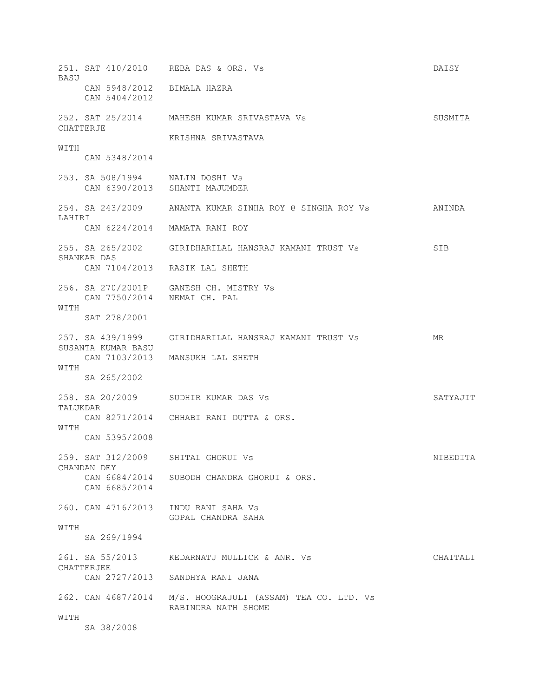251. SAT 410/2010 REBA DAS & ORS. Vs DAISY **BASU**  CAN 5948/2012 BIMALA HAZRA CAN 5404/2012 252. SAT 25/2014 MAHESH KUMAR SRIVASTAVA Vs SUSMITA CHATTERJE KRISHNA SRIVASTAVA **WITH**  CAN 5348/2014 253. SA 508/1994 NALIN DOSHI Vs CAN 6390/2013 SHANTI MAJUMDER 254. SA 243/2009 ANANTA KUMAR SINHA ROY @ SINGHA ROY Vs ANINDA LAHIRI CAN 6224/2014 MAMATA RANI ROY 255. SA 265/2002 GIRIDHARILAL HANSRAJ KAMANI TRUST Vs SIB SHANKAR DAS CAN 7104/2013 RASIK LAL SHETH 256. SA 270/2001P GANESH CH. MISTRY Vs CAN 7750/2014 NEMAI CH. PAL **WITH**  SAT 278/2001 257. SA 439/1999 GIRIDHARILAL HANSRAJ KAMANI TRUST Vs MR SUSANTA KUMAR BASU CAN 7103/2013 MANSUKH LAL SHETH WITH SA 265/2002 258. SA 20/2009 SUDHIR KUMAR DAS Vs SATYAJIT TALUKDAR CAN 8271/2014 CHHABI RANI DUTTA & ORS. WITH CAN 5395/2008 259. SAT 312/2009 SHITAL GHORUI Vs NIBEDITA CHANDAN DEY CAN 6684/2014 SUBODH CHANDRA GHORUI & ORS. CAN 6685/2014 260. CAN 4716/2013 INDU RANI SAHA Vs GOPAL CHANDRA SAHA WITH SA 269/1994 261. SA 55/2013 KEDARNATJ MULLICK & ANR. Vs CHAITALI CHATTERJEE CAN 2727/2013 SANDHYA RANI JANA 262. CAN 4687/2014 M/S. HOOGRAJULI (ASSAM) TEA CO. LTD. Vs RABINDRA NATH SHOME **WITH** SA 38/2008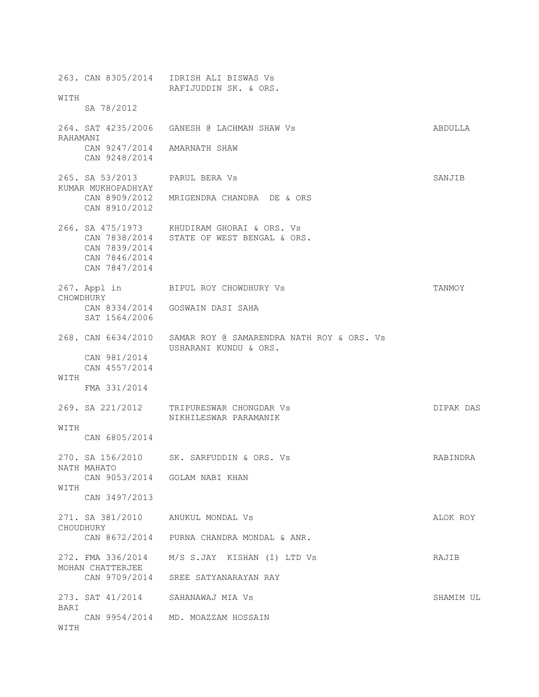263. CAN 8305/2014 IDRISH ALI BISWAS Vs RAFIJUDDIN SK. & ORS. WITH SA 78/2012 264. SAT 4235/2006 GANESH @ LACHMAN SHAW Vs ABDULLA RAHAMANI CAN 9247/2014 AMARNATH SHAW CAN 9248/2014 265. SA 53/2013 PARUL BERA Vs SANJIB KUMAR MUKHOPADHYAY CAN 8909/2012 MRIGENDRA CHANDRA DE & ORS CAN 8910/2012 266. SA 475/1973 KHUDIRAM GHORAI & ORS. Vs CAN 7838/2014 STATE OF WEST BENGAL & ORS. CAN 7839/2014 CAN 7846/2014 CAN 7847/2014 267. Appl in BIPUL ROY CHOWDHURY Vs TANMOY CHOWDHURY CAN 8334/2014 GOSWAIN DASI SAHA SAT 1564/2006 268. CAN 6634/2010 SAMAR ROY @ SAMARENDRA NATH ROY & ORS. Vs USHARANI KUNDU & ORS. CAN 981/2014 CAN 4557/2014 WITH FMA 331/2014 269. SA 221/2012 TRIPURESWAR CHONGDAR Vs DIPAK DAS NIKHILESWAR PARAMANIK WITH CAN 6805/2014 270. SA 156/2010 SK. SARFUDDIN & ORS. Vs RABINDRA NATH MAHATO CAN 9053/2014 GOLAM NABI KHAN WITH CAN 3497/2013 271. SA 381/2010 ANUKUL MONDAL Vs ALOK ROY CHOUDHURY CAN 8672/2014 PURNA CHANDRA MONDAL & ANR. 272. FMA 336/2014 M/S S.JAY KISHAN (I) LTD Vs RAJIB MOHAN CHATTERJEE CAN 9709/2014 SREE SATYANARAYAN RAY 273. SAT 41/2014 SAHANAWAJ MIA Vs SHAMIM UL BARI CAN 9954/2014 MD. MOAZZAM HOSSAIN WITH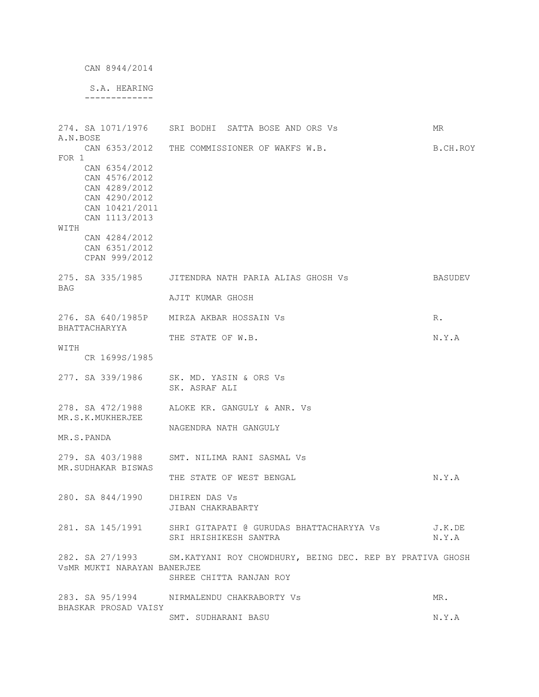```
 CAN 8944/2014
```
 S.A. HEARING -------------

| A.N.BOSE   |                                                                                                     | 274. SA 1071/1976 SRI BODHI SATTA BOSE AND ORS Vs                                                     | ΜR              |
|------------|-----------------------------------------------------------------------------------------------------|-------------------------------------------------------------------------------------------------------|-----------------|
| FOR 1      | CAN 6353/2012                                                                                       | THE COMMISSIONER OF WAKFS W.B.                                                                        | B.CH.ROY        |
| WITH       | CAN 6354/2012<br>CAN 4576/2012<br>CAN 4289/2012<br>CAN 4290/2012<br>CAN 10421/2011<br>CAN 1113/2013 |                                                                                                       |                 |
|            | CAN 4284/2012<br>CAN 6351/2012<br>CPAN 999/2012                                                     |                                                                                                       |                 |
| <b>BAG</b> | 275. SA 335/1985                                                                                    | JITENDRA NATH PARIA ALIAS GHOSH Vs                                                                    | BASUDEV         |
|            |                                                                                                     | AJIT KUMAR GHOSH                                                                                      |                 |
|            | BHATTACHARYYA                                                                                       | 276. SA 640/1985P MIRZA AKBAR HOSSAIN Vs                                                              | $R_{\bullet}$   |
| WITH       |                                                                                                     | THE STATE OF W.B.                                                                                     | N.Y.A           |
|            | CR 1699S/1985                                                                                       |                                                                                                       |                 |
|            | 277. SA 339/1986                                                                                    | SK. MD. YASIN & ORS Vs<br>SK. ASRAF ALI                                                               |                 |
|            | 278. SA 472/1988<br>MR.S.K.MUKHERJEE                                                                | ALOKE KR. GANGULY & ANR. Vs                                                                           |                 |
|            | MR.S.PANDA                                                                                          | NAGENDRA NATH GANGULY                                                                                 |                 |
|            | 279. SA 403/1988<br>MR.SUDHAKAR BISWAS                                                              | SMT. NILIMA RANI SASMAL Vs                                                                            |                 |
|            |                                                                                                     | THE STATE OF WEST BENGAL                                                                              | N.Y.A           |
|            | 280. SA 844/1990                                                                                    | DHIREN DAS Vs<br>JIBAN CHAKRABARTY                                                                    |                 |
|            | 281. SA 145/1991                                                                                    | SHRI GITAPATI @ GURUDAS BHATTACHARYYA Vs<br>SRI HRISHIKESH SANTRA                                     | J.K.DE<br>N.Y.A |
|            | VSMR MUKTI NARAYAN BANERJEE                                                                         | 282. SA 27/1993 SM. KATYANI ROY CHOWDHURY, BEING DEC. REP BY PRATIVA GHOSH<br>SHREE CHITTA RANJAN ROY |                 |
|            | BHASKAR PROSAD VAISY                                                                                | 283. SA 95/1994 NIRMALENDU CHAKRABORTY Vs                                                             | MR.             |
|            |                                                                                                     | SMT. SUDHARANI BASU                                                                                   | N.Y.A           |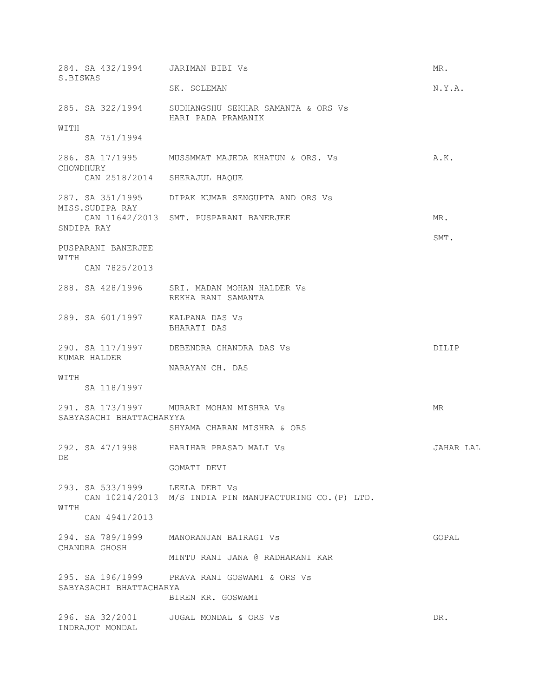| 284. SA 432/1994 JARIMAN BIBI VS                                                                  | MR.                                  |
|---------------------------------------------------------------------------------------------------|--------------------------------------|
| SK. SOLEMAN                                                                                       | N.Y.A.                               |
| 285. SA 322/1994 SUDHANGSHU SEKHAR SAMANTA & ORS Vs<br>HARI PADA PRAMANIK                         |                                      |
|                                                                                                   |                                      |
| 286. SA 17/1995 MUSSMMAT MAJEDA KHATUN & ORS. Vs                                                  | A.K.                                 |
| CAN 2518/2014 SHERAJUL HAQUE                                                                      |                                      |
| 287. SA 351/1995 DIPAK KUMAR SENGUPTA AND ORS Vs                                                  |                                      |
| CAN 11642/2013 SMT. PUSPARANI BANERJEE                                                            | MR.                                  |
|                                                                                                   | SMT.                                 |
|                                                                                                   |                                      |
| 288. SA 428/1996 SRI. MADAN MOHAN HALDER Vs<br>REKHA RANI SAMANTA                                 |                                      |
| 289. SA 601/1997 KALPANA DAS Vs<br>BHARATI DAS                                                    |                                      |
| 290. SA 117/1997 DEBENDRA CHANDRA DAS VS                                                          | DILIP                                |
|                                                                                                   |                                      |
| 291. SA 173/1997 MURARI MOHAN MISHRA Vs<br>SABYASACHI BHATTACHARYYA<br>SHYAMA CHARAN MISHRA & ORS | MR                                   |
| 292. SA 47/1998 HARIHAR PRASAD MALI Vs                                                            | JAHAR LAL                            |
| GOMATI DEVI                                                                                       |                                      |
| 293. SA 533/1999 LEELA DEBI VS<br>CAN 10214/2013 M/S INDIA PIN MANUFACTURING CO. (P) LTD.         |                                      |
|                                                                                                   |                                      |
| 294. SA 789/1999 MANORANJAN BAIRAGI VS                                                            | GOPAL                                |
| MINTU RANI JANA @ RADHARANI KAR                                                                   |                                      |
| 295. SA 196/1999 PRAVA RANI GOSWAMI & ORS Vs<br>SABYASACHI BHATTACHARYA                           |                                      |
| 296. SA 32/2001    UUGAL MONDAL & ORS Vs                                                          | DR.                                  |
|                                                                                                   | NARAYAN CH. DAS<br>BIREN KR. GOSWAMI |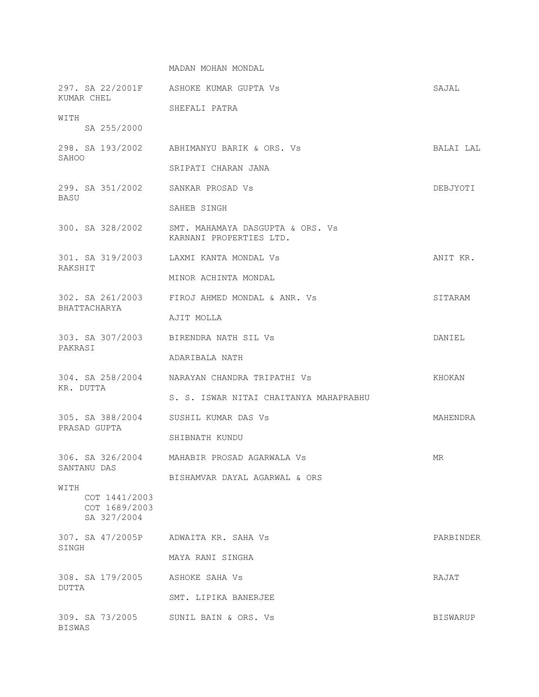MADAN MOHAN MONDAL

| KUMAR CHEL                                            | 297. SA 22/2001F ASHOKE KUMAR GUPTA Vs                                       | SAJAL     |
|-------------------------------------------------------|------------------------------------------------------------------------------|-----------|
|                                                       | SHEFALI PATRA                                                                |           |
| WITH<br>SA 255/2000                                   |                                                                              |           |
| SAHOO                                                 | 298. SA 193/2002 ABHIMANYU BARIK & ORS. Vs                                   | BALAI LAL |
|                                                       | SRIPATI CHARAN JANA                                                          |           |
| 299. SA 351/2002<br>BASU                              | SANKAR PROSAD Vs                                                             | DEBJYOTI  |
|                                                       | SAHEB SINGH                                                                  |           |
|                                                       | 300. SA 328/2002 SMT. MAHAMAYA DASGUPTA & ORS. Vs<br>KARNANI PROPERTIES LTD. |           |
| RAKSHIT                                               | 301. SA 319/2003 LAXMI KANTA MONDAL Vs                                       | ANIT KR.  |
|                                                       | MINOR ACHINTA MONDAL                                                         |           |
| BHATTACHARYA                                          | 302. SA 261/2003 FIROJ AHMED MONDAL & ANR. Vs                                | SITARAM   |
|                                                       | AJIT MOLLA                                                                   |           |
| PAKRASI                                               | 303. SA 307/2003 BIRENDRA NATH SIL Vs                                        | DANIEL    |
|                                                       | ADARIBALA NATH                                                               |           |
| KR. DUTTA                                             | 304. SA 258/2004 NARAYAN CHANDRA TRIPATHI VS                                 | KHOKAN    |
|                                                       | S. S. ISWAR NITAI CHAITANYA MAHAPRABHU                                       |           |
| 305. SA 388/2004<br>PRASAD GUPTA                      | SUSHIL KUMAR DAS Vs                                                          | MAHENDRA  |
|                                                       | SHIBNATH KUNDU                                                               |           |
| SANTANU DAS                                           | 306. SA 326/2004 MAHABIR PROSAD AGARWALA Vs                                  | MR.       |
|                                                       | BISHAMVAR DAYAL AGARWAL & ORS                                                |           |
| WITH<br>COT 1441/2003<br>COT 1689/2003<br>SA 327/2004 |                                                                              |           |
| 307. SA 47/2005P<br>SINGH                             | ADWAITA KR. SAHA Vs                                                          | PARBINDER |
|                                                       | MAYA RANI SINGHA                                                             |           |
| 308. SA 179/2005<br>DUTTA                             | ASHOKE SAHA Vs                                                               | RAJAT     |
|                                                       | SMT. LIPIKA BANERJEE                                                         |           |
| 309. SA 73/2005<br><b>BISWAS</b>                      | SUNIL BAIN & ORS. Vs                                                         | BISWARUP  |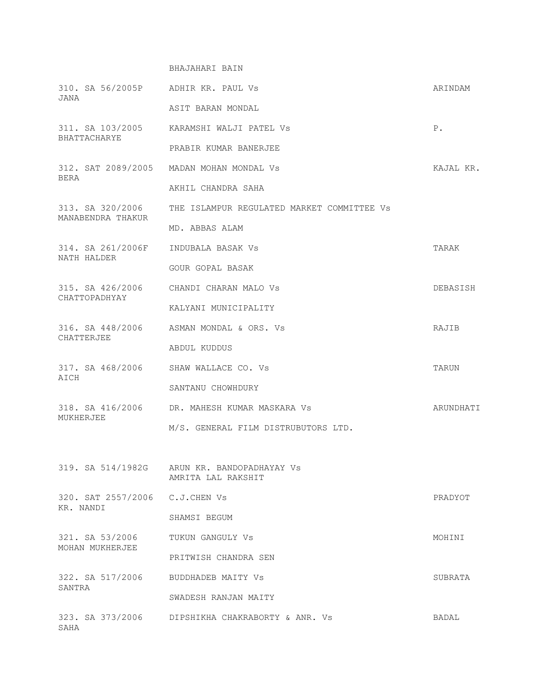## BHAJAHARI BAIN

| 310. SA 56/2005P ADHIR KR. PAUL Vs<br>JANA   |                                                                   | ARINDAM   |
|----------------------------------------------|-------------------------------------------------------------------|-----------|
|                                              | ASIT BARAN MONDAL                                                 |           |
| BHATTACHARYE                                 | 311. SA 103/2005 KARAMSHI WALJI PATEL VS                          | $P$ .     |
|                                              | PRABIR KUMAR BANERJEE                                             |           |
| BERA                                         | 312. SAT 2089/2005 MADAN MOHAN MONDAL Vs                          | KAJAL KR. |
|                                              | AKHIL CHANDRA SAHA                                                |           |
| 313. SA 320/2006<br>MANABENDRA THAKUR        | THE ISLAMPUR REGULATED MARKET COMMITTEE Vs                        |           |
|                                              | MD. ABBAS ALAM                                                    |           |
| 314. SA 261/2006F<br>NATH HALDER             | INDUBALA BASAK Vs                                                 | TARAK     |
|                                              | GOUR GOPAL BASAK                                                  |           |
| CHATTOPADHYAY                                | 315. SA 426/2006 CHANDI CHARAN MALO Vs                            | DEBASISH  |
|                                              | KALYANI MUNICIPALITY                                              |           |
| CHATTERJEE                                   | 316. SA 448/2006 ASMAN MONDAL & ORS. Vs                           | RAJIB     |
|                                              | ABDUL KUDDUS                                                      |           |
| 317. SA 468/2006 SHAW WALLACE CO. Vs<br>AICH |                                                                   | TARUN     |
|                                              | SANTANU CHOWHDURY                                                 |           |
| MUKHERJEE                                    | 318. SA 416/2006 DR. MAHESH KUMAR MASKARA Vs                      | ARUNDHATI |
|                                              | M/S. GENERAL FILM DISTRUBUTORS LTD.                               |           |
|                                              |                                                                   |           |
|                                              | 319. SA 514/1982G ARUN KR. BANDOPADHAYAY Vs<br>AMRITA LAL RAKSHIT |           |
| 320. SAT 2557/2006 C.J.CHEN Vs               |                                                                   | PRADYOT   |
| KR. NANDI                                    | SHAMSI BEGUM                                                      |           |
| 321. SA 53/2006<br>MOHAN MUKHERJEE           | TUKUN GANGULY VS                                                  | MOHINI    |
|                                              | PRITWISH CHANDRA SEN                                              |           |
| 322. SA 517/2006<br>SANTRA                   | BUDDHADEB MAITY Vs                                                | SUBRATA   |
|                                              | SWADESH RANJAN MAITY                                              |           |
| SAHA                                         | 323. SA 373/2006 DIPSHIKHA CHAKRABORTY & ANR. Vs                  | BADAL     |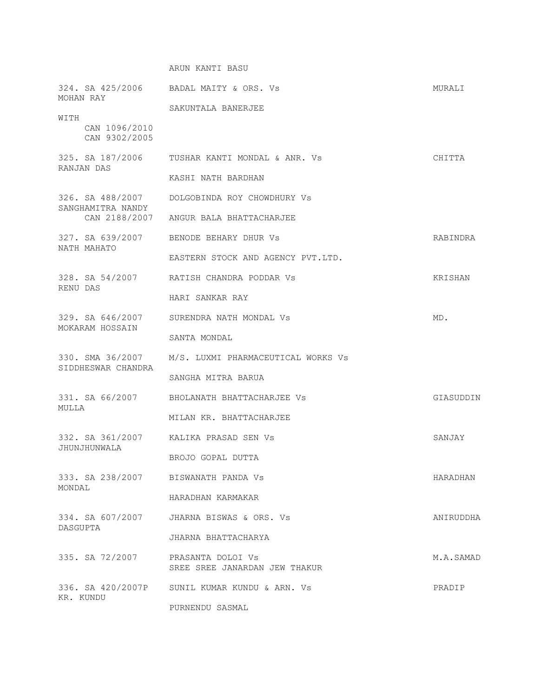## ARUN KANTI BASU

| MOHAN RAY                              | 324. SA 425/2006 BADAL MAITY & ORS. Vs              | MURALI    |
|----------------------------------------|-----------------------------------------------------|-----------|
|                                        | SAKUNTALA BANERJEE                                  |           |
| WITH<br>CAN 1096/2010<br>CAN 9302/2005 |                                                     |           |
|                                        | 325. SA 187/2006 TUSHAR KANTI MONDAL & ANR. Vs      | CHITTA    |
| RANJAN DAS                             | KASHI NATH BARDHAN                                  |           |
| SANGHAMITRA NANDY                      | 326. SA 488/2007 DOLGOBINDA ROY CHOWDHURY Vs        |           |
|                                        | CAN 2188/2007 ANGUR BALA BHATTACHARJEE              |           |
| NATH MAHATO                            | 327. SA 639/2007 BENODE BEHARY DHUR Vs              | RABINDRA  |
|                                        | EASTERN STOCK AND AGENCY PVT.LTD.                   |           |
|                                        | 328. SA 54/2007 RATISH CHANDRA PODDAR Vs            | KRISHAN   |
| RENU DAS                               | HARI SANKAR RAY                                     |           |
| 329. SA 646/2007                       | SURENDRA NATH MONDAL Vs                             | MD.       |
| MOKARAM HOSSAIN                        | SANTA MONDAL                                        |           |
| SIDDHESWAR CHANDRA                     | 330. SMA 36/2007 M/S. LUXMI PHARMACEUTICAL WORKS Vs |           |
|                                        | SANGHA MITRA BARUA                                  |           |
| 331. SA 66/2007                        | BHOLANATH BHATTACHARJEE VS                          | GIASUDDIN |
| MULLA                                  | MILAN KR. BHATTACHARJEE                             |           |
|                                        | 332. SA 361/2007 KALIKA PRASAD SEN Vs               | SANJAY    |
| JHUNJHUNWALA                           | BROJO GOPAL DUTTA                                   |           |
| 333. SA 238/2007<br>MONDAL             | BISWANATH PANDA Vs                                  | HARADHAN  |
|                                        | HARADHAN KARMAKAR                                   |           |
| 334. SA 607/2007                       | JHARNA BISWAS & ORS. Vs                             | ANIRUDDHA |
| DASGUPTA                               | JHARNA BHATTACHARYA                                 |           |
| 335. SA 72/2007                        | PRASANTA DOLOI Vs<br>SREE SREE JANARDAN JEW THAKUR  | M.A.SAMAD |
| 336. SA 420/2007P<br>KR. KUNDU         | SUNIL KUMAR KUNDU & ARN. Vs                         | PRADIP    |
|                                        | PURNENDU SASMAL                                     |           |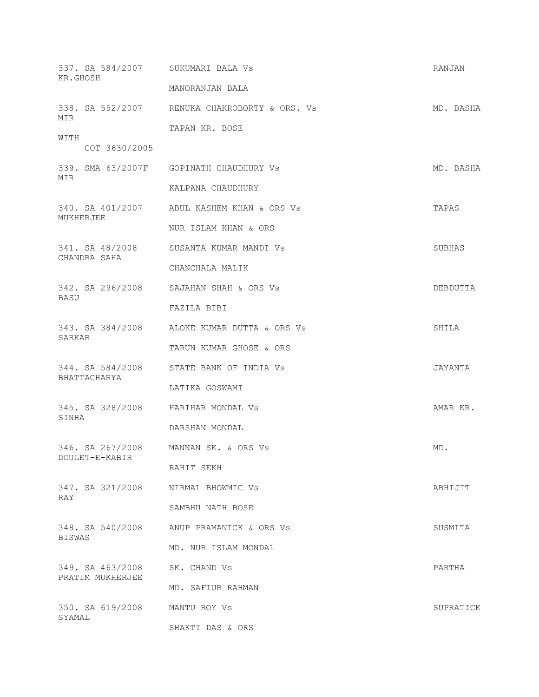| 337. SA 584/2007 SUKUMARI BALA Vs<br>KR.GHOSH |                                               | RANJAN    |
|-----------------------------------------------|-----------------------------------------------|-----------|
|                                               | MANORANJAN BALA                               |           |
| MIR<br>WITH<br>COT 3630/2005                  | 338. SA 552/2007 RENUKA CHAKROBORTY & ORS. Vs | MD. BASHA |
|                                               | TAPAN KR. BOSE                                |           |
|                                               |                                               |           |
| MIR                                           | 339. SMA 63/2007F GOPINATH CHAUDHURY Vs       | MD. BASHA |
|                                               | KALPANA CHAUDHURY                             |           |
| MUKHERJEE                                     | 340. SA 401/2007 ABUL KASHEM KHAN & ORS Vs    | TAPAS     |
|                                               | NUR ISLAM KHAN & ORS                          |           |
| CHANDRA SAHA                                  | 341. SA 48/2008 SUSANTA KUMAR MANDI VS        | SUBHAS    |
|                                               | CHANCHALA MALIK                               |           |
| <b>BASU</b>                                   | 342. SA 296/2008 SAJAHAN SHAH & ORS Vs        | DEBDUTTA  |
|                                               | FAZILA BIBI                                   |           |
| SARKAR                                        | 343. SA 384/2008 ALOKE KUMAR DUTTA & ORS Vs   | SHILA     |
|                                               | TARUN KUMAR GHOSE & ORS                       |           |
|                                               | 344. SA 584/2008 STATE BANK OF INDIA Vs       | JAYANTA   |
| BHATTACHARYA                                  | LATIKA GOSWAMI                                |           |
| 345. SA 328/2008 HARIHAR MONDAL Vs<br>SINHA   |                                               | AMAR KR.  |
|                                               | DARSHAN MONDAL                                |           |
| 346. SA 267/2008 MANNAN SK. & ORS Vs          |                                               | MD.       |
| DOULET-E-KABIR                                | RAHIT SEKH                                    |           |
| 347. SA 321/2008 NIRMAL BHOWMIC Vs            |                                               | ABHIJIT   |
| RAY                                           | SAMBHU NATH BOSE                              |           |
|                                               | 348. SA 540/2008 ANUP PRAMANICK & ORS Vs      | SUSMITA   |
| <b>BISWAS</b>                                 | MD. NUR ISLAM MONDAL                          |           |
| 349. SA 463/2008<br>PRATIM MUKHERJEE          | SK. CHAND Vs                                  | PARTHA    |
|                                               | MD. SAFIUR RAHMAN                             |           |
| 350. SA 619/2008<br>SYAMAL                    | MANTU ROY Vs                                  | SUPRATICK |
|                                               | SHAKTI DAS & ORS                              |           |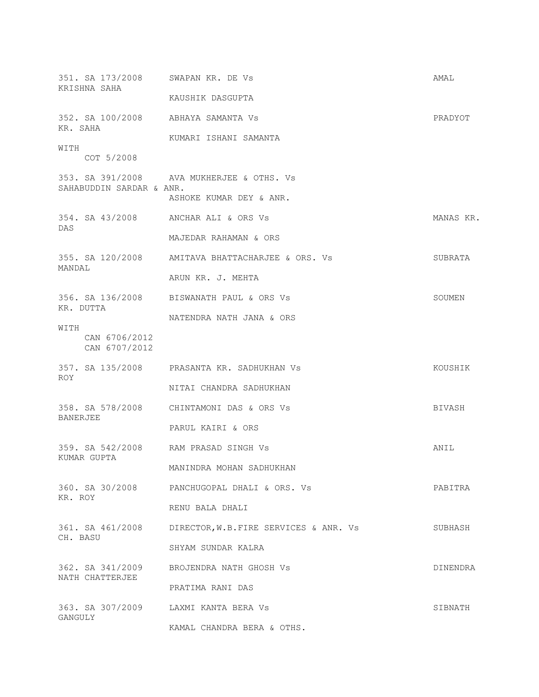| 351. SA 173/2008 SWAPAN KR. DE VS<br>KRISHNA SAHA   |                                                        | AMAL      |
|-----------------------------------------------------|--------------------------------------------------------|-----------|
|                                                     | KAUSHIK DASGUPTA                                       |           |
| 352. SA 100/2008 ABHAYA SAMANTA VS<br>KR. SAHA      |                                                        | PRADYOT   |
|                                                     | KUMARI ISHANI SAMANTA                                  |           |
| WITH<br>COT 5/2008                                  |                                                        |           |
| SAHABUDDIN SARDAR & ANR.                            | 353. SA 391/2008 AVA MUKHERJEE & OTHS. Vs              |           |
|                                                     | ASHOKE KUMAR DEY & ANR.                                |           |
| 354. SA 43/2008 ANCHAR ALI & ORS Vs<br>DAS          |                                                        | MANAS KR. |
|                                                     | MAJEDAR RAHAMAN & ORS                                  |           |
| MANDAL                                              | 355. SA 120/2008 AMITAVA BHATTACHARJEE & ORS. Vs       | SUBRATA   |
|                                                     | ARUN KR. J. MEHTA                                      |           |
| KR. DUTTA                                           | 356. SA 136/2008 BISWANATH PAUL & ORS Vs               | SOUMEN    |
|                                                     | NATENDRA NATH JANA & ORS                               |           |
| WITH<br>CAN 6706/2012<br>CAN 6707/2012              |                                                        |           |
| ROY.                                                | 357. SA 135/2008 PRASANTA KR. SADHUKHAN Vs             | KOUSHIK   |
|                                                     | NITAI CHANDRA SADHUKHAN                                |           |
| <b>BANERJEE</b>                                     | 358. SA 578/2008 CHINTAMONI DAS & ORS Vs               | BIVASH    |
|                                                     | PARUL KAIRI & ORS                                      |           |
| 359. SA 542/2008 RAM PRASAD SINGH Vs<br>KUMAR GUPTA |                                                        | ANIL      |
|                                                     | MANINDRA MOHAN SADHUKHAN                               |           |
| KR. ROY                                             | 360. SA 30/2008 PANCHUGOPAL DHALI & ORS. Vs            | PABITRA   |
|                                                     | RENU BALA DHALI                                        |           |
| CH. BASU                                            | 361. SA 461/2008 DIRECTOR, W.B.FIRE SERVICES & ANR. Vs | SUBHASH   |
|                                                     | SHYAM SUNDAR KALRA                                     |           |
| 362. SA 341/2009<br>NATH CHATTERJEE                 | BROJENDRA NATH GHOSH Vs                                | DINENDRA  |
|                                                     | PRATIMA RANI DAS                                       |           |
| 363. SA 307/2009 LAXMI KANTA BERA VS<br>GANGULY     |                                                        | SIBNATH   |
|                                                     | KAMAL CHANDRA BERA & OTHS.                             |           |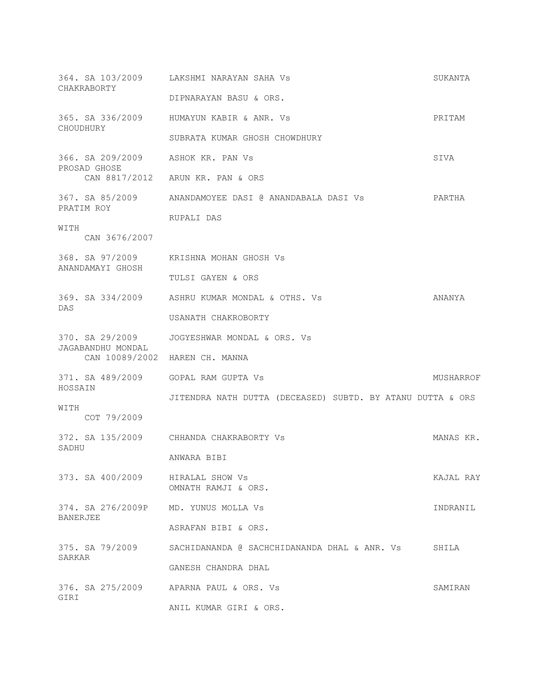| CHAKRABORTY                                      | 364. SA 103/2009 LAKSHMI NARAYAN SAHA Vs                   | SUKANTA   |
|--------------------------------------------------|------------------------------------------------------------|-----------|
|                                                  | DIPNARAYAN BASU & ORS.                                     |           |
| CHOUDHURY                                        | 365. SA 336/2009 HUMAYUN KABIR & ANR. Vs                   | PRITAM    |
|                                                  | SUBRATA KUMAR GHOSH CHOWDHURY                              |           |
| 366. SA 209/2009 ASHOK KR. PAN Vs                |                                                            | SIVA      |
| PROSAD GHOSE                                     | CAN 8817/2012 ARUN KR. PAN & ORS                           |           |
|                                                  | 367. SA 85/2009 ANANDAMOYEE DASI @ ANANDABALA DASI Vs      | PARTHA    |
| PRATIM ROY                                       | RUPALI DAS                                                 |           |
| WITH<br>CAN 3676/2007                            |                                                            |           |
|                                                  | 368. SA 97/2009 KRISHNA MOHAN GHOSH Vs                     |           |
| ANANDAMAYI GHOSH                                 | TULSI GAYEN & ORS                                          |           |
|                                                  | 369. SA 334/2009 ASHRU KUMAR MONDAL & OTHS. Vs             | ANANYA    |
| DAS                                              | USANATH CHAKROBORTY                                        |           |
|                                                  | 370. SA 29/2009 JOGYESHWAR MONDAL & ORS. Vs                |           |
| JAGABANDHU MONDAL                                | CAN 10089/2002 HAREN CH. MANNA                             |           |
| 371. SA 489/2009 GOPAL RAM GUPTA Vs              |                                                            | MUSHARROF |
| HOSSAIN                                          | JITENDRA NATH DUTTA (DECEASED) SUBTD. BY ATANU DUTTA & ORS |           |
| WITH<br>COT 79/2009                              |                                                            |           |
|                                                  | 372. SA 135/2009 CHHANDA CHAKRABORTY Vs                    | MANAS KR. |
| SADHU                                            | ANWARA BIBI                                                |           |
| 373. SA 400/2009 HIRALAL SHOW Vs                 | OMNATH RAMJI & ORS.                                        | KAJAL RAY |
| 374. SA 276/2009P MD. YUNUS MOLLA Vs<br>BANERJEE |                                                            | INDRANIL  |
|                                                  | ASRAFAN BIBI & ORS.                                        |           |
| 375. SA 79/2009<br>SARKAR                        | SACHIDANANDA @ SACHCHIDANANDA DHAL & ANR. Vs               | SHILA     |
|                                                  | GANESH CHANDRA DHAL                                        |           |
| GIRI                                             | 376. SA 275/2009 APARNA PAUL & ORS. Vs                     | SAMIRAN   |
|                                                  | ANIL KUMAR GIRI & ORS.                                     |           |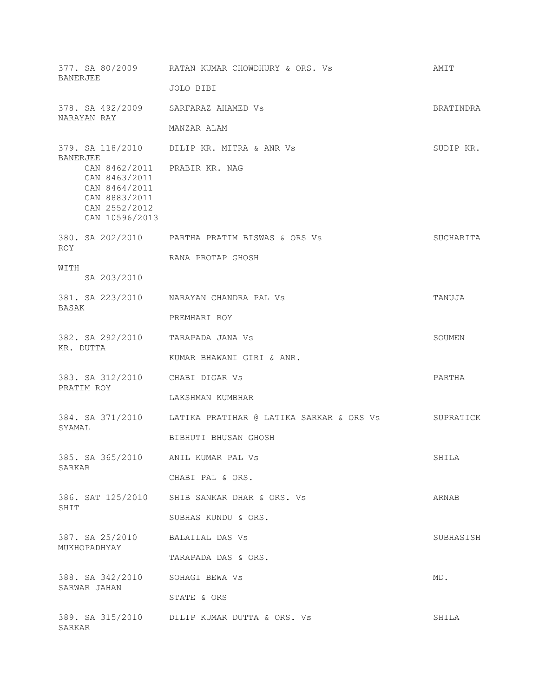| <b>BANERJEE</b>                                                                                                    | 377. SA 80/2009 RATAN KUMAR CHOWDHURY & ORS. Vs               | AMIT      |
|--------------------------------------------------------------------------------------------------------------------|---------------------------------------------------------------|-----------|
|                                                                                                                    | JOLO BIBI                                                     |           |
| 378. SA 492/2009 SARFARAZ AHAMED Vs<br>NARAYAN RAY                                                                 |                                                               | BRATINDRA |
|                                                                                                                    | MANZAR ALAM                                                   |           |
| BANERJEE                                                                                                           | 379. SA 118/2010 DILIP KR. MITRA & ANR Vs                     | SUDIP KR. |
| CAN 8462/2011 PRABIR KR. NAG<br>CAN 8463/2011<br>CAN 8464/2011<br>CAN 8883/2011<br>CAN 2552/2012<br>CAN 10596/2013 |                                                               |           |
| <b>ROY</b>                                                                                                         | 380. SA 202/2010 PARTHA PRATIM BISWAS & ORS Vs                | SUCHARITA |
| WITH<br>SA 203/2010                                                                                                | RANA PROTAP GHOSH                                             |           |
| BASAK                                                                                                              | 381. SA 223/2010 NARAYAN CHANDRA PAL Vs                       | TANUJA    |
|                                                                                                                    | PREMHARI ROY                                                  |           |
| 382. SA 292/2010 TARAPADA JANA VS<br>KR. DUTTA                                                                     |                                                               | SOUMEN    |
|                                                                                                                    | KUMAR BHAWANI GIRI & ANR.                                     |           |
| 383. SA 312/2010 CHABI DIGAR Vs<br>PRATIM ROY                                                                      |                                                               | PARTHA    |
|                                                                                                                    | LAKSHMAN KUMBHAR                                              |           |
| SYAMAL                                                                                                             | 384. SA 371/2010     LATIKA PRATIHAR @ LATIKA SARKAR & ORS Vs | SUPRATICK |
|                                                                                                                    | BIBHUTI BHUSAN GHOSH                                          |           |
| 385. SA 365/2010 ANIL KUMAR PAL Vs<br>SARKAR                                                                       |                                                               | SHILA     |
|                                                                                                                    | CHABI PAL & ORS.                                              |           |
| 386. SAT 125/2010                                                                                                  | SHIB SANKAR DHAR & ORS. Vs                                    | ARNAB     |
| SHIT                                                                                                               | SUBHAS KUNDU & ORS.                                           |           |
| 387. SA 25/2010 BALAILAL DAS Vs<br>MUKHOPADHYAY                                                                    |                                                               | SUBHASISH |
|                                                                                                                    | TARAPADA DAS & ORS.                                           |           |
| 388. SA 342/2010<br>SARWAR JAHAN                                                                                   | SOHAGI BEWA Vs                                                | MD.       |
|                                                                                                                    | STATE & ORS                                                   |           |
| SARKAR                                                                                                             | 389. SA 315/2010 DILIP KUMAR DUTTA & ORS. Vs                  | SHILA     |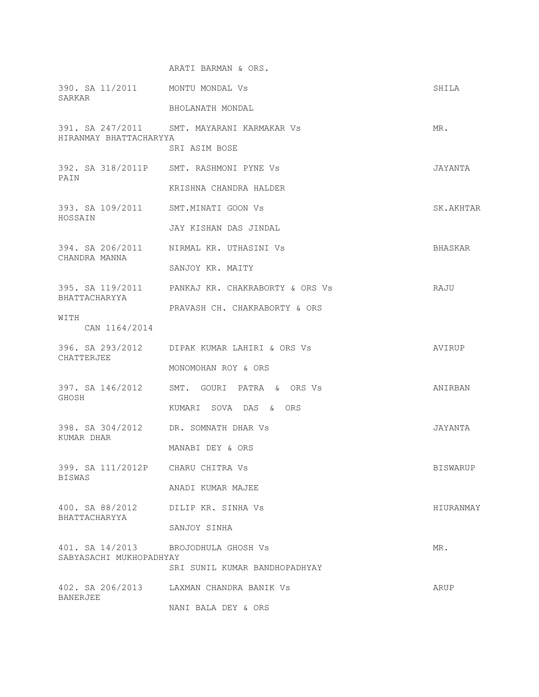ARATI BARMAN & ORS. 390. SA 11/2011 MONTU MONDAL Vs SHILA SARKAR BHOLANATH MONDAL 391. SA 247/2011 SMT. MAYARANI KARMAKAR Vs MR. HIRANMAY BHATTACHARYYA SRI ASIM BOSE 392. SA 318/2011P SMT. RASHMONI PYNE Vs JAYANTA PAIN KRISHNA CHANDRA HALDER 393. SA 109/2011 SMT.MINATI GOON Vs SK.AKHTAR HOSSAIN JAY KISHAN DAS JINDAL 394. SA 206/2011 NIRMAL KR. UTHASINI Vs BHASKAR CHANDRA MANNA SANJOY KR. MAITY 395. SA 119/2011 PANKAJ KR. CHAKRABORTY & ORS Vs RAJU BHATTACHARYYA PRAVASH CH. CHAKRABORTY & ORS WITH CAN 1164/2014 396. SA 293/2012 DIPAK KUMAR LAHIRI & ORS Vs AVIRUP CHATTERJEE MONOMOHAN ROY & ORS 397. SA 146/2012 SMT. GOURI PATRA & ORS Vs ANIRBAN GHOSH KUMARI SOVA DAS & ORS 398. SA 304/2012 DR. SOMNATH DHAR Vs JAYANTA KUMAR DHAR MANABI DEY & ORS 399. SA 111/2012P CHARU CHITRA Vs BISWARUP BISWAS ANADI KUMAR MAJEE 400. SA 88/2012 DILIP KR. SINHA Vs HIURANMAY BHATTACHARYYA SANJOY SINHA 401. SA 14/2013 BROJODHULA GHOSH Vs MR. SABYASACHI MUKHOPADHYAY SRI SUNIL KUMAR BANDHOPADHYAY 402. SA 206/2013 LAXMAN CHANDRA BANIK Vs ARUP BANERJEE NANI BALA DEY & ORS